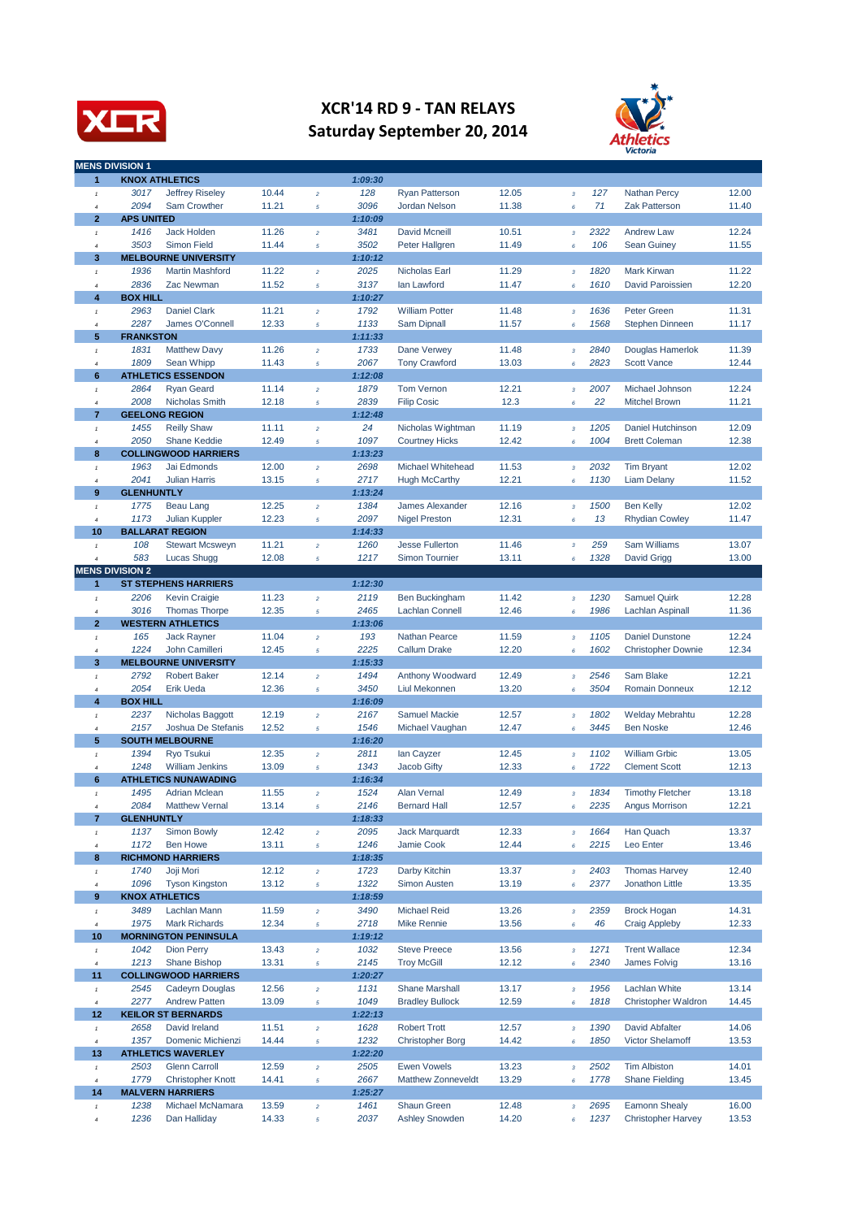

## **XCR'14 RD 9 - TAN RELAYS Saturday September 20, 2014**



|                                             | <b>MENS DIVISION 1</b>  |                                                |                |                         |                 |                         |                |                           |              |                           |                |
|---------------------------------------------|-------------------------|------------------------------------------------|----------------|-------------------------|-----------------|-------------------------|----------------|---------------------------|--------------|---------------------------|----------------|
| 1                                           |                         | <b>KNOX ATHLETICS</b>                          |                |                         | 1:09:30         |                         |                |                           |              |                           |                |
| 1                                           | 3017                    | Jeffrey Riseley                                | 10.44          | $\overline{2}$          | 128             | <b>Ryan Patterson</b>   | 12.05          | $\mathbf 3$               | 127          | <b>Nathan Percy</b>       | 12.00          |
| $\overline{4}$                              | 2094                    | Sam Crowther                                   | 11.21          | $\sqrt{5}$              | 3096            | <b>Jordan Nelson</b>    | 11.38          | 6                         | 71           | <b>Zak Patterson</b>      | 11.40          |
| $\overline{2}$                              | <b>APS UNITED</b>       |                                                |                |                         | 1:10:09         |                         |                |                           |              |                           |                |
| $\pmb{\tau}$                                | 1416                    | <b>Jack Holden</b>                             | 11.26          | $\bar{z}$               | 3481            | <b>David Mcneill</b>    | 10.51          | $\mathbf 3$               | 2322         | <b>Andrew Law</b>         | 12.24          |
| $\boldsymbol{4}$                            | 3503                    | <b>Simon Field</b>                             | 11.44          | $\overline{5}$          | 3502            | Peter Hallgren          | 11.49          | $\pmb{6}$                 | 106          | <b>Sean Guiney</b>        | 11.55          |
| 3                                           |                         | <b>MELBOURNE UNIVERSITY</b>                    |                |                         | 1:10:12         |                         |                |                           |              |                           |                |
| $\mathbf{1}$                                | 1936                    | <b>Martin Mashford</b>                         | 11.22          | $\bar{z}$               | 2025            | Nicholas Earl           | 11.29          | $\mathbf 3$               | 1820         | <b>Mark Kirwan</b>        | 11.22          |
| $\boldsymbol{4}$<br>$\overline{\mathbf{4}}$ | 2836<br><b>BOX HILL</b> | Zac Newman                                     | 11.52          | $\sqrt{5}$              | 3137<br>1:10:27 | lan Lawford             | 11.47          | 6                         | 1610         | <b>David Paroissien</b>   | 12.20          |
|                                             | 2963                    | <b>Daniel Clark</b>                            | 11.21          | $\bar{z}$               | 1792            | <b>William Potter</b>   | 11.48          | $\mathbf 3$               | 1636         | <b>Peter Green</b>        | 11.31          |
| $\pmb{\tau}$<br>$\boldsymbol{4}$            | 2287                    | James O'Connell                                | 12.33          | $\sqrt{5}$              | 1133            | Sam Dipnall             | 11.57          | 6                         | 1568         | <b>Stephen Dinneen</b>    | 11.17          |
| 5                                           | <b>FRANKSTON</b>        |                                                |                |                         | 1:11:33         |                         |                |                           |              |                           |                |
| 1                                           | 1831                    | <b>Matthew Davy</b>                            | 11.26          | $\bar{z}$               | 1733            | Dane Verwey             | 11.48          | $\mathbf 3$               | 2840         | Douglas Hamerlok          | 11.39          |
| $\overline{4}$                              | 1809                    | Sean Whipp                                     | 11.43          | $\sqrt{5}$              | 2067            | <b>Tony Crawford</b>    | 13.03          | $\pmb{6}$                 | 2823         | <b>Scott Vance</b>        | 12.44          |
| 6                                           |                         | <b>ATHLETICS ESSENDON</b>                      |                |                         | 1:12:08         |                         |                |                           |              |                           |                |
| $\pmb{\tau}$                                | 2864                    | <b>Ryan Geard</b>                              | 11.14          | $\overline{2}$          | 1879            | <b>Tom Vernon</b>       | 12.21          | $\overline{\mathbf{3}}$   | 2007         | Michael Johnson           | 12.24          |
| $\boldsymbol{4}$                            | 2008                    | Nicholas Smith                                 | 12.18          | $\sqrt{5}$              | 2839            | <b>Filip Cosic</b>      | 12.3           | 6                         | 22           | <b>Mitchel Brown</b>      | 11.21          |
| 7                                           |                         | <b>GEELONG REGION</b>                          |                |                         | 1:12:48         |                         |                |                           |              |                           |                |
| $\mathbf{1}$                                | 1455                    | <b>Reilly Shaw</b>                             | 11.11          | $\bar{z}$               | 24              | Nicholas Wightman       | 11.19          | $\mathbf 3$               | 1205         | Daniel Hutchinson         | 12.09          |
| $\boldsymbol{4}$                            | 2050                    | <b>Shane Keddie</b>                            | 12.49          | $\sqrt{5}$              | 1097            | <b>Courtney Hicks</b>   | 12.42          | 6                         | 1004         | <b>Brett Coleman</b>      | 12.38          |
| 8                                           |                         | <b>COLLINGWOOD HARRIERS</b>                    |                |                         | 1:13:23         |                         |                |                           |              |                           |                |
| $\pmb{\tau}$                                | 1963                    | Jai Edmonds                                    | 12.00          | $\boldsymbol{2}$        | 2698            | Michael Whitehead       | 11.53          | $\mathbf 3$               | 2032         | <b>Tim Bryant</b>         | 12.02          |
| $\boldsymbol{4}$                            | 2041                    | <b>Julian Harris</b>                           | 13.15          | $\sqrt{5}$              | 2717            | <b>Hugh McCarthy</b>    | 12.21          | $\pmb{6}$                 | 1130         | <b>Liam Delany</b>        | 11.52          |
| 9                                           | <b>GLENHUNTLY</b>       |                                                |                |                         | 1:13:24         |                         |                |                           |              |                           |                |
| $\pmb{\tau}$                                | 1775                    | Beau Lang                                      | 12.25          | $\overline{2}$          | 1384            | <b>James Alexander</b>  | 12.16          | $\sqrt{3}$                | 1500         | <b>Ben Kelly</b>          | 12.02          |
| $\overline{4}$<br>10                        | 1173                    | Julian Kuppler<br><b>BALLARAT REGION</b>       | 12.23          | $\sqrt{5}$              | 2097<br>1:14:33 | <b>Nigel Preston</b>    | 12.31          | 6                         | 13           | <b>Rhydian Cowley</b>     | 11.47          |
| $\pmb{\tau}$                                | 108                     | <b>Stewart Mcsweyn</b>                         | 11.21          | $\overline{2}$          | 1260            | <b>Jesse Fullerton</b>  | 11.46          | $\boldsymbol{\mathsf{3}}$ | 259          | <b>Sam Williams</b>       | 13.07          |
| $\boldsymbol{4}$                            | 583                     | Lucas Shugg                                    | 12.08          | $\sqrt{5}$              | 1217            | <b>Simon Tournier</b>   | 13.11          | $\pmb{6}$                 | 1328         | David Grigg               | 13.00          |
|                                             | <b>MENS DIVISION 2</b>  |                                                |                |                         |                 |                         |                |                           |              |                           |                |
| 1                                           |                         | <b>ST STEPHENS HARRIERS</b>                    |                |                         | 1:12:30         |                         |                |                           |              |                           |                |
| $\pmb{\tau}$                                | 2206                    | <b>Kevin Craigie</b>                           | 11.23          | $\overline{2}$          | 2119            | <b>Ben Buckingham</b>   | 11.42          | $\overline{\mathbf{3}}$   | 1230         | <b>Samuel Quirk</b>       | 12.28          |
| $\boldsymbol{4}$                            | 3016                    | <b>Thomas Thorpe</b>                           | 12.35          | $\sqrt{5}$              | 2465            | <b>Lachlan Connell</b>  | 12.46          | 6                         | 1986         | Lachlan Aspinall          | 11.36          |
| $\overline{2}$                              |                         | <b>WESTERN ATHLETICS</b>                       |                |                         | 1:13:06         |                         |                |                           |              |                           |                |
| $\mathbf{1}$                                | 165                     | Jack Rayner                                    | 11.04          | $\bar{z}$               | 193             | <b>Nathan Pearce</b>    | 11.59          | $\mathbf 3$               | 1105         | <b>Daniel Dunstone</b>    | 12.24          |
| 4                                           | 1224                    | John Camilleri                                 | 12.45          | $\sqrt{5}$              | 2225            | <b>Callum Drake</b>     | 12.20          | 6                         | 1602         | <b>Christopher Downie</b> | 12.34          |
| 3                                           |                         | <b>MELBOURNE UNIVERSITY</b>                    |                |                         | 1:15:33         |                         |                |                           |              |                           |                |
| $\pmb{\tau}$                                | 2792                    | <b>Robert Baker</b>                            | 12.14          | $\boldsymbol{2}$        | 1494            | Anthony Woodward        | 12.49          | $\mathbf 3$               | 2546         | Sam Blake                 | 12.21          |
| 4                                           | 2054                    | Erik Ueda                                      | 12.36          | $\sqrt{5}$              | 3450            | Liul Mekonnen           | 13.20          | 6                         | 3504         | <b>Romain Donneux</b>     | 12.12          |
| 4                                           | <b>BOX HILL</b><br>2237 |                                                | 12.19          | $\overline{2}$          | 1:16:09<br>2167 | <b>Samuel Mackie</b>    | 12.57          |                           | 1802         | <b>Welday Mebrahtu</b>    | 12.28          |
| $\mathbf{1}$<br>4                           | 2157                    | Nicholas Baggott<br>Joshua De Stefanis         | 12.52          | $\sqrt{5}$              | 1546            | Michael Vaughan         | 12.47          | $\sqrt{3}$<br>6           | 3445         | <b>Ben Noske</b>          | 12.46          |
| 5                                           |                         | <b>SOUTH MELBOURNE</b>                         |                |                         | 1:16:20         |                         |                |                           |              |                           |                |
| $\pmb{\tau}$                                | 1394                    | Ryo Tsukui                                     | 12.35          | $\bar{z}$               | 2811            | lan Cayzer              | 12.45          | $\mathbf 3$               | 1102         | <b>William Grbic</b>      | 13.05          |
| 4                                           | 1248                    | <b>William Jenkins</b>                         | 13.09          | $\sqrt{5}$              | 1343            | <b>Jacob Gifty</b>      | 12.33          | 6                         | 1722         | <b>Clement Scott</b>      | 12.13          |
| 6                                           |                         | <b>ATHLETICS NUNAWADING</b>                    |                |                         | 1:16:34         |                         |                |                           |              |                           |                |
| $\pmb{\tau}$                                | 1495                    | <b>Adrian Mclean</b>                           | 11.55          | $\boldsymbol{2}$        | 1524            | <b>Alan Vernal</b>      | 12.49          | $\mathbf 3$               | 1834         | <b>Timothy Fletcher</b>   | 13.18          |
| 4                                           | 2084                    | <b>Matthew Vernal</b>                          | 13.14          | 5                       | 2146            | <b>Bernard Hall</b>     | 12.57          | 6                         | 2235         | Angus Morrison            | 12.21          |
| $\overline{7}$                              | <b>GLENHUNTLY</b>       |                                                |                |                         | 1:18:33         |                         |                |                           |              |                           |                |
| $\pmb{\tau}$                                | 1137                    | <b>Simon Bowly</b>                             | 12.42          | $\bar{z}$               | 2095            | <b>Jack Marquardt</b>   | 12.33          | $\mathbf 3$               | 1664         | Han Quach                 | 13.37          |
| 4                                           | 1172                    | <b>Ben Howe</b>                                | 13.11          | $\sqrt{5}$              | 1246            | Jamie Cook              | 12.44          | $\pmb{6}$                 | 2215         | Leo Enter                 | 13.46          |
| 8                                           | 1740                    | <b>RICHMOND HARRIERS</b>                       |                |                         | 1:18:35         | Darby Kitchin           |                |                           |              | <b>Thomas Harvey</b>      |                |
| $\pmb{\tau}$<br>$\boldsymbol{4}$            | 1096                    | Joji Mori<br><b>Tyson Kingston</b>             | 12.12<br>13.12 | $\bar{z}$<br>$\sqrt{5}$ | 1723<br>1322    | <b>Simon Austen</b>     | 13.37<br>13.19 | $\mathbf 3$<br>6          | 2403<br>2377 | Jonathon Little           | 12.40<br>13.35 |
| $\bf{9}$                                    |                         | <b>KNOX ATHLETICS</b>                          |                |                         | 1:18:59         |                         |                |                           |              |                           |                |
| $\pmb{\tau}$                                | 3489                    | Lachlan Mann                                   | 11.59          | $\boldsymbol{2}$        | 3490            | <b>Michael Reid</b>     | 13.26          | $\mathbf 3$               | 2359         | <b>Brock Hogan</b>        | 14.31          |
| $\boldsymbol{4}$                            | 1975                    | <b>Mark Richards</b>                           | 12.34          | $\sqrt{5}$              | 2718            | Mike Rennie             | 13.56          | $\pmb{6}$                 | 46           | <b>Craig Appleby</b>      | 12.33          |
| 10                                          |                         | <b>MORNINGTON PENINSULA</b>                    |                |                         | 1:19:12         |                         |                |                           |              |                           |                |
| $\pmb{\tau}$                                | 1042                    | <b>Dion Perry</b>                              | 13.43          | $\bar{z}$               | 1032            | <b>Steve Preece</b>     | 13.56          | $\mathbf 3$               | 1271         | <b>Trent Wallace</b>      | 12.34          |
| $\boldsymbol{4}$                            | 1213                    | Shane Bishop                                   | 13.31          | $\sqrt{5}$              | 2145            | <b>Troy McGill</b>      | 12.12          | 6                         | 2340         | James Folvig              | 13.16          |
| 11                                          |                         | <b>COLLINGWOOD HARRIERS</b>                    |                |                         | 1:20:27         |                         |                |                           |              |                           |                |
| $\pmb{\tau}$                                | 2545                    | Cadeyrn Douglas                                | 12.56          | $\bar{z}$               | 1131            | <b>Shane Marshall</b>   | 13.17          | $\mathbf 3$               | 1956         | Lachlan White             | 13.14          |
| $\boldsymbol{4}$                            | 2277                    | <b>Andrew Patten</b>                           | 13.09          | $\sqrt{5}$              | 1049            | <b>Bradley Bullock</b>  | 12.59          | $\pmb{6}$                 | 1818         | Christopher Waldron       | 14.45          |
| 12                                          |                         | <b>KEILOR ST BERNARDS</b>                      |                |                         | 1:22:13         |                         |                |                           |              |                           |                |
| $\pmb{\tau}$                                | 2658                    | David Ireland                                  | 11.51          | $\mathbf{2}$            | 1628            | <b>Robert Trott</b>     | 12.57          | $\mathbf 3$               | 1390         | David Abfalter            | 14.06          |
| $\boldsymbol{4}$<br>13                      | 1357                    | Domenic Michienzi<br><b>ATHLETICS WAVERLEY</b> | 14.44          | $\overline{\mathbf{5}}$ | 1232<br>1:22:20 | <b>Christopher Borg</b> | 14.42          | $\pmb{6}$                 | 1850         | <b>Victor Shelamoff</b>   | 13.53          |
|                                             | 2503                    | <b>Glenn Carroll</b>                           | 12.59          | $\boldsymbol{2}$        | 2505            | <b>Ewen Vowels</b>      | 13.23          | $\mathbf 3$               | 2502         | <b>Tim Albiston</b>       | 14.01          |
| $\pmb{\tau}$<br>$\boldsymbol{4}$            | 1779                    | <b>Christopher Knott</b>                       | 14.41          | $\sqrt{5}$              | 2667            | Matthew Zonneveldt      | 13.29          | 6                         | 1778         | <b>Shane Fielding</b>     | 13.45          |
| 14                                          |                         | <b>MALVERN HARRIERS</b>                        |                |                         | 1:25:27         |                         |                |                           |              |                           |                |
| $\mathbf{1}$                                | 1238                    | Michael McNamara                               | 13.59          | $\bar{z}$               | 1461            | Shaun Green             | 12.48          | $\mathbf 3$               | 2695         | <b>Eamonn Shealy</b>      | 16.00          |
| $\boldsymbol{4}$                            | 1236                    | Dan Halliday                                   | 14.33          | $\sqrt{5}$              | 2037            | <b>Ashley Snowden</b>   | 14.20          | $\pmb{6}$                 | 1237         | <b>Christopher Harvey</b> | 13.53          |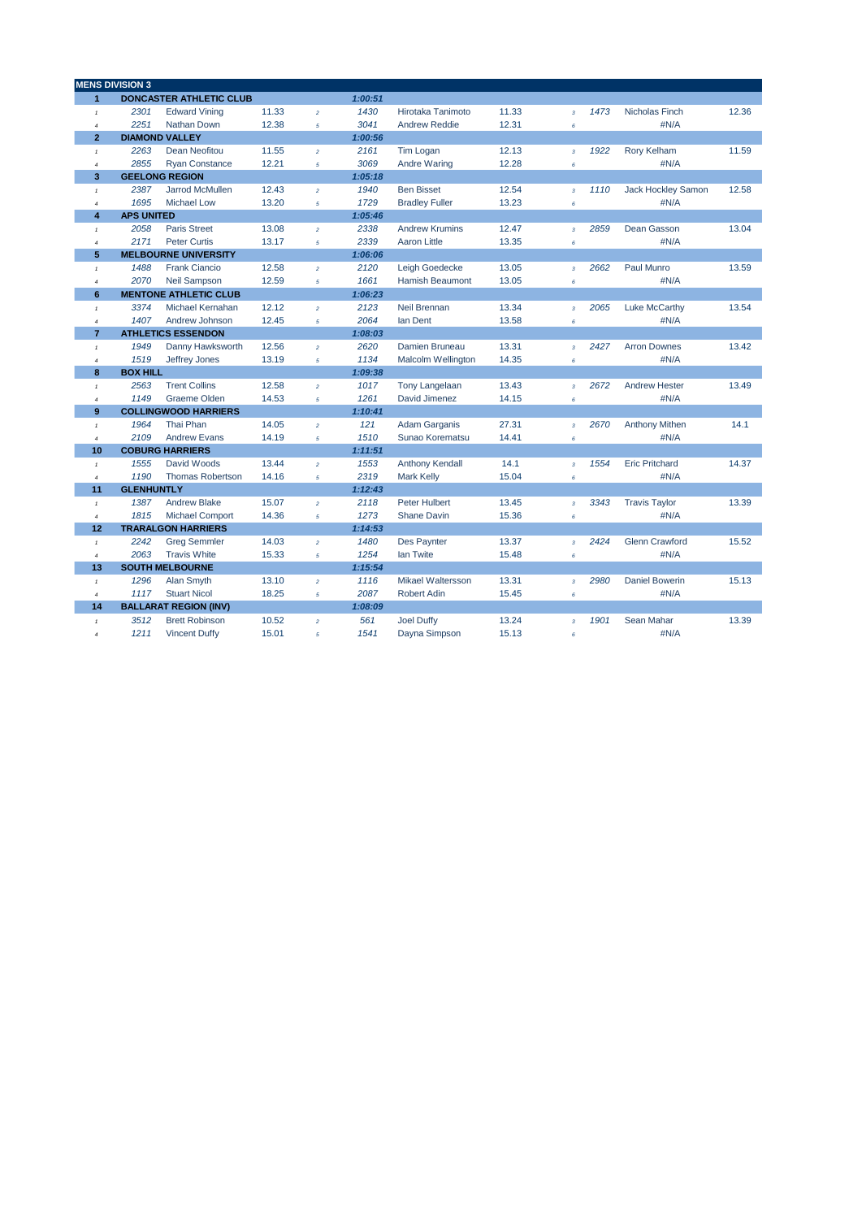|                           | <b>MENS DIVISION 3</b> |                                |       |                |         |                           |       |                         |      |                       |       |
|---------------------------|------------------------|--------------------------------|-------|----------------|---------|---------------------------|-------|-------------------------|------|-----------------------|-------|
| $\overline{1}$            |                        | <b>DONCASTER ATHLETIC CLUB</b> |       |                | 1:00:51 |                           |       |                         |      |                       |       |
| $\pmb{\tau}$              | 2301                   | <b>Edward Vining</b>           | 11.33 | $\overline{2}$ | 1430    | Hirotaka Tanimoto         | 11.33 | $\overline{\mathbf{3}}$ | 1473 | <b>Nicholas Finch</b> | 12.36 |
| $\it 4$                   | 2251                   | Nathan Down                    | 12.38 | $\sqrt{5}$     | 3041    | <b>Andrew Reddie</b>      | 12.31 | 6                       |      | #N/A                  |       |
| $\overline{2}$            |                        | <b>DIAMOND VALLEY</b>          |       |                | 1:00:56 |                           |       |                         |      |                       |       |
| $\pmb{\tau}$              | 2263                   | Dean Neofitou                  | 11.55 | $\overline{2}$ | 2161    | <b>Tim Logan</b>          | 12.13 | $\overline{\mathbf{3}}$ | 1922 | Rory Kelham           | 11.59 |
| $\overline{4}$            | 2855                   | <b>Ryan Constance</b>          | 12.21 | $\sqrt{5}$     | 3069    | <b>Andre Waring</b>       | 12.28 | 6                       |      | #N/A                  |       |
| 3                         |                        | <b>GEELONG REGION</b>          |       |                | 1:05:18 |                           |       |                         |      |                       |       |
| $\mathbf{1}$              | 2387                   | Jarrod McMullen                | 12.43 | $\overline{a}$ | 1940    | <b>Ben Bisset</b>         | 12.54 | $\overline{\mathbf{3}}$ | 1110 | Jack Hockley Samon    | 12.58 |
| $\overline{4}$            | 1695                   | <b>Michael Low</b>             | 13.20 | 5              | 1729    | <b>Bradley Fuller</b>     | 13.23 | 6                       |      | #N/A                  |       |
| 4                         | <b>APS UNITED</b>      |                                |       |                | 1:05:46 |                           |       |                         |      |                       |       |
| $\pmb{\tau}$              | 2058                   | <b>Paris Street</b>            | 13.08 | $\bar{z}$      | 2338    | <b>Andrew Krumins</b>     | 12.47 | $\overline{\mathbf{3}}$ | 2859 | Dean Gasson           | 13.04 |
| $\overline{4}$            | 2171                   | <b>Peter Curtis</b>            | 13.17 | 5              | 2339    | <b>Aaron Little</b>       | 13.35 | 6                       |      | #N/A                  |       |
| 5                         |                        | <b>MELBOURNE UNIVERSITY</b>    |       |                | 1:06:06 |                           |       |                         |      |                       |       |
| $\mathbf{1}$              | 1488                   | <b>Frank Ciancio</b>           | 12.58 | $\bar{z}$      | 2120    | Leigh Goedecke            | 13.05 | $\overline{\mathbf{3}}$ | 2662 | Paul Munro            | 13.59 |
| $\overline{4}$            | 2070                   | <b>Neil Sampson</b>            | 12.59 | $\sqrt{5}$     | 1661    | <b>Hamish Beaumont</b>    | 13.05 | 6                       |      | #N/A                  |       |
| 6                         |                        | <b>MENTONE ATHLETIC CLUB</b>   |       |                | 1:06:23 |                           |       |                         |      |                       |       |
| $\pmb{\tau}$              | 3374                   | Michael Kernahan               | 12.12 | $\bar{z}$      | 2123    | Neil Brennan              | 13.34 | $\mathbf 3$             | 2065 | Luke McCarthy         | 13.54 |
| $\boldsymbol{4}$          | 1407                   | Andrew Johnson                 | 12.45 | $\sqrt{5}$     | 2064    | lan Dent                  | 13.58 | 6                       |      | #N/A                  |       |
| $\overline{7}$            |                        | <b>ATHLETICS ESSENDON</b>      |       |                | 1:08:03 |                           |       |                         |      |                       |       |
| $\mathbf{1}$              | 1949                   | Danny Hawksworth               | 12.56 | $\overline{2}$ | 2620    | Damien Bruneau            | 13.31 | $\mathbf 3$             | 2427 | <b>Arron Downes</b>   | 13.42 |
| $\overline{4}$            | 1519                   | Jeffrey Jones                  | 13.19 | $\sqrt{5}$     | 1134    | <b>Malcolm Wellington</b> | 14.35 | 6                       |      | #N/A                  |       |
| 8                         | <b>BOX HILL</b>        |                                |       |                | 1:09:38 |                           |       |                         |      |                       |       |
| $\ensuremath{\mathsf{1}}$ | 2563                   | <b>Trent Collins</b>           | 12.58 | $\bar{z}$      | 1017    | <b>Tony Langelaan</b>     | 13.43 | $\overline{\mathbf{3}}$ | 2672 | <b>Andrew Hester</b>  | 13.49 |
| $\boldsymbol{4}$          | 1149                   | <b>Graeme Olden</b>            | 14.53 | $\sqrt{5}$     | 1261    | David Jimenez             | 14.15 | 6                       |      | #N/A                  |       |
| 9                         |                        | <b>COLLINGWOOD HARRIERS</b>    |       |                | 1:10:41 |                           |       |                         |      |                       |       |
| $\pmb{\tau}$              | 1964                   | Thai Phan                      | 14.05 | $\bar{z}$      | 121     | <b>Adam Garganis</b>      | 27.31 | $\overline{\mathbf{3}}$ | 2670 | <b>Anthony Mithen</b> | 14.1  |
| $\overline{4}$            | 2109                   | <b>Andrew Evans</b>            | 14.19 | $\overline{5}$ | 1510    | Sunao Korematsu           | 14.41 | 6                       |      | #N/A                  |       |
| 10                        |                        | <b>COBURG HARRIERS</b>         |       |                | 1:11:51 |                           |       |                         |      |                       |       |
| $\pmb{\tau}$              | 1555                   | David Woods                    | 13.44 | $\bar{z}$      | 1553    | Anthony Kendall           | 14.1  | 3                       | 1554 | <b>Eric Pritchard</b> | 14.37 |
| $\overline{4}$            | 1190                   | <b>Thomas Robertson</b>        | 14.16 | $\sqrt{5}$     | 2319    | <b>Mark Kelly</b>         | 15.04 | 6                       |      | #N/A                  |       |
| 11                        | <b>GLENHUNTLY</b>      |                                |       |                | 1:12:43 |                           |       |                         |      |                       |       |
| $\tau$                    | 1387                   | <b>Andrew Blake</b>            | 15.07 | $\overline{a}$ | 2118    | <b>Peter Hulbert</b>      | 13.45 | $\mathbf 3$             | 3343 | <b>Travis Taylor</b>  | 13.39 |
| $\overline{4}$            | 1815                   | <b>Michael Comport</b>         | 14.36 | $\overline{5}$ | 1273    | <b>Shane Davin</b>        | 15.36 | 6                       |      | #N/A                  |       |
| 12                        |                        | <b>TRARALGON HARRIERS</b>      |       |                | 1:14:53 |                           |       |                         |      |                       |       |
| $\pmb{\tau}$              | 2242                   | <b>Greg Semmler</b>            | 14.03 | $\bar{z}$      | 1480    | Des Paynter               | 13.37 | $\mathbf 3$             | 2424 | <b>Glenn Crawford</b> | 15.52 |
| $\overline{4}$            | 2063                   | <b>Travis White</b>            | 15.33 | $\sqrt{5}$     | 1254    | lan Twite                 | 15.48 | 6                       |      | #N/A                  |       |
| 13                        |                        | <b>SOUTH MELBOURNE</b>         |       |                | 1:15:54 |                           |       |                         |      |                       |       |
| $\tau$                    | 1296                   | Alan Smyth                     | 13.10 | $\bar{z}$      | 1116    | <b>Mikael Waltersson</b>  | 13.31 | $\overline{\mathbf{3}}$ | 2980 | <b>Daniel Bowerin</b> | 15.13 |
| $\overline{4}$            | 1117                   | <b>Stuart Nicol</b>            | 18.25 | $\overline{5}$ | 2087    | <b>Robert Adin</b>        | 15.45 | 6                       |      | #N/A                  |       |
| 14                        |                        | <b>BALLARAT REGION (INV)</b>   |       |                | 1:08:09 |                           |       |                         |      |                       |       |
| $\mathbf{1}$              | 3512                   | <b>Brett Robinson</b>          | 10.52 | $\overline{a}$ | 561     | <b>Joel Duffy</b>         | 13.24 | $\mathbf 3$             | 1901 | Sean Mahar            | 13.39 |
| $\overline{4}$            | 1211                   | <b>Vincent Duffy</b>           | 15.01 | 5              | 1541    | Dayna Simpson             | 15.13 | 6                       |      | #N/A                  |       |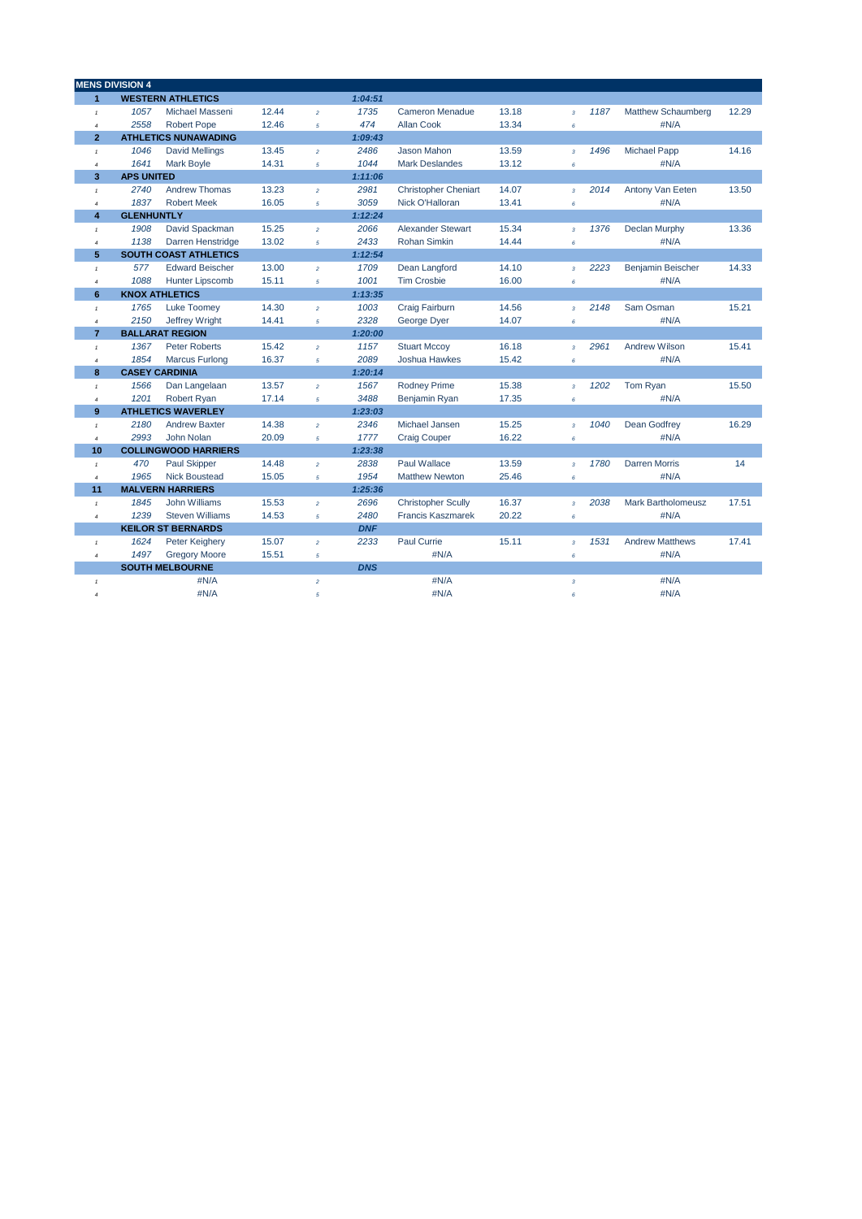|                  | <b>MENS DIVISION 4</b> |                              |       |                |            |                             |       |                         |      |                           |       |
|------------------|------------------------|------------------------------|-------|----------------|------------|-----------------------------|-------|-------------------------|------|---------------------------|-------|
| $\mathbf{1}$     |                        | <b>WESTERN ATHLETICS</b>     |       |                | 1:04:51    |                             |       |                         |      |                           |       |
| $\pmb{\tau}$     | 1057                   | Michael Masseni              | 12.44 | $\overline{a}$ | 1735       | <b>Cameron Menadue</b>      | 13.18 | $\overline{3}$          | 1187 | <b>Matthew Schaumberg</b> | 12.29 |
| $\boldsymbol{4}$ | 2558                   | <b>Robert Pope</b>           | 12.46 | $\overline{5}$ | 474        | <b>Allan Cook</b>           | 13.34 | 6                       |      | #N/A                      |       |
| $\overline{2}$   |                        | <b>ATHLETICS NUNAWADING</b>  |       |                | 1:09:43    |                             |       |                         |      |                           |       |
| $\mathbf{1}$     | 1046                   | <b>David Mellings</b>        | 13.45 | $\overline{a}$ | 2486       | <b>Jason Mahon</b>          | 13.59 | $\overline{\mathbf{3}}$ | 1496 | <b>Michael Papp</b>       | 14.16 |
| $\overline{4}$   | 1641                   | <b>Mark Boyle</b>            | 14.31 | 5              | 1044       | <b>Mark Deslandes</b>       | 13.12 | 6                       |      | #N/A                      |       |
| 3                | <b>APS UNITED</b>      |                              |       |                | 1:11:06    |                             |       |                         |      |                           |       |
| $\mathbf{1}$     | 2740                   | <b>Andrew Thomas</b>         | 13.23 | $\overline{a}$ | 2981       | <b>Christopher Cheniart</b> | 14.07 | $\overline{3}$          | 2014 | Antony Van Eeten          | 13.50 |
| $\overline{4}$   | 1837                   | <b>Robert Meek</b>           | 16.05 | 5              | 3059       | Nick O'Halloran             | 13.41 | $\pmb{6}$               |      | #N/A                      |       |
| 4                | <b>GLENHUNTLY</b>      |                              |       |                | 1:12:24    |                             |       |                         |      |                           |       |
| $\tau$           | 1908                   | David Spackman               | 15.25 | $\overline{a}$ | 2066       | <b>Alexander Stewart</b>    | 15.34 | $\mathbf 3$             | 1376 | <b>Declan Murphy</b>      | 13.36 |
| $\overline{4}$   | 1138                   | Darren Henstridge            | 13.02 | 5              | 2433       | <b>Rohan Simkin</b>         | 14.44 | 6                       |      | #N/A                      |       |
| 5                |                        | <b>SOUTH COAST ATHLETICS</b> |       |                | 1:12:54    |                             |       |                         |      |                           |       |
| $\pmb{\tau}$     | 577                    | <b>Edward Beischer</b>       | 13.00 | $\overline{a}$ | 1709       | Dean Langford               | 14.10 | $\overline{3}$          | 2223 | <b>Benjamin Beischer</b>  | 14.33 |
| $\overline{4}$   | 1088                   | <b>Hunter Lipscomb</b>       | 15.11 | 5              | 1001       | <b>Tim Crosbie</b>          | 16.00 | 6                       |      | #N/A                      |       |
| 6                |                        | <b>KNOX ATHLETICS</b>        |       |                | 1:13:35    |                             |       |                         |      |                           |       |
| $\mathcal{I}$    | 1765                   | <b>Luke Toomev</b>           | 14.30 | $\overline{a}$ | 1003       | Craig Fairburn              | 14.56 | $\overline{\mathbf{3}}$ | 2148 | Sam Osman                 | 15.21 |
| $\overline{4}$   | 2150                   | Jeffrey Wright               | 14.41 | $\overline{5}$ | 2328       | George Dyer                 | 14.07 | $\epsilon$              |      | #N/A                      |       |
| $\overline{7}$   |                        | <b>BALLARAT REGION</b>       |       |                | 1:20:00    |                             |       |                         |      |                           |       |
| $\pmb{\tau}$     | 1367                   | <b>Peter Roberts</b>         | 15.42 | $\overline{2}$ | 1157       | <b>Stuart Mccoy</b>         | 16.18 | $\overline{\mathbf{3}}$ | 2961 | <b>Andrew Wilson</b>      | 15.41 |
| $\overline{4}$   | 1854                   | <b>Marcus Furlong</b>        | 16.37 | $\overline{5}$ | 2089       | <b>Joshua Hawkes</b>        | 15.42 | $\epsilon$              |      | #N/A                      |       |
| 8                |                        | <b>CASEY CARDINIA</b>        |       |                | 1:20:14    |                             |       |                         |      |                           |       |
| $\mathbf{1}$     | 1566                   | Dan Langelaan                | 13.57 | $\bar{z}$      | 1567       | <b>Rodney Prime</b>         | 15.38 | $\overline{\mathbf{3}}$ | 1202 | Tom Ryan                  | 15.50 |
| $\overline{4}$   | 1201                   | Robert Ryan                  | 17.14 | 5              | 3488       | Benjamin Ryan               | 17.35 | $\pmb{6}$               |      | #N/A                      |       |
| 9                |                        | <b>ATHLETICS WAVERLEY</b>    |       |                | 1:23:03    |                             |       |                         |      |                           |       |
| $\mathbf{1}$     | 2180                   | <b>Andrew Baxter</b>         | 14.38 | $\overline{a}$ | 2346       | Michael Jansen              | 15.25 | $\overline{\mathbf{3}}$ | 1040 | Dean Godfrev              | 16.29 |
| $\boldsymbol{4}$ | 2993                   | John Nolan                   | 20.09 | $\overline{5}$ | 1777       | <b>Craig Couper</b>         | 16.22 | $\pmb{\epsilon}$        |      | #N/A                      |       |
| 10               |                        | <b>COLLINGWOOD HARRIERS</b>  |       |                | 1:23:38    |                             |       |                         |      |                           |       |
| $\mathbf{1}$     | 470                    | <b>Paul Skipper</b>          | 14.48 | $\overline{2}$ | 2838       | <b>Paul Wallace</b>         | 13.59 | $\overline{\mathbf{3}}$ | 1780 | Darren Morris             | 14    |
| $\overline{4}$   | 1965                   | <b>Nick Boustead</b>         | 15.05 | 5              | 1954       | <b>Matthew Newton</b>       | 25.46 | $\epsilon$              |      | #N/A                      |       |
| 11               |                        | <b>MALVERN HARRIERS</b>      |       |                | 1:25:36    |                             |       |                         |      |                           |       |
| $\tau$           | 1845                   | John Williams                | 15.53 | $\overline{a}$ | 2696       | <b>Christopher Scully</b>   | 16.37 | $\overline{\mathbf{3}}$ | 2038 | <b>Mark Bartholomeusz</b> | 17.51 |
| $\overline{4}$   | 1239                   | <b>Steven Williams</b>       | 14.53 | 5              | 2480       | <b>Francis Kaszmarek</b>    | 20.22 | $\epsilon$              |      | #N/A                      |       |
|                  |                        | <b>KEILOR ST BERNARDS</b>    |       |                | <b>DNF</b> |                             |       |                         |      |                           |       |
| $\tau$           | 1624                   | Peter Keighery               | 15.07 | $\overline{a}$ | 2233       | <b>Paul Currie</b>          | 15.11 | $\mathbf 3$             | 1531 | <b>Andrew Matthews</b>    | 17.41 |
| $\overline{4}$   | 1497                   | <b>Gregory Moore</b>         | 15.51 | 5              |            | #N/A                        |       | 6                       |      | #N/A                      |       |
|                  |                        | <b>SOUTH MELBOURNE</b>       |       |                | <b>DNS</b> |                             |       |                         |      |                           |       |
| $\mathbf{1}$     |                        | #N/A                         |       | $\overline{a}$ |            | #N/A                        |       | $\overline{\mathbf{3}}$ |      | #N/A                      |       |
| $\boldsymbol{4}$ |                        | #N/A                         |       | 5              |            | #N/A                        |       | 6                       |      | #N/A                      |       |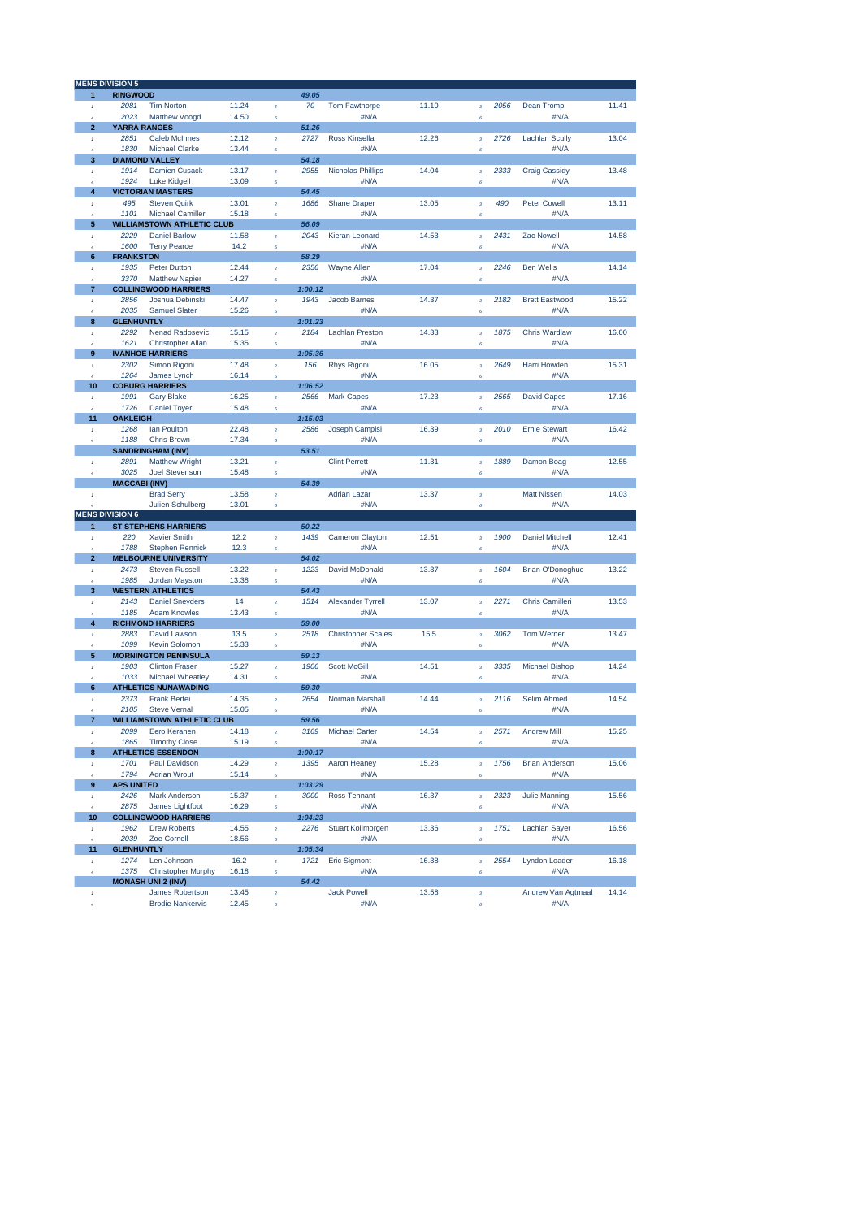|                         | <b>MENS DIVISION 5</b>         |                                              |       |                         |                 |                           |       |                                |      |                         |       |
|-------------------------|--------------------------------|----------------------------------------------|-------|-------------------------|-----------------|---------------------------|-------|--------------------------------|------|-------------------------|-------|
| 1                       | <b>RINGWOOD</b>                |                                              |       |                         | 49.05           |                           |       |                                |      |                         |       |
| $\,$ 1                  | 2081                           | <b>Tim Norton</b>                            | 11.24 | $\boldsymbol{2}$        | 70              | Tom Fawthorpe             | 11.10 | $\mathbf 3$                    | 2056 | Dean Tromp              | 11.41 |
| $\overline{a}$          | 2023                           | Matthew Voogd                                | 14.50 | 5                       |                 | #N/A                      |       | 6                              |      | #N/A                    |       |
| $\overline{2}$          | <b>YARRA RANGES</b>            |                                              |       |                         | 51.26           |                           |       |                                |      |                         |       |
| $\,$ 1 $\,$             | 2851                           | <b>Caleb McInnes</b>                         | 12.12 | $\bar{2}$               | 2727            | Ross Kinsella             | 12.26 | $\overline{\mathbf{3}}$        | 2726 | <b>Lachlan Scully</b>   | 13.04 |
| $\overline{a}$          | 1830                           | <b>Michael Clarke</b>                        | 13.44 | $\overline{5}$          |                 | #N/A                      |       | Ŕ                              |      | #N/A                    |       |
| 3                       | <b>DIAMOND VALLEY</b>          |                                              |       |                         | 54.18           |                           |       |                                |      |                         |       |
| $\mathbf{I}$            | 1914                           | <b>Damien Cusack</b>                         | 13.17 | $\bar{2}$               | 2955            | <b>Nicholas Phillips</b>  | 14.04 | $\boldsymbol{\mathsf{3}}$      | 2333 | <b>Craig Cassidy</b>    | 13.48 |
| $\boldsymbol{d}$        | 1924                           | <b>Luke Kidgell</b>                          | 13.09 | 5                       |                 | #N/A                      |       | $\epsilon$                     |      | #N/A                    |       |
| 4                       | <b>VICTORIAN MASTERS</b>       |                                              |       |                         | 54.45           |                           |       |                                |      |                         |       |
| $\mathbf{I}$            | 495                            | <b>Steven Quirk</b>                          | 13.01 | $\overline{2}$          | 1686            | <b>Shane Draper</b>       | 13.05 | $\bf{3}$                       | 490  | <b>Peter Cowell</b>     | 13.11 |
| $\overline{a}$          | 1101                           | Michael Camilleri                            | 15.18 | $\overline{5}$          |                 | #N/A                      |       | $\boldsymbol{\epsilon}$        |      | #N/A                    |       |
| 5                       |                                | <b>WILLIAMSTOWN ATHLETIC CLUB</b>            |       |                         | 56.09           |                           |       |                                |      |                         |       |
| $\mathbf{I}$            | 2229                           | <b>Daniel Barlow</b>                         | 11.58 | $\bar{2}$               | 2043            | Kieran Leonard            | 14.53 | $\bf{3}$                       | 2431 | Zac Nowell              | 14.58 |
| $\overline{4}$<br>6     | 1600<br><b>FRANKSTON</b>       | <b>Terry Pearce</b>                          | 14.2  | 5                       | 58.29           | #N/A                      |       | $\epsilon$                     |      | #N/A                    |       |
| $\mathbf{I}$            | 1935                           | Peter Dutton                                 | 12.44 | $\overline{2}$          | 2356            | Wayne Allen               | 17.04 | $\overline{\mathbf{3}}$        | 2246 | <b>Ben Wells</b>        | 14.14 |
| $\overline{4}$          | 3370                           | <b>Matthew Napier</b>                        | 14.27 | 5                       |                 | #N/A                      |       | $\epsilon$                     |      | #N/A                    |       |
| $\overline{7}$          |                                | <b>COLLINGWOOD HARRIERS</b>                  |       |                         | 1:00:12         |                           |       |                                |      |                         |       |
| $\mathbf{I}$            | 2856                           | Joshua Debinski                              | 14.47 | $\overline{2}$          | 1943            | Jacob Barnes              | 14.37 | $\bf{3}$                       | 2182 | <b>Brett Eastwood</b>   | 15.22 |
| $\overline{4}$          | 2035                           | <b>Samuel Slater</b>                         | 15.26 | 5                       |                 | #N/A                      |       | 6                              |      | #N/A                    |       |
| 8                       | <b>GLENHUNTLY</b>              |                                              |       |                         | 1:01:23         |                           |       |                                |      |                         |       |
| $\pmb{\mathfrak{f}}$    | 2292                           | <b>Nenad Radosevic</b>                       | 15.15 | $\bar{z}$               | 2184            | <b>Lachlan Preston</b>    | 14.33 | $\bf{3}$                       | 1875 | <b>Chris Wardlaw</b>    | 16.00 |
| $\overline{4}$          | 1621                           | <b>Christopher Allan</b>                     | 15.35 | 5                       |                 | #N/A                      |       | 6                              |      | #N/A                    |       |
| 9                       | <b>IVANHOE HARRIERS</b>        |                                              |       |                         | 1:05:36         |                           |       |                                |      |                         |       |
| $\,$ 1 $\,$             | 2302                           | Simon Rigoni                                 | 17.48 | $\bar{z}$               | 156             | <b>Rhys Rigoni</b>        | 16.05 | $\bf{3}$                       | 2649 | Harri Howden            | 15.31 |
| $\overline{a}$<br>10    | 1264<br><b>COBURG HARRIERS</b> | James Lynch                                  | 16.14 | 5                       | 1:06:52         | #N/A                      |       | ó                              |      | #N/A                    |       |
| $\,$ 1 $\,$             | 1991                           | <b>Gary Blake</b>                            | 16.25 | $\overline{2}$          | 2566            | <b>Mark Capes</b>         | 17.23 | $\mathbf 3$                    | 2565 | <b>David Capes</b>      | 17.16 |
| $\overline{a}$          | 1726                           | <b>Daniel Toyer</b>                          | 15.48 | $\overline{5}$          |                 | #N/A                      |       | 6                              |      | #N/A                    |       |
| 11                      | <b>OAKLEIGH</b>                |                                              |       |                         | 1:15:03         |                           |       |                                |      |                         |       |
| $^\mathrm{f}$           | 1268                           | lan Poulton                                  | 22.48 | $\bar{2}$               | 2586            | Joseph Campisi            | 16.39 | $\bf{3}$                       | 2010 | <b>Ernie Stewart</b>    | 16.42 |
| $\overline{a}$          | 1188                           | <b>Chris Brown</b>                           | 17.34 | $\overline{5}$          |                 | #N/A                      |       | $\epsilon$                     |      | #N/A                    |       |
|                         | <b>SANDRINGHAM (INV)</b>       |                                              |       |                         | 53.51           |                           |       |                                |      |                         |       |
| $\mathbf{I}$            | 2891                           | <b>Matthew Wright</b>                        | 13.21 | $\bar{2}$               |                 | <b>Clint Perrett</b>      | 11.31 | $\bf{3}$                       | 1889 | Damon Boag              | 12.55 |
| $\overline{4}$          | 3025                           | <b>Joel Stevenson</b>                        | 15.48 | $\overline{5}$          |                 | #N/A                      |       | 6                              |      | #N/A                    |       |
|                         | <b>MACCABI (INV)</b>           |                                              |       |                         | 54.39           |                           |       |                                |      |                         |       |
| $\mathbf{I}$            |                                | <b>Brad Serry</b>                            | 13.58 | $\overline{2}$          |                 | <b>Adrian Lazar</b>       | 13.37 | $\overline{\mathbf{3}}$        |      | <b>Matt Nissen</b>      | 14.03 |
|                         | <b>MENS DIVISION 6</b>         | Julien Schulberg                             | 13.01 | $\sqrt{s}$              |                 | #N/A                      |       | $\epsilon$                     |      | #N/A                    |       |
| 1                       |                                | <b>ST STEPHENS HARRIERS</b>                  |       |                         | 50.22           |                           |       |                                |      |                         |       |
| $\mathbf{I}$            | 220                            | <b>Xavier Smith</b>                          | 12.2  | $\overline{2}$          | 1439            | Cameron Clayton           | 12.51 | $\overline{3}$                 | 1900 | <b>Daniel Mitchell</b>  | 12.41 |
| $\overline{4}$          | 1788                           | <b>Stephen Rennick</b>                       | 12.3  | $\overline{5}$          |                 | #N/A                      |       | $\epsilon$                     |      | #N/A                    |       |
| $\overline{\mathbf{2}}$ |                                | <b>MELBOURNE UNIVERSITY</b>                  |       |                         | 54.02           |                           |       |                                |      |                         |       |
| $\mathbf{I}$            | 2473                           | <b>Steven Russell</b>                        | 13.22 | $\overline{2}$          | 1223            | David McDonald            | 13.37 | $\bf{3}$                       | 1604 | <b>Brian O'Donoghue</b> | 13.22 |
| $\overline{4}$          | 1985                           | Jordan Mayston                               | 13.38 | 5                       |                 | #N/A                      |       | 6                              |      | #N/A                    |       |
| 3                       | <b>WESTERN ATHLETICS</b>       |                                              |       |                         | 54.43           |                           |       |                                |      |                         |       |
| $\mathbf{f}$            | 2143                           | <b>Daniel Sneyders</b>                       | 14    | $\bar{z}$               | 1514            | Alexander Tyrrell         | 13.07 | $\mathbf 3$                    | 2271 | Chris Camilleri         | 13.53 |
| $\overline{4}$          | 1185                           | <b>Adam Knowles</b>                          | 13.43 | 5                       |                 | #N/A                      |       | 6                              |      | #N/A                    |       |
| $\overline{\mathbf{4}}$ | <b>RICHMOND HARRIERS</b>       |                                              |       |                         | 59.00           |                           |       |                                |      |                         |       |
| $\,$ 1 $\,$             | 2883                           | David Lawson                                 | 13.5  | $\bar{z}$               | 2518            | <b>Christopher Scales</b> | 15.5  | $\bf{3}$                       | 3062 | <b>Tom Werner</b>       | 13.47 |
| ä<br>5                  | 1099                           | Kevin Solomon<br><b>MORNINGTON PENINSULA</b> | 15.33 | 5                       | 59.13           | #N/A                      |       | 6                              |      | #N/A                    |       |
| $\mathbf{f}$            | 1903                           | <b>Clinton Fraser</b>                        | 15.27 | $\overline{2}$          | 1906            | <b>Scott McGill</b>       | 14.51 | $\mathbf 3$                    | 3335 | <b>Michael Bishop</b>   | 14.24 |
| $\overline{a}$          | 1033                           | Michael Wheatley                             | 14.31 | 5                       |                 | #N/A                      |       | 6                              |      | #N/A                    |       |
| 6                       |                                | <b>ATHLETICS NUNAWADING</b>                  |       |                         | 59.30           |                           |       |                                |      |                         |       |
| $\mathbf{I}$            | 2373                           | <b>Frank Bertei</b>                          | 14.35 | $\overline{2}$          | 2654            | Norman Marshall           | 14.44 | $\overline{3}$                 | 2116 | Selim Ahmed             | 14.54 |
| $\boldsymbol{d}$        | 2105                           | <b>Steve Vernal</b>                          | 15.05 | $\overline{5}$          |                 | #N/A                      |       | Ŕ.                             |      | #N/A                    |       |
| 7                       |                                | <b>WILLIAMSTOWN ATHLETIC CLUB</b>            |       |                         | 59.56           |                           |       |                                |      |                         |       |
| $\,$ 1                  | 2099                           | Eero Keranen                                 | 14.18 | $\overline{\mathbf{c}}$ | 3169            | Michael Carter            | 14.54 | 3                              | 2571 | <b>Andrew Mill</b>      | 15.25 |
| $\overline{4}$          | 1865                           | <b>Timothy Close</b>                         | 15.19 | $\sqrt{s}$              |                 | #N/A                      |       | $\epsilon$                     |      | #N/A                    |       |
| 8                       |                                | <b>ATHLETICS ESSENDON</b>                    |       |                         | 1:00:17         |                           |       |                                |      |                         |       |
| $\,$ f                  | 1701                           | Paul Davidson                                | 14.29 | $\bar{z}$               | 1395            | Aaron Heaney              | 15.28 | $\bf{3}$                       | 1756 | <b>Brian Anderson</b>   | 15.06 |
| $\overline{a}$          | 1794                           | <b>Adrian Wrout</b>                          | 15.14 | 5                       |                 | #N/A                      |       | $\boldsymbol{\epsilon}$        |      | #N/A                    |       |
| 9<br>$\mathbf{f}$       | <b>APS UNITED</b><br>2426      | <b>Mark Anderson</b>                         | 15.37 | $\bar{z}$               | 1:03:29<br>3000 | Ross Tennant              | 16.37 |                                | 2323 | <b>Julie Manning</b>    | 15.56 |
| $\overline{4}$          | 2875                           | James Lightfoot                              | 16.29 | $\overline{5}$          |                 | #N/A                      |       | $\sqrt{3}$<br>$\pmb{\epsilon}$ |      | #N/A                    |       |
| 10                      |                                | <b>COLLINGWOOD HARRIERS</b>                  |       |                         | 1:04:23         |                           |       |                                |      |                         |       |
| $\,$ f                  | 1962                           | <b>Drew Roberts</b>                          | 14.55 | $\bar{z}$               | 2276            | <b>Stuart Kollmorgen</b>  | 13.36 | $\bf{3}$                       | 1751 | Lachlan Sayer           | 16.56 |
| $\overline{4}$          | 2039                           | Zoe Cornell                                  | 18.56 | 5                       |                 | #N/A                      |       | 6                              |      | #N/A                    |       |
| 11                      | <b>GLENHUNTLY</b>              |                                              |       |                         | 1:05:34         |                           |       |                                |      |                         |       |
| $^\mathrm{f}$           | 1274                           | Len Johnson                                  | 16.2  | $\bar{z}$               | 1721            | <b>Eric Sigmont</b>       | 16.38 | $\bf{3}$                       | 2554 | <b>Lyndon Loader</b>    | 16.18 |
| $\overline{4}$          | 1375                           | <b>Christopher Murphy</b>                    | 16.18 | 5                       |                 | #N/A                      |       | $\pmb{\epsilon}$               |      | #N/A                    |       |
|                         | <b>MONASH UNI 2 (INV)</b>      |                                              |       |                         | 54.42           |                           |       |                                |      |                         |       |
|                         |                                | James Robertson                              | 13.45 | $\bar{z}$               |                 | <b>Jack Powell</b>        | 13.58 | $\mathbf 3$                    |      | Andrew Van Agtmaal      | 14.14 |
| $\boldsymbol{4}$        |                                | <b>Brodie Nankervis</b>                      | 12.45 | 5                       |                 | #N/A                      |       | $\pmb{\epsilon}$               |      | #N/A                    |       |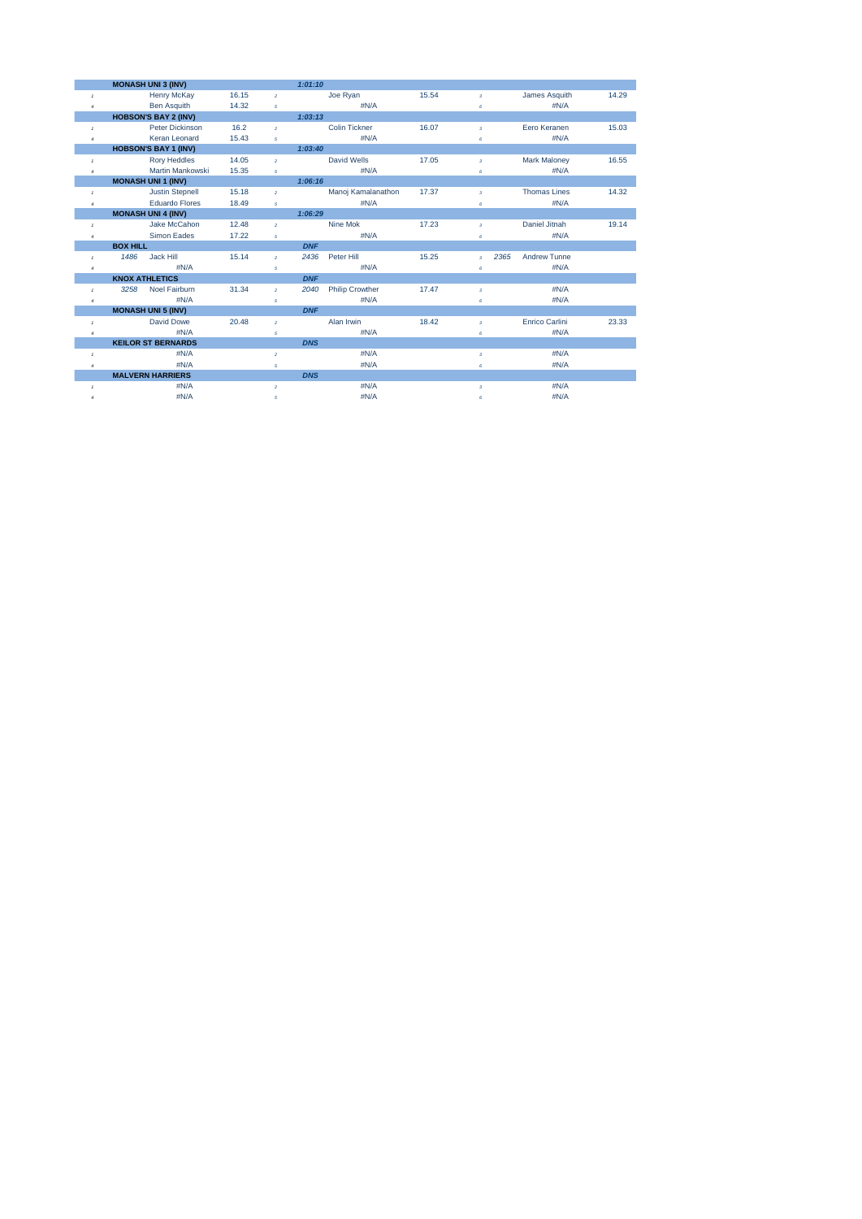|                | <b>MONASH UNI 3 (INV)</b>   |       |                | 1:01:10    |                        |       |                         |      |                     |       |
|----------------|-----------------------------|-------|----------------|------------|------------------------|-------|-------------------------|------|---------------------|-------|
| $\mathcal{I}$  | <b>Henry McKay</b>          | 16.15 | $\overline{2}$ |            | Joe Ryan               | 15.54 | $\overline{3}$          |      | James Asquith       | 14.29 |
| $\overline{4}$ | <b>Ben Asquith</b>          | 14.32 | 5              |            | #N/A                   |       | 6                       |      | $\#N/A$             |       |
|                | <b>HOBSON'S BAY 2 (INV)</b> |       |                | 1:03:13    |                        |       |                         |      |                     |       |
| $\mathbf{1}$   | Peter Dickinson             | 16.2  | $\overline{2}$ |            | <b>Colin Tickner</b>   | 16.07 | $\overline{3}$          |      | Eero Keranen        | 15.03 |
| $\overline{4}$ | Keran Leonard               | 15.43 | 5              |            | #N/A                   |       | 6                       |      | #N/A                |       |
|                | <b>HOBSON'S BAY 1 (INV)</b> |       |                | 1:03:40    |                        |       |                         |      |                     |       |
| $\mathbf{1}$   | <b>Rory Heddles</b>         | 14.05 | $\overline{2}$ |            | David Wells            | 17.05 | $\overline{3}$          |      | <b>Mark Maloney</b> | 16.55 |
| $\overline{4}$ | Martin Mankowski            | 15.35 | $\overline{5}$ |            | #N/A                   |       | 6                       |      | #N/A                |       |
|                | <b>MONASH UNI 1 (INV)</b>   |       |                | 1:06:16    |                        |       |                         |      |                     |       |
| $\mathcal{I}$  | <b>Justin Stepnell</b>      | 15.18 | $\overline{2}$ |            | Manoj Kamalanathon     | 17.37 | $\overline{3}$          |      | <b>Thomas Lines</b> | 14.32 |
| $\overline{4}$ | <b>Eduardo Flores</b>       | 18.49 | 5              |            | #N/A                   |       | 6                       |      | #N/A                |       |
|                | <b>MONASH UNI 4 (INV)</b>   |       |                | 1:06:29    |                        |       |                         |      |                     |       |
| $\mathbf{I}$   | Jake McCahon                | 12.48 | $\overline{2}$ |            | Nine Mok               | 17.23 | $\overline{\mathbf{3}}$ |      | Daniel Jitnah       | 19.14 |
| $\overline{4}$ | <b>Simon Eades</b>          | 17.22 | 5              |            | $\#N/A$                |       | 6                       |      | $\#N/A$             |       |
|                | <b>BOX HILL</b>             |       |                | <b>DNF</b> |                        |       |                         |      |                     |       |
| $\mathbf{I}$   | Jack Hill<br>1486           | 15.14 | $\mathfrak{p}$ | 2436       | Peter Hill             | 15.25 | $\overline{a}$          | 2365 | <b>Andrew Tunne</b> |       |
| $\overline{4}$ | #N/A                        |       | 5              |            | #N/A                   |       | 6                       |      | #N/A                |       |
|                | <b>KNOX ATHLETICS</b>       |       |                | <b>DNF</b> |                        |       |                         |      |                     |       |
| $\mathbf{1}$   | 3258<br>Noel Fairburn       | 31.34 | $\overline{2}$ | 2040       | <b>Philip Crowther</b> | 17.47 | $\overline{\mathbf{3}}$ |      | #N/A                |       |
| $\overline{4}$ | #N/A                        |       | 5              |            | #N/A                   |       | 6                       |      | #N/A                |       |
|                | <b>MONASH UNI 5 (INV)</b>   |       |                | <b>DNF</b> |                        |       |                         |      |                     |       |
| $\mathbf{I}$   | <b>David Dowe</b>           | 20.48 | $\overline{2}$ |            | Alan Irwin             | 18.42 | $\overline{\mathbf{3}}$ |      | Enrico Carlini      | 23.33 |
| $\overline{4}$ | #N/A                        |       | 5              |            | #N/A                   |       | 6                       |      | #N/A                |       |
|                | <b>KEILOR ST BERNARDS</b>   |       |                | <b>DNS</b> |                        |       |                         |      |                     |       |
| $\mathbf{I}$   | #N/A                        |       | $\overline{2}$ |            | $\#N/A$                |       | $\overline{3}$          |      | #N/A                |       |
| $\overline{4}$ | #N/A                        |       | 5              |            | #N/A                   |       | 6                       |      | #N/A                |       |
|                | <b>MALVERN HARRIERS</b>     |       |                | <b>DNS</b> |                        |       |                         |      |                     |       |
| $\mathbf{1}$   | #N/A                        |       | $\overline{2}$ |            | #N/A                   |       | $\overline{3}$          |      | #N/A                |       |
| $\overline{4}$ | #N/A                        |       | 5              |            | #N/A                   |       | 6                       |      | #N/A                |       |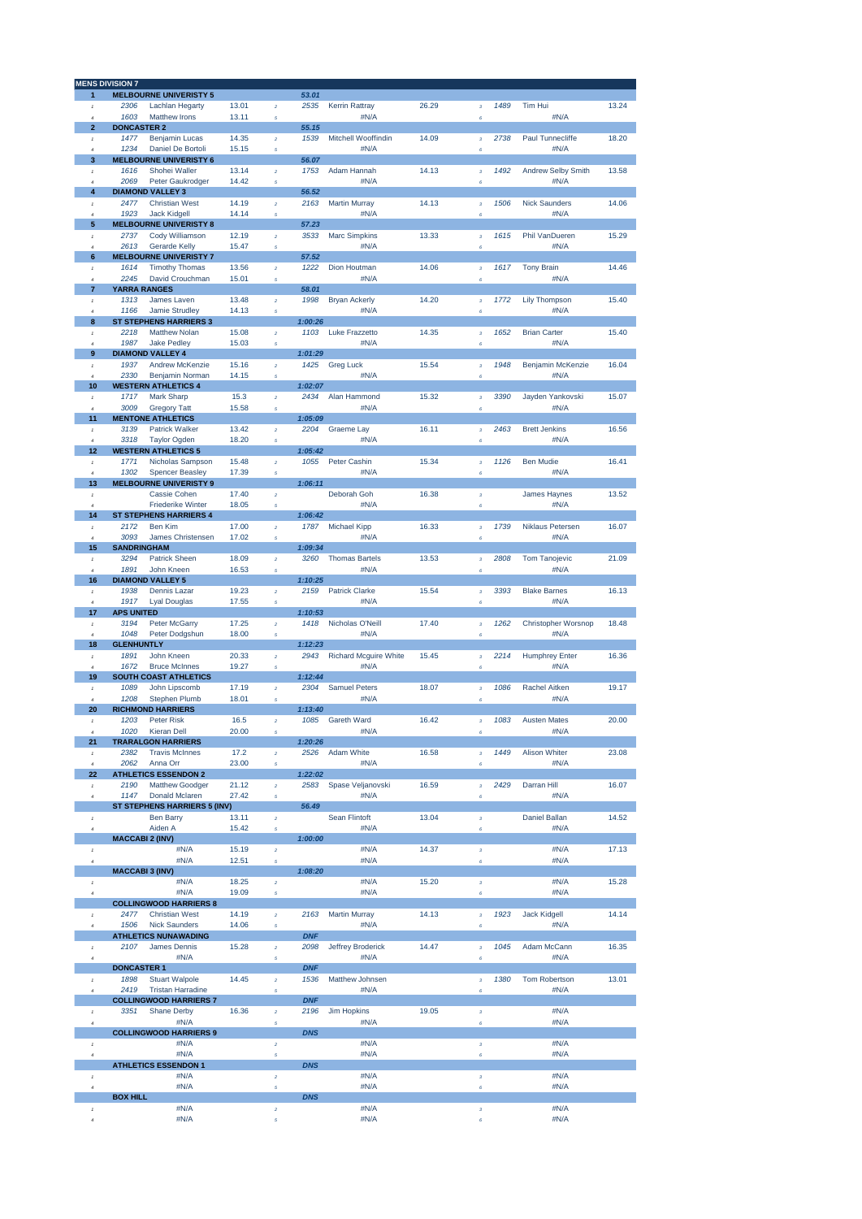|                                  | <b>MENS DIVISION 7</b>      |                                                    |                |                             |                    |                                  |       |                           |      |                                    |       |
|----------------------------------|-----------------------------|----------------------------------------------------|----------------|-----------------------------|--------------------|----------------------------------|-------|---------------------------|------|------------------------------------|-------|
| 1                                |                             | <b>MELBOURNE UNIVERISTY 5</b>                      |                |                             | 53.01              |                                  |       |                           |      |                                    |       |
| $\mathbf{I}$                     | 2306                        | Lachlan Hegarty                                    | 13.01          | $\overline{2}$              | 2535               | <b>Kerrin Rattray</b>            | 26.29 | $\bf{3}$                  | 1489 | Tim Hui                            | 13.24 |
| $\overline{4}$                   | 1603                        | Matthew Irons                                      | 13.11          | 5                           |                    | #N/A                             |       | 6                         |      | #N/A                               |       |
| $\overline{\mathbf{2}}$          | <b>DONCASTER 2</b>          |                                                    |                |                             | 55.15              |                                  |       |                           |      |                                    |       |
| $\mathbf{I}$                     | 1477                        | <b>Benjamin Lucas</b>                              | 14.35          | $\overline{2}$              | 1539               | Mitchell Wooffindin              | 14.09 | $\bf{3}$                  | 2738 | Paul Tunnecliffe                   | 18.20 |
|                                  | 1234                        | Daniel De Bortoli                                  | 15.15          | $\overline{5}$              |                    | #N/A                             |       | 6                         |      | #N/A                               |       |
| 3                                | 1616                        | <b>MELBOURNE UNIVERISTY 6</b><br>Shohei Waller     | 13.14          |                             | 56.07<br>1753      | Adam Hannah                      | 14.13 |                           | 1492 | <b>Andrew Selby Smith</b>          | 13.58 |
| $^\mathrm{f}$<br>$\lambda$       | 2069                        | Peter Gaukrodger                                   | 14.42          | $\bar{z}$<br>5              |                    | #N/A                             |       | $\bf{3}$<br>6             |      | #N/A                               |       |
| 4                                |                             | <b>DIAMOND VALLEY 3</b>                            |                |                             | 56.52              |                                  |       |                           |      |                                    |       |
| $\mathbf{f}$                     | 2477                        | <b>Christian West</b>                              | 14.19          | $\bar{z}$                   | 2163               | <b>Martin Murray</b>             | 14.13 | $\bf{3}$                  | 1506 | <b>Nick Saunders</b>               | 14.06 |
| $\overline{4}$                   | 1923                        | <b>Jack Kidgell</b>                                | 14.14          | 5                           |                    | #N/A                             |       | 6                         |      | #N/A                               |       |
| 5                                |                             | <b>MELBOURNE UNIVERISTY 8</b>                      |                |                             | 57.23              |                                  |       |                           |      |                                    |       |
| $\,$ 1 $\,$                      | 2737                        | Cody Williamson                                    | 12.19          | $\bar{z}$                   | 3533               | <b>Marc Simpkins</b>             | 13.33 | 3                         | 1615 | Phil VanDueren                     | 15.29 |
| $\overline{a}$                   | 2613                        | Gerarde Kelly                                      | 15.47          | $\overline{5}$              |                    | #N/A                             |       | Ŕ                         |      | #N/A                               |       |
| 6                                |                             | <b>MELBOURNE UNIVERISTY 7</b>                      |                |                             | 57.52              |                                  |       |                           |      |                                    |       |
| $\mathbf{I}$                     | 1614                        | <b>Timothy Thomas</b>                              | 13.56          | $\hat{\mathbf{z}}$          | 1222               | Dion Houtman                     | 14.06 | 3                         | 1617 | <b>Tony Brain</b>                  | 14.46 |
| $\overline{a}$<br>$\overline{7}$ | 2245<br><b>YARRA RANGES</b> | David Crouchman                                    | 15.01          | 5                           | 58.01              | #N/A                             |       | Ŕ.                        |      | #N/A                               |       |
| $\mathbf{I}$                     | 1313                        | James Laven                                        | 13.48          | $\overline{2}$              | 1998               | <b>Bryan Ackerly</b>             | 14.20 | $\bf{3}$                  | 1772 | <b>Lily Thompson</b>               | 15.40 |
| $\overline{a}$                   | 1166                        | Jamie Strudley                                     | 14.13          | 5                           |                    | #N/A                             |       | 6                         |      | #N/A                               |       |
| 8                                |                             | <b>ST STEPHENS HARRIERS 3</b>                      |                |                             | 1:00:26            |                                  |       |                           |      |                                    |       |
| $\mathbf{I}$                     | 2218                        | <b>Matthew Nolan</b>                               | 15.08          | $\overline{2}$              | 1103               | <b>Luke Frazzetto</b>            | 14.35 | $\overline{3}$            | 1652 | <b>Brian Carter</b>                | 15.40 |
| $\boldsymbol{d}$                 | 1987                        | <b>Jake Pedley</b>                                 | 15.03          | 5                           |                    | #N/A                             |       | 6                         |      | #N/A                               |       |
| 9                                |                             | <b>DIAMOND VALLEY 4</b>                            |                |                             | 1:01:29            |                                  |       |                           |      |                                    |       |
| $\mathbf{I}$                     | 1937                        | <b>Andrew McKenzie</b>                             | 15.16          | $\overline{2}$              | 1425               | <b>Greg Luck</b>                 | 15.54 | $\overline{3}$            | 1948 | Benjamin McKenzie                  | 16.04 |
| $\boldsymbol{d}$                 | 2330                        | <b>Benjamin Norman</b>                             | 14.15          | $\overline{5}$              |                    | #N/A                             |       | 6                         |      | #N/A                               |       |
| 10                               |                             | <b>WESTERN ATHLETICS 4</b>                         |                |                             | 1:02:07            | Alan Hammond                     |       |                           |      |                                    |       |
| $\mathbf{r}$<br>$\overline{4}$   | 1717<br>3009                | <b>Mark Sharp</b><br><b>Gregory Tatt</b>           | 15.3<br>15.58  | $\overline{2}$<br>5         | 2434               | #N/A                             | 15.32 | $\bf{3}$<br>6             | 3390 | Jayden Yankovski<br>#N/A           | 15.07 |
| 11                               |                             | <b>MENTONE ATHLETICS</b>                           |                |                             | 1:05:09            |                                  |       |                           |      |                                    |       |
| $\mathbf{I}$                     | 3139                        | <b>Patrick Walker</b>                              | 13.42          | $\overline{2}$              | 2204               | Graeme Lay                       | 16.11 | $\bf{3}$                  | 2463 | <b>Brett Jenkins</b>               | 16.56 |
| $\overline{4}$                   | 3318                        | <b>Taylor Ogden</b>                                | 18.20          | 5                           |                    | #N/A                             |       | 6                         |      | #N/A                               |       |
| 12                               |                             | <b>WESTERN ATHLETICS 5</b>                         |                |                             | 1:05:42            |                                  |       |                           |      |                                    |       |
| $^\mathrm{f}$                    | 1771                        | Nicholas Sampson                                   | 15.48          | $\bar{z}$                   | 1055               | Peter Cashin                     | 15.34 | 3                         | 1126 | Ben Mudie                          | 16.41 |
| $\lambda$                        | 1302                        | <b>Spencer Beasley</b>                             | 17.39          | 5                           |                    | #N/A                             |       | 6                         |      | #N/A                               |       |
| 13                               |                             | <b>MELBOURNE UNIVERISTY 9</b>                      |                |                             | 1:06:11            |                                  |       |                           |      |                                    |       |
| $\,$ 1 $\,$                      |                             | Cassie Cohen                                       | 17.40          | $\bar{z}$                   |                    | Deborah Goh                      | 16.38 | $\bf{3}$                  |      | <b>James Haynes</b>                | 13.52 |
| $\lambda$                        |                             | <b>Friederike Winter</b>                           | 18.05          | 5                           | 1:06:42            | #N/A                             |       | 6                         |      | #N/A                               |       |
| 14<br>$^\mathrm{f}$              | 2172                        | <b>ST STEPHENS HARRIERS 4</b><br><b>Ben Kim</b>    | 17.00          | $\overline{2}$              | 1787               | Michael Kipp                     | 16.33 | $\bf{3}$                  | 1739 | <b>Niklaus Petersen</b>            | 16.07 |
| $\overline{a}$                   | 3093                        | James Christensen                                  | 17.02          | $\overline{5}$              |                    | #N/A                             |       | 6                         |      | #N/A                               |       |
| 15                               | <b>SANDRINGHAM</b>          |                                                    |                |                             | 1:09:34            |                                  |       |                           |      |                                    |       |
| $\mathbf{I}$                     | 3294                        | <b>Patrick Sheen</b>                               | 18.09          | $\overline{2}$              | 3260               | <b>Thomas Bartels</b>            | 13.53 | $\bf{3}$                  | 2808 | <b>Tom Tanojevic</b>               | 21.09 |
| $\overline{a}$                   | 1891                        | John Kneen                                         | 16.53          | 5                           |                    | #N/A                             |       | 6                         |      | #N/A                               |       |
| 16                               |                             | <b>DIAMOND VALLEY 5</b>                            |                |                             | 1:10:25            |                                  |       |                           |      |                                    |       |
| $\mathbf{I}$                     | 1938                        | <b>Dennis Lazar</b>                                | 19.23          | $\overline{2}$              | 2159               | <b>Patrick Clarke</b>            | 15.54 | 3                         | 3393 | <b>Blake Barnes</b>                | 16.13 |
| $\overline{a}$                   | 1917                        | <b>Lyal Douglas</b>                                | 17.55          | $\overline{5}$              |                    | #N/A                             |       | 6                         |      | #N/A                               |       |
| 17                               | <b>APS UNITED</b>           |                                                    |                |                             | 1:10:53            |                                  |       |                           |      |                                    |       |
| $\mathbf{I}$<br>$\boldsymbol{d}$ | 3194<br>1048                | Peter McGarry<br>Peter Dodgshun                    | 17.25<br>18.00 | $\bar{2}$<br>$\overline{5}$ | 1418               | Nicholas O'Neill<br>#N/A         | 17.40 | $\overline{3}$<br>6       | 1262 | <b>Christopher Worsnop</b><br>#N/A | 18.48 |
| 18                               | <b>GLENHUNTLY</b>           |                                                    |                |                             | 1:12:23            |                                  |       |                           |      |                                    |       |
| $\mathbf{I}$                     | 1891                        | John Kneen                                         | 20.33          | $\overline{2}$              | 2943               | <b>Richard Mcguire White</b>     | 15.45 | $\overline{\mathbf{3}}$   | 2214 | <b>Humphrey Enter</b>              | 16.36 |
| $\overline{4}$                   | 1672                        | <b>Bruce McInnes</b>                               | 19.27          | 5                           |                    | #N/A                             |       | 6                         |      | #N/A                               |       |
| 19                               |                             | <b>SOUTH COAST ATHLETICS</b>                       |                |                             | 1:12:44            |                                  |       |                           |      |                                    |       |
| $\mathbf{I}$                     | 1089                        | John Lipscomb                                      | 17.19          | $\overline{2}$              | 2304               | <b>Samuel Peters</b>             | 18.07 | $\bf{3}$                  | 1086 | <b>Rachel Aitken</b>               | 19.17 |
|                                  | 1208                        | <b>Stephen Plumb</b>                               | 18.01          | $\overline{5}$              |                    | #N/A                             |       | 6                         |      | #N/A                               |       |
| 20                               |                             | <b>RICHMOND HARRIERS</b>                           |                |                             | 1:13:40            |                                  |       |                           |      |                                    |       |
| $\mathbf{I}$                     | 1203                        | <b>Peter Risk</b>                                  | 16.5           | $\overline{2}$              | 1085               | Gareth Ward                      | 16.42 | 3                         | 1083 | <b>Austen Mates</b>                | 20.00 |
| $\overline{4}$<br>21             | 1020                        | Kieran Dell<br><b>TRARALGON HARRIERS</b>           | 20.00          | $\sqrt{s}$                  | 1:20:26            | #N/A                             |       | 6                         |      | #N/A                               |       |
| $^\mathrm{f}$                    | 2382                        | <b>Travis McInnes</b>                              | 17.2           | $\bar{z}$                   | 2526               | Adam White                       | 16.58 | $\bf{3}$                  | 1449 | <b>Alison Whiter</b>               | 23.08 |
| $\overline{4}$                   | 2062                        | Anna Orr                                           | 23.00          | 5                           |                    | #N/A                             |       | 6                         |      | #N/A                               |       |
| 22                               |                             | <b>ATHLETICS ESSENDON 2</b>                        |                |                             | 1:22:02            |                                  |       |                           |      |                                    |       |
| $^\mathrm{f}$                    | 2190                        | <b>Matthew Goodger</b>                             | 21.12          | $\bar{2}$                   | 2583               | Spase Veljanovski                | 16.59 | $\bf{3}$                  | 2429 | Darran Hill                        | 16.07 |
| $\boldsymbol{4}$                 | 1147                        | <b>Donald Mclaren</b>                              | 27.42          | 5                           |                    | #N/A                             |       | 6                         |      | #N/A                               |       |
|                                  |                             | ST STEPHENS HARRIERS 5 (INV)                       |                |                             | 56.49              |                                  |       |                           |      |                                    |       |
| $\,$ f<br>$\overline{4}$         |                             | <b>Ben Barry</b><br>Aiden A                        | 13.11<br>15.42 | $\bar{2}$                   |                    | Sean Flintoft<br>#N/A            | 13.04 | 3<br>$\ddot{\epsilon}$    |      | <b>Daniel Ballan</b><br>#N/A       | 14.52 |
|                                  | <b>MACCABI 2 (INV)</b>      |                                                    |                | 5                           | 1:00:00            |                                  |       |                           |      |                                    |       |
| $\,$ $\,$                        |                             | #N/A                                               | 15.19          | $\boldsymbol{2}$            |                    | #N/A                             | 14.37 | $\boldsymbol{\mathsf{3}}$ |      | #N/A                               | 17.13 |
| $\overline{4}$                   |                             | #N/A                                               | 12.51          | 5                           |                    | #N/A                             |       | 6                         |      | #N/A                               |       |
|                                  | <b>MACCABI 3 (INV)</b>      |                                                    |                |                             | 1:08:20            |                                  |       |                           |      |                                    |       |
| $^\mathrm{f}$                    |                             | #N/A                                               | 18.25          | $\bar{2}$                   |                    | #N/A                             | 15.20 | $\bf{3}$                  |      | #N/A                               | 15.28 |
| $\overline{4}$                   |                             | #N/A                                               | 19.09          | 5                           |                    | #N/A                             |       | $\boldsymbol{\epsilon}$   |      | #N/A                               |       |
|                                  |                             | <b>COLLINGWOOD HARRIERS 8</b>                      |                |                             |                    |                                  |       |                           |      |                                    |       |
| $\mathbf{I}$                     |                             |                                                    |                |                             |                    |                                  |       |                           |      |                                    |       |
|                                  | 2477                        | <b>Christian West</b>                              | 14.19          | $\bar{z}$                   | 2163               | <b>Martin Murray</b>             | 14.13 | $\bf{3}$                  | 1923 | <b>Jack Kidgell</b>                | 14.14 |
| $\overline{4}$                   | 1506                        | <b>Nick Saunders</b>                               | 14.06          | $\overline{5}$              |                    | #N/A                             |       | 6                         |      | #N/A                               |       |
| $\mathbf{I}$                     | 2107                        | <b>ATHLETICS NUNAWADING</b><br><b>James Dennis</b> |                | $\bar{2}$                   | <b>DNF</b><br>2098 |                                  |       |                           | 1045 | Adam McCann                        | 16.35 |
| $\overline{4}$                   |                             | #N/A                                               | 15.28          | 5                           |                    | <b>Jeffrey Broderick</b><br>#N/A | 14.47 | $\bf{3}$<br>6             |      | #N/A                               |       |
|                                  | <b>DONCASTER 1</b>          |                                                    |                |                             | <b>DNF</b>         |                                  |       |                           |      |                                    |       |
| $\mathbf{r}$                     | 1898                        | <b>Stuart Walpole</b>                              | 14.45          | $\bar{2}$                   | 1536               | Matthew Johnsen                  |       | $\bf{3}$                  | 1380 | <b>Tom Robertson</b>               | 13.01 |
| $\overline{4}$                   | 2419                        | <b>Tristan Harradine</b>                           |                | 5                           |                    | #N/A                             |       | 6                         |      | #N/A                               |       |
|                                  |                             | <b>COLLINGWOOD HARRIERS 7</b>                      |                |                             | <b>DNF</b>         |                                  |       |                           |      |                                    |       |
| $^\mathrm{f}$                    | 3351                        | <b>Shane Derby</b>                                 | 16.36          | $\bar{2}$                   | 2196               | <b>Jim Hopkins</b>               | 19.05 | 3                         |      | #N/A                               |       |
| $\overline{4}$                   |                             | #N/A                                               |                | 5                           |                    | #N/A                             |       | 6                         |      | #N/A                               |       |
|                                  |                             | <b>COLLINGWOOD HARRIERS 9</b>                      |                |                             | <b>DNS</b>         |                                  |       |                           |      |                                    |       |
| $\,$ f<br>$\overline{4}$         |                             | #N/A<br>#N/A                                       |                | $\bar{z}$<br>5              |                    | #N/A<br>#N/A                     |       | 3<br>6                    |      | #N/A<br>#N/A                       |       |
|                                  |                             | <b>ATHLETICS ESSENDON 1</b>                        |                |                             | <b>DNS</b>         |                                  |       |                           |      |                                    |       |
| $^\mathrm{f}$                    |                             | #N/A                                               |                | $\bar{2}$                   |                    | #N/A                             |       | $\bf{3}$                  |      | #N/A                               |       |
| $\overline{4}$                   |                             | #N/A                                               |                | 5                           |                    | #N/A                             |       | 6                         |      | #N/A                               |       |
| $\,$ f                           | <b>BOX HILL</b>             | #N/A                                               |                | $\bar{2}$                   | <b>DNS</b>         | #N/A                             |       | 3                         |      | #N/A                               |       |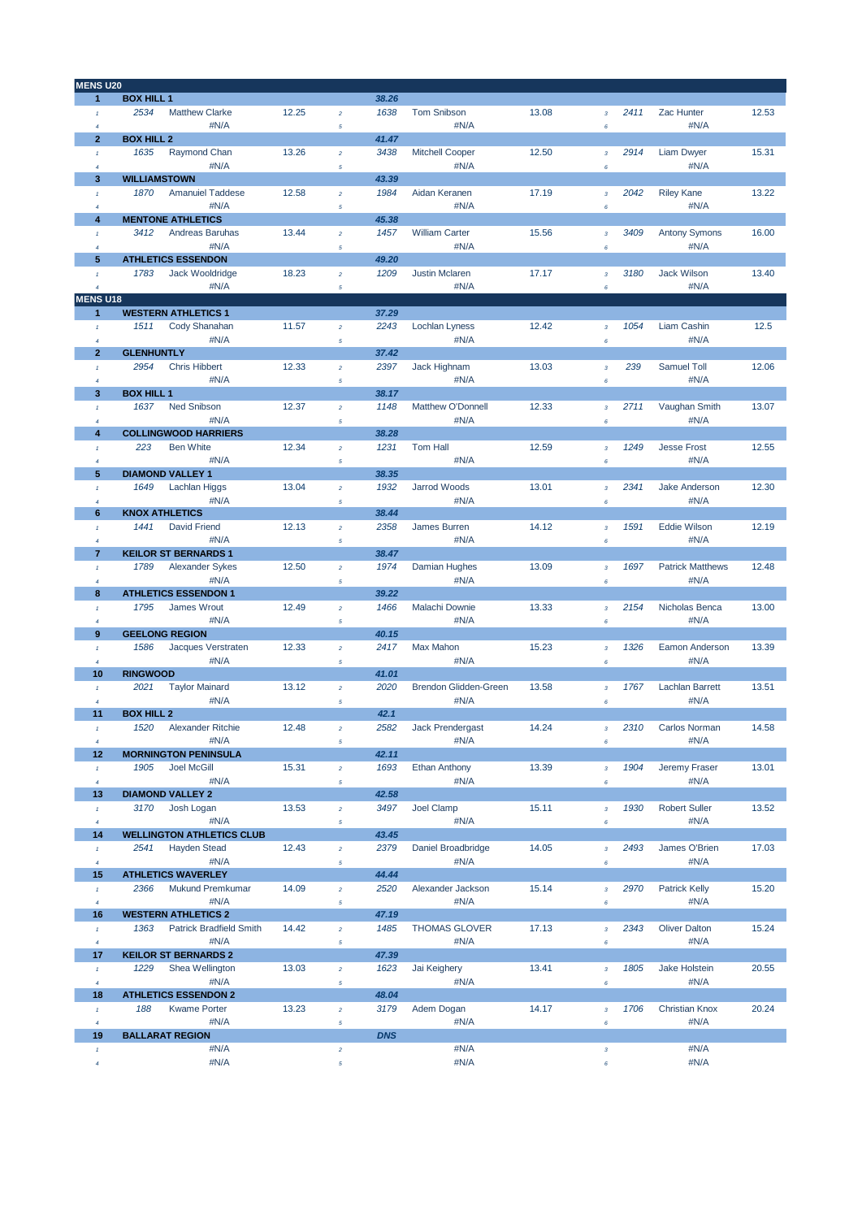| <b>MENS U20</b>          |                                        |       |                                  |            |                        |       |                              |      |                         |       |
|--------------------------|----------------------------------------|-------|----------------------------------|------------|------------------------|-------|------------------------------|------|-------------------------|-------|
| $\mathbf{1}$             | <b>BOX HILL 1</b>                      |       |                                  | 38.26      |                        |       |                              |      |                         |       |
| $\mathbf{I}$             | 2534<br><b>Matthew Clarke</b>          | 12.25 | $\overline{a}$                   | 1638       | <b>Tom Snibson</b>     | 13.08 | $\overline{\mathbf{3}}$      | 2411 | Zac Hunter              | 12.53 |
| $\overline{4}$           | #N/A                                   |       | 5                                |            | #N/A                   |       | 6                            |      | #N/A                    |       |
| $\overline{2}$           | <b>BOX HILL 2</b>                      |       |                                  | 41.47      |                        |       |                              |      |                         |       |
| $\mathcal{I}$            | 1635<br>Raymond Chan                   | 13.26 | $\bar{z}$                        | 3438       | <b>Mitchell Cooper</b> | 12.50 | $\overline{3}$               | 2914 | <b>Liam Dwyer</b>       | 15.31 |
| $\overline{4}$           | #N/A                                   |       | 5                                |            | #N/A                   |       | 6                            |      | #N/A                    |       |
| 3                        | <b>WILLIAMSTOWN</b>                    |       |                                  | 43.39      |                        |       |                              |      |                         |       |
| $\mathbf{I}$             | 1870<br><b>Amanuiel Taddese</b>        | 12.58 | $\overline{a}$                   | 1984       | Aidan Keranen          | 17.19 | $\overline{\mathbf{3}}$      | 2042 | <b>Riley Kane</b>       | 13.22 |
| $\overline{4}$           | #N/A                                   |       | 5                                |            | #N/A                   |       | 6                            |      | #N/A                    |       |
| 4                        | <b>MENTONE ATHLETICS</b>               |       |                                  | 45.38      |                        |       |                              |      |                         |       |
| $\mathcal{I}$            | 3412<br>Andreas Baruhas                | 13.44 | $\bar{z}$                        | 1457       | <b>William Carter</b>  | 15.56 | $\overline{3}$               | 3409 | <b>Antony Symons</b>    | 16.00 |
| $\overline{4}$           | #N/A                                   |       | 5                                |            | #N/A                   |       | 6                            |      | #N/A                    |       |
| 5                        | <b>ATHLETICS ESSENDON</b>              |       |                                  | 49.20      |                        |       |                              |      |                         |       |
| $\mathcal{I}$            | 1783<br>Jack Wooldridge                | 18.23 | $\overline{a}$                   | 1209       | <b>Justin Mclaren</b>  | 17.17 | $\overline{\mathbf{3}}$      | 3180 | <b>Jack Wilson</b>      | 13.40 |
| $\overline{4}$           | #N/A                                   |       | 5                                |            | #N/A                   |       | 6                            |      | #N/A                    |       |
| <b>MENS U18</b>          |                                        |       |                                  |            |                        |       |                              |      |                         |       |
| $\mathbf{1}$             | <b>WESTERN ATHLETICS 1</b>             |       |                                  | 37.29      |                        |       |                              |      |                         |       |
| $\mathcal{I}$            | 1511<br>Cody Shanahan                  | 11.57 | $\overline{a}$                   | 2243       | <b>Lochlan Lyness</b>  | 12.42 | $\overline{\mathbf{3}}$      | 1054 | Liam Cashin             | 12.5  |
| $\overline{4}$           | #N/A                                   |       | 5                                |            | #N/A                   |       | 6                            |      | #N/A                    |       |
| $\overline{2}$           | <b>GLENHUNTLY</b>                      |       |                                  | 37.42      |                        |       |                              |      |                         |       |
| $\overline{1}$           | 2954<br><b>Chris Hibbert</b>           | 12.33 | $\overline{a}$                   | 2397       | Jack Highnam           | 13.03 | $\overline{\mathbf{3}}$      | 239  | Samuel Toll             | 12.06 |
| $\overline{4}$           | #N/A                                   |       | 5                                |            | #N/A                   |       | 6                            |      | #N/A                    |       |
| 3                        | <b>BOX HILL 1</b>                      |       |                                  | 38.17      |                        |       |                              |      |                         |       |
| $\mathcal{I}$            | Ned Snibson<br>1637                    | 12.37 | $\overline{a}$                   | 1148       | Matthew O'Donnell      | 12.33 | $\mathbf 3$                  | 2711 | Vaughan Smith           | 13.07 |
| $\overline{4}$           | #N/A                                   |       | 5                                |            | #N/A                   |       | 6                            |      | #N/A                    |       |
| 4                        | <b>COLLINGWOOD HARRIERS</b>            |       |                                  | 38.28      |                        |       |                              |      |                         |       |
| $\mathcal{I}$            | 223<br><b>Ben White</b>                | 12.34 | $\overline{a}$                   | 1231       | <b>Tom Hall</b>        | 12.59 | $\overline{\mathbf{3}}$      | 1249 | <b>Jesse Frost</b>      | 12.55 |
| $\overline{4}$           | #N/A                                   |       | 5                                |            | #N/A                   |       | 6                            |      | #N/A                    |       |
| 5                        | <b>DIAMOND VALLEY 1</b>                |       |                                  | 38.35      |                        |       |                              |      |                         |       |
| $\mathcal{I}$            | 1649<br><b>Lachlan Higgs</b>           | 13.04 | $\overline{a}$                   | 1932       | <b>Jarrod Woods</b>    | 13.01 | $\overline{\mathbf{3}}$      | 2341 | <b>Jake Anderson</b>    | 12.30 |
| $\overline{4}$           | #N/A                                   |       | 5                                |            | #N/A                   |       | 6                            |      | #N/A                    |       |
| 6                        | <b>KNOX ATHLETICS</b>                  |       |                                  | 38.44      |                        |       |                              |      |                         |       |
| $\mathcal{I}$            | 1441<br><b>David Friend</b>            | 12.13 | $\overline{a}$                   | 2358       | James Burren           | 14.12 | $\overline{3}$               | 1591 | <b>Eddie Wilson</b>     | 12.19 |
| $\overline{4}$           | #N/A                                   |       | 5                                |            | #N/A                   |       | 6                            |      | #N/A                    |       |
| $\overline{7}$           | <b>KEILOR ST BERNARDS 1</b>            |       |                                  | 38.47      |                        |       |                              |      |                         |       |
| $\mathcal{I}$            | 1789<br><b>Alexander Sykes</b>         | 12.50 | $\overline{a}$                   | 1974       | Damian Hughes          | 13.09 | $\overline{\mathbf{3}}$      | 1697 | <b>Patrick Matthews</b> | 12.48 |
| $\overline{4}$           | #N/A                                   |       | 5                                |            | #N/A                   |       | 6                            |      | #N/A                    |       |
| 8                        | <b>ATHLETICS ESSENDON 1</b>            |       |                                  | 39.22      |                        |       |                              |      |                         |       |
| $\mathcal{I}$            | 1795<br>James Wrout                    | 12.49 | $\overline{a}$                   | 1466       | Malachi Downie         | 13.33 | $\overline{\mathbf{3}}$      | 2154 | Nicholas Benca          | 13.00 |
| $\overline{4}$           | #N/A                                   |       | 5                                |            | #N/A                   |       | 6                            |      | #N/A                    |       |
| 9                        | <b>GEELONG REGION</b>                  |       |                                  | 40.15      |                        |       |                              |      |                         |       |
| $\mathcal{I}$            | 1586<br>Jacques Verstraten             | 12.33 | $\overline{a}$                   | 2417       | Max Mahon              | 15.23 | $\overline{\mathbf{3}}$      | 1326 | Eamon Anderson          | 13.39 |
| $\overline{4}$           | #N/A                                   |       | 5                                |            | #N/A                   |       | 6                            |      | #N/A                    |       |
| 10                       | <b>RINGWOOD</b>                        |       |                                  | 41.01      |                        |       |                              |      |                         |       |
| $\tau$                   | 2021<br><b>Taylor Mainard</b>          | 13.12 | $\overline{a}$                   | 2020       | Brendon Glidden-Green  | 13.58 | $\overline{\mathbf{3}}$      | 1767 | <b>Lachlan Barrett</b>  | 13.51 |
| $\overline{4}$           | #N/A                                   |       | 5                                |            | #N/A                   |       | 6                            |      | #N/A                    |       |
| 11                       | <b>BOX HILL 2</b>                      |       |                                  | 42.1       |                        |       |                              |      |                         |       |
|                          | 1520<br>Alexander Ritchie              | 12.48 |                                  | 2582       | Jack Prendergast       | 14.24 |                              | 2310 | Carlos Norman           | 14.58 |
| $\overline{4}$           | #N/A                                   |       | $\sqrt{5}$                       |            | #N/A                   |       | 6                            |      | #N/A                    |       |
| 12                       | <b>MORNINGTON PENINSULA</b>            |       |                                  | 42.11      |                        |       |                              |      |                         |       |
| $\pmb{\tau}$             | 1905<br>Joel McGill                    | 15.31 | $\overline{a}$                   | 1693       | <b>Ethan Anthony</b>   | 13.39 | 3                            | 1904 | Jeremy Fraser           | 13.01 |
| $\overline{4}$           | #N/A                                   |       | $\sqrt{5}$                       |            | #N/A                   |       | 6                            |      | #N/A                    |       |
| 13                       | <b>DIAMOND VALLEY 2</b>                |       |                                  | 42.58      |                        |       |                              |      |                         |       |
| $\mathcal{I}$            | 3170<br>Josh Logan                     | 13.53 | $\overline{\mathbf{c}}$          | 3497       | Joel Clamp             | 15.11 | $\overline{\mathbf{3}}$      | 1930 | <b>Robert Suller</b>    | 13.52 |
| $\overline{4}$           | #N/A                                   |       | 5                                |            | #N/A                   |       | 6                            |      | #N/A                    |       |
| 14                       | <b>WELLINGTON ATHLETICS CLUB</b>       |       |                                  | 43.45      |                        |       |                              |      |                         |       |
| $\tau$                   | <b>Hayden Stead</b><br>2541            | 12.43 | $\overline{a}$                   | 2379       | Daniel Broadbridge     | 14.05 | $\overline{\mathbf{3}}$      | 2493 | James O'Brien           | 17.03 |
| $\overline{4}$           | #N/A                                   |       | $\sqrt{5}$                       |            | #N/A                   |       | 6                            |      | #N/A                    |       |
| 15                       | <b>ATHLETICS WAVERLEY</b>              |       |                                  | 44.44      |                        |       |                              |      |                         |       |
| $\mathcal{I}$            | Mukund Premkumar<br>2366               | 14.09 | $\overline{a}$                   | 2520       | Alexander Jackson      | 15.14 | $\mathbf 3$                  | 2970 | <b>Patrick Kelly</b>    | 15.20 |
| $\overline{4}$           | #N/A                                   |       | 5                                |            | #N/A                   |       | 6                            |      | #N/A                    |       |
| 16                       | <b>WESTERN ATHLETICS 2</b>             |       |                                  | 47.19      |                        |       |                              |      |                         |       |
| $\tau$                   | <b>Patrick Bradfield Smith</b><br>1363 | 14.42 | $\overline{a}$                   | 1485       | <b>THOMAS GLOVER</b>   | 17.13 | $\overline{\mathbf{3}}$      | 2343 | <b>Oliver Dalton</b>    | 15.24 |
| $\overline{4}$           | #N/A                                   |       | $\sqrt{5}$                       |            | #N/A                   |       | 6                            |      | #N/A                    |       |
| 17                       | <b>KEILOR ST BERNARDS 2</b>            |       |                                  | 47.39      |                        |       |                              |      |                         |       |
| $\mathcal{I}$            | 1229<br>Shea Wellington                | 13.03 | $\overline{a}$                   | 1623       | Jai Keighery           | 13.41 | $\overline{\mathbf{3}}$      | 1805 | <b>Jake Holstein</b>    | 20.55 |
| $\overline{4}$           | #N/A                                   |       | 5                                |            | #N/A                   |       | 6                            |      | #N/A                    |       |
| 18                       | <b>ATHLETICS ESSENDON 2</b>            |       |                                  | 48.04      |                        |       |                              |      |                         |       |
| $\pmb{\tau}$             | 188<br><b>Kwame Porter</b>             | 13.23 | $\overline{a}$                   | 3179       | Adem Dogan             | 14.17 | $\overline{\mathbf{3}}$      | 1706 | <b>Christian Knox</b>   | 20.24 |
| $\sqrt{4}$               | #N/A                                   |       | 5                                |            | #N/A                   |       | 6                            |      | #N/A                    |       |
|                          |                                        |       |                                  |            |                        |       |                              |      |                         |       |
| 19                       | <b>BALLARAT REGION</b>                 |       |                                  | <b>DNS</b> |                        |       |                              |      |                         |       |
| $\tau$<br>$\overline{4}$ | #N/A<br>#N/A                           |       | $\overline{a}$<br>5 <sup>1</sup> |            | #N/A<br>#N/A           |       | $\overline{\mathbf{3}}$<br>6 |      | #N/A<br>#N/A            |       |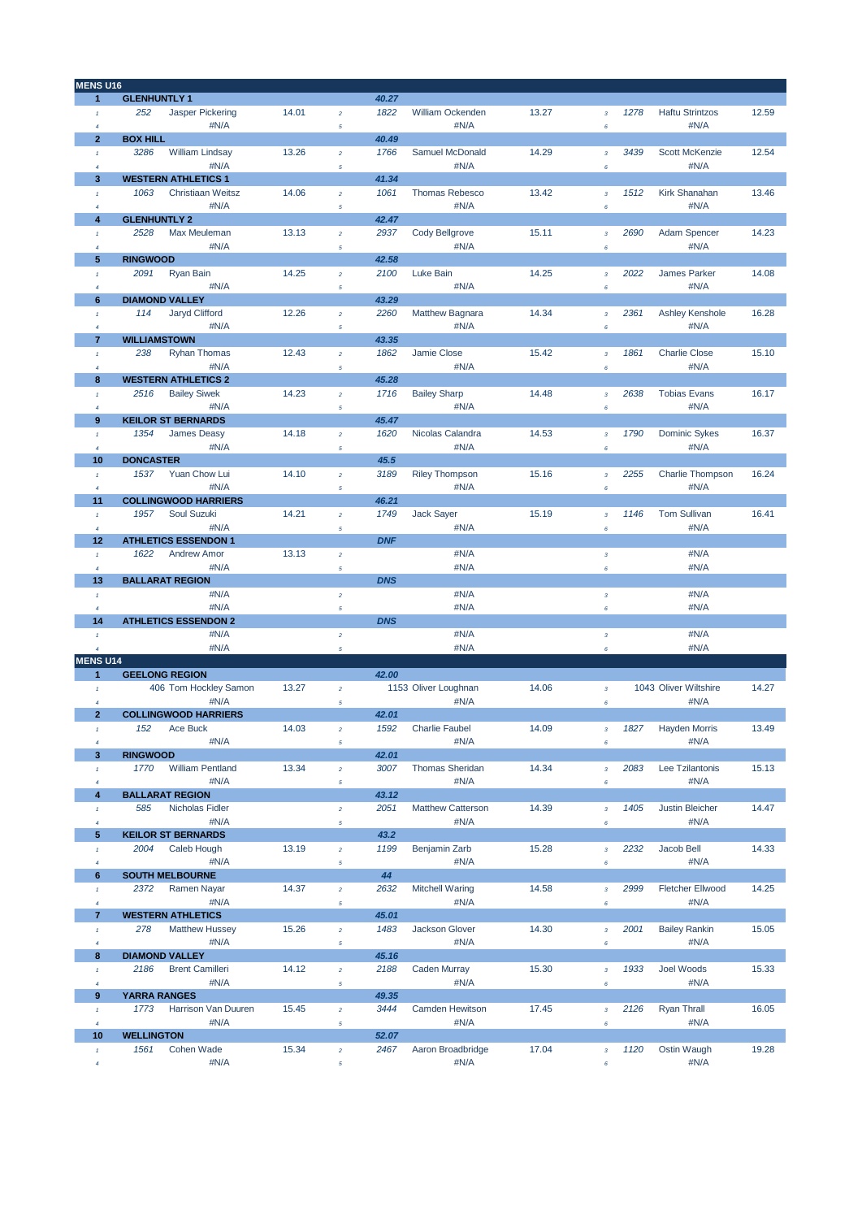| MENS U16                         |                                     |       |                |            |                           |       |                           |      |                         |       |
|----------------------------------|-------------------------------------|-------|----------------|------------|---------------------------|-------|---------------------------|------|-------------------------|-------|
| $\mathbf{1}$                     | <b>GLENHUNTLY 1</b>                 |       |                | 40.27      |                           |       |                           |      |                         |       |
| $\mathcal{I}$                    | <b>Jasper Pickering</b><br>252      | 14.01 | $\overline{a}$ | 1822       | William Ockenden          | 13.27 | $\overline{3}$            | 1278 | <b>Haftu Strintzos</b>  | 12.59 |
| $\overline{4}$                   | #N/A                                |       | 5              |            | #N/A                      |       | 6                         |      | #N/A                    |       |
| $\overline{2}$                   | <b>BOX HILL</b>                     |       |                | 40.49      |                           |       |                           |      |                         |       |
| $\mathcal{I}$                    | 3286<br>William Lindsay             | 13.26 | $\overline{a}$ | 1766       | Samuel McDonald           | 14.29 | $\overline{3}$            | 3439 | <b>Scott McKenzie</b>   | 12.54 |
| $\overline{4}$                   | #N/A                                |       | 5              |            | #N/A                      |       | 6                         |      | #N/A                    |       |
| 3                                | <b>WESTERN ATHLETICS 1</b>          |       |                | 41.34      |                           |       |                           |      |                         |       |
| $\mathbf{1}$                     | 1063<br>Christiaan Weitsz           | 14.06 | $\overline{a}$ | 1061       | Thomas Rebesco            | 13.42 | $\mathbf 3$               | 1512 | Kirk Shanahan           | 13.46 |
| $\overline{4}$                   | #N/A                                |       | 5              |            | #N/A                      |       | 6                         |      | #N/A                    |       |
| 4                                | <b>GLENHUNTLY 2</b>                 |       |                | 42.47      |                           |       |                           |      |                         |       |
| $\mathcal{I}$                    | 2528<br>Max Meuleman                | 13.13 | $\overline{a}$ | 2937       | Cody Bellgrove            | 15.11 | $\overline{3}$            | 2690 | <b>Adam Spencer</b>     | 14.23 |
| $\overline{4}$                   | #N/A                                |       | $\sqrt{5}$     |            | #N/A                      |       | 6                         |      | #N/A                    |       |
| 5                                | <b>RINGWOOD</b>                     |       |                | 42.58      |                           |       |                           |      |                         |       |
| $\mathcal{I}$                    | <b>Ryan Bain</b><br>2091            | 14.25 | $\overline{a}$ | 2100       | Luke Bain                 | 14.25 | $\overline{\mathbf{3}}$   | 2022 | <b>James Parker</b>     | 14.08 |
| $\overline{4}$                   | #N/A                                |       | 5              |            | #N/A                      |       | 6                         |      | #N/A                    |       |
| 6                                | <b>DIAMOND VALLEY</b>               |       |                | 43.29      |                           |       |                           |      |                         |       |
| $\mathcal{I}$                    | 114<br>Jaryd Clifford               | 12.26 | $\overline{a}$ | 2260       | Matthew Bagnara           | 14.34 | $\overline{3}$            | 2361 | Ashley Kenshole         | 16.28 |
| $\overline{4}$                   | #N/A                                |       | 5              |            | #N/A                      |       | 6                         |      | #N/A                    |       |
| $\overline{7}$                   | <b>WILLIAMSTOWN</b>                 |       |                | 43.35      |                           |       |                           |      |                         |       |
| $\mathbf{1}$                     | 238<br><b>Ryhan Thomas</b>          | 12.43 | $\overline{a}$ | 1862       | Jamie Close               | 15.42 | $\mathbf 3$               | 1861 | <b>Charlie Close</b>    | 15.10 |
| $\overline{4}$                   | #N/A                                |       | 5              |            | #N/A                      |       | 6                         |      | #N/A                    |       |
| 8                                | <b>WESTERN ATHLETICS 2</b>          |       |                | 45.28      |                           |       |                           |      |                         |       |
| $\mathcal{I}$                    | 2516<br><b>Bailey Siwek</b>         | 14.23 | $\overline{a}$ | 1716       | <b>Bailey Sharp</b>       | 14.48 | $\overline{\mathbf{3}}$   | 2638 | <b>Tobias Evans</b>     | 16.17 |
| $\overline{4}$                   | #N/A                                |       | $\sqrt{5}$     |            | #N/A                      |       | 6                         |      | #N/A                    |       |
| 9                                | <b>KEILOR ST BERNARDS</b>           |       |                | 45.47      |                           |       |                           |      |                         |       |
| $\mathcal{I}$                    | 1354<br><b>James Deasy</b>          | 14.18 | $\overline{a}$ | 1620       | Nicolas Calandra          | 14.53 | $\mathbf 3$               | 1790 | <b>Dominic Sykes</b>    | 16.37 |
| $\overline{4}$                   | #N/A                                |       | 5              |            | #N/A                      |       | 6                         |      | #N/A                    |       |
| 10                               | <b>DONCASTER</b>                    |       |                | 45.5       |                           |       |                           |      |                         |       |
| $\mathcal{I}$                    | 1537<br>Yuan Chow Lui               | 14.10 | $\overline{a}$ | 3189       | <b>Riley Thompson</b>     | 15.16 | $\overline{\mathbf{3}}$   | 2255 | <b>Charlie Thompson</b> | 16.24 |
| $\overline{4}$                   | #N/A                                |       | 5              |            | #N/A                      |       | 6                         |      | #N/A                    |       |
| 11                               | <b>COLLINGWOOD HARRIERS</b>         |       |                | 46.21      |                           |       |                           |      |                         |       |
| $\mathcal{I}$                    | 1957<br>Soul Suzuki                 | 14.21 | $\overline{a}$ | 1749       | <b>Jack Sayer</b>         | 15.19 | $\overline{3}$            | 1146 | <b>Tom Sullivan</b>     | 16.41 |
| $\overline{4}$                   | #N/A                                |       | 5              |            | #N/A                      |       | 6                         |      | #N/A                    |       |
| 12                               | <b>ATHLETICS ESSENDON 1</b>         |       |                | <b>DNF</b> |                           |       |                           |      |                         |       |
| $\mathcal{I}$                    | 1622<br><b>Andrew Amor</b>          | 13.13 | $\overline{a}$ |            | #N/A                      |       | $\overline{3}$            |      | #N/A                    |       |
|                                  | #N/A                                |       |                |            | #N/A                      |       |                           |      | #N/A                    |       |
| $\overline{4}$<br>13             | <b>BALLARAT REGION</b>              |       | 5              | <b>DNS</b> |                           |       | 6                         |      |                         |       |
|                                  | #N/A                                |       |                |            | #N/A                      |       |                           |      | #N/A                    |       |
| $\mathcal{I}$                    | #N/A                                |       | $\overline{a}$ |            | #N/A                      |       | $\mathbf 3$               |      | #N/A                    |       |
| $\overline{4}$                   | <b>ATHLETICS ESSENDON 2</b>         |       | 5              |            |                           |       | 6                         |      |                         |       |
| 14                               |                                     |       |                | <b>DNS</b> |                           |       |                           |      |                         |       |
| $\mathcal{I}$                    | #N/A                                |       | $\overline{a}$ |            | #N/A                      |       | $\sqrt{3}$                |      | #N/A                    |       |
| $\overline{4}$                   | #N/A                                |       | 5              |            | #N/A                      |       | 6                         |      | #N/A                    |       |
| <b>MENS U14</b><br>$\mathbf{1}$  | <b>GEELONG REGION</b>               |       |                | 42.00      |                           |       |                           |      |                         |       |
|                                  |                                     |       |                |            | 1153 Oliver Loughnan      |       |                           |      | 1043 Oliver Wiltshire   |       |
| $\mathbf{I}$                     | 406 Tom Hockley Samon               | 13.27 | $\overline{a}$ |            |                           | 14.06 | $\boldsymbol{\mathsf{3}}$ |      |                         | 14.27 |
| $\overline{4}$<br>$\overline{2}$ | #N/A<br><b>COLLINGWOOD HARRIERS</b> |       | 5              | 42.01      | #N/A                      |       | 6                         |      | #N/A                    |       |
|                                  |                                     |       |                |            | Charlie Faubel            |       |                           |      |                         |       |
|                                  | <b>Ace Buck</b><br>152              | 14.03 |                | 1592       |                           | 14.09 |                           |      | 1827 Hayden Morris      | 13.49 |
| $\overline{4}$                   | #N/A                                |       | 5              |            | #N/A                      |       | 6                         |      | #N/A                    |       |
| 3                                | <b>RINGWOOD</b>                     |       |                | 42.01      |                           |       |                           |      |                         |       |
| $\mathbf{I}$                     | <b>William Pentland</b><br>1770     | 13.34 | $\overline{a}$ | 3007       | <b>Thomas Sheridan</b>    | 14.34 | $\overline{\mathbf{3}}$   | 2083 | Lee Tzilantonis         | 15.13 |
| $\overline{4}$                   | #N/A                                |       | 5              |            | #N/A                      |       | 6                         |      | #N/A                    |       |
| 4                                | <b>BALLARAT REGION</b>              |       |                | 43.12      |                           |       |                           |      |                         |       |
| $\pmb{\tau}$                     | Nicholas Fidler<br>585              |       | $\overline{a}$ | 2051       | <b>Matthew Catterson</b>  | 14.39 | $\overline{3}$            | 1405 | <b>Justin Bleicher</b>  | 14.47 |
| $\sqrt{4}$                       | #N/A                                |       | 5              |            | #N/A                      |       | 6                         |      | #N/A                    |       |
| 5                                | <b>KEILOR ST BERNARDS</b>           |       |                | 43.2       |                           |       |                           |      |                         |       |
| $\pmb{\tau}$                     | Caleb Hough<br>2004                 | 13.19 | $\overline{a}$ | 1199       | Benjamin Zarb             | 15.28 | $\overline{\mathbf{3}}$   | 2232 | Jacob Bell              | 14.33 |
| $\overline{4}$                   | #N/A                                |       | $\sqrt{5}$     |            | #N/A                      |       | 6                         |      | #N/A                    |       |
| 6                                | <b>SOUTH MELBOURNE</b>              |       |                | 44         |                           |       |                           |      |                         |       |
| $\mathbf{I}$                     | Ramen Nayar<br>2372                 | 14.37 | $\overline{a}$ | 2632       | <b>Mitchell Waring</b>    | 14.58 | $\overline{\mathbf{3}}$   | 2999 | <b>Fletcher Ellwood</b> | 14.25 |
| $\overline{4}$                   | #N/A                                |       | 5              |            | #N/A                      |       | 6                         |      | #N/A                    |       |
| $\overline{7}$                   | <b>WESTERN ATHLETICS</b>            |       |                | 45.01      |                           |       |                           |      |                         |       |
| $\pmb{\tau}$                     | <b>Matthew Hussey</b><br>278        | 15.26 | $\overline{a}$ | 1483       | <b>Jackson Glover</b>     | 14.30 | $\overline{\mathbf{3}}$   | 2001 | <b>Bailey Rankin</b>    | 15.05 |
| $\overline{4}$                   | #N/A                                |       | $\sqrt{5}$     |            | #N/A                      |       | 6                         |      | #N/A                    |       |
| 8                                | <b>DIAMOND VALLEY</b>               |       |                | 45.16      |                           |       |                           |      |                         |       |
| $\mathbf{I}$                     | <b>Brent Camilleri</b><br>2186      | 14.12 | $\overline{a}$ | 2188       | <b>Caden Murray</b>       | 15.30 | $\mathbf 3$               | 1933 | Joel Woods              | 15.33 |
| $\overline{4}$                   | #N/A                                |       | 5              |            | #N/A                      |       | 6                         |      | #N/A                    |       |
| 9                                | <b>YARRA RANGES</b>                 |       |                | 49.35      |                           |       |                           |      |                         |       |
| $\pmb{\tau}$                     | Harrison Van Duuren<br>1773         | 15.45 | $\overline{a}$ | 3444       | Camden Hewitson           | 17.45 | $\overline{\mathbf{3}}$   | 2126 | Ryan Thrall             | 16.05 |
| $\overline{4}$                   | #N/A                                |       | $\sqrt{5}$     |            | #N/A                      |       | 6                         |      | #N/A                    |       |
| 10                               | <b>WELLINGTON</b>                   |       |                | 52.07      |                           |       |                           |      |                         |       |
|                                  |                                     |       |                |            |                           |       |                           |      |                         |       |
| $\tau$                           | Cohen Wade<br>1561<br>#N/A          | 15.34 | $\bar{z}$      | 2467       | Aaron Broadbridge<br>#N/A | 17.04 | $\overline{\mathbf{3}}$   | 1120 | Ostin Waugh<br>#N/A     | 19.28 |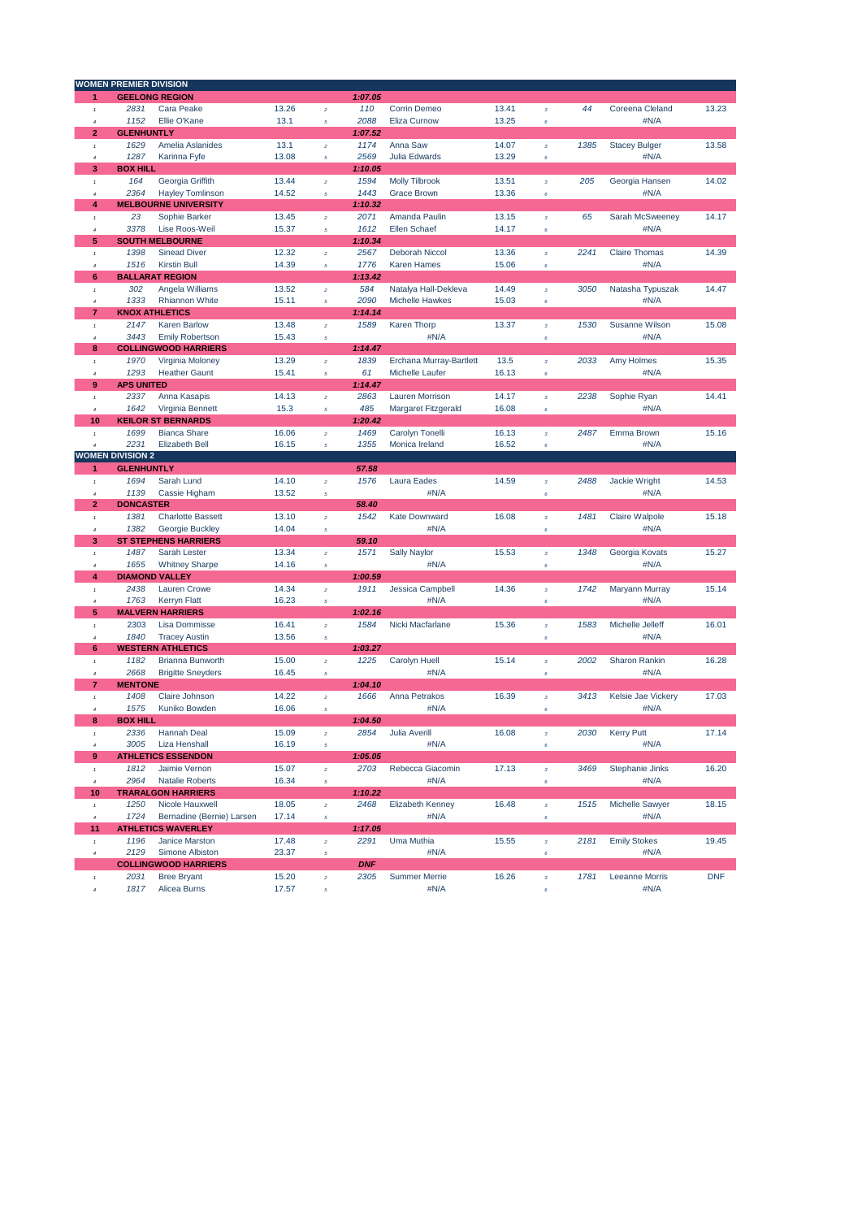|                                 | <b>WOMEN PREMIER DIVISION</b>   |                                    |                |                  |            |                              |       |                           |      |                               |            |
|---------------------------------|---------------------------------|------------------------------------|----------------|------------------|------------|------------------------------|-------|---------------------------|------|-------------------------------|------------|
| 1                               |                                 | <b>GEELONG REGION</b>              |                |                  | 1:07.05    |                              |       |                           |      |                               |            |
| $^\mathrm{f}$                   | 2831                            | Cara Peake                         | 13.26          | $\bar{z}$        | 110        | Corrin Demeo                 | 13.41 | $\mathbf 3$               | 44   | Coreena Cleland               | 13.23      |
| $\overline{a}$                  | 1152                            | Ellie O'Kane                       | 13.1           | $\sqrt{5}$       | 2088       | <b>Eliza Curnow</b>          | 13.25 | 6                         |      | #N/A                          |            |
| $\overline{2}$                  | <b>GLENHUNTLY</b>               |                                    |                |                  | 1:07.52    |                              |       |                           |      |                               |            |
| $\mathbf{1}$                    | 1629                            | Amelia Aslanides                   | 13.1           | $\bar{z}$        | 1174       | Anna Saw                     | 14.07 | $\overline{\mathbf{3}}$   | 1385 | <b>Stacey Bulger</b>          | 13.58      |
| $\ddot{a}$                      | 1287                            | Karinna Fyfe                       | 13.08          | $\sqrt{5}$       | 2569       | <b>Julia Edwards</b>         | 13.29 | 6                         |      | #N/A                          |            |
| 3                               | <b>BOX HILL</b>                 |                                    |                |                  | 1:10.05    |                              |       |                           |      |                               |            |
| $\mathbf{1}$                    | 164                             | Georgia Griffith                   | 13.44          | $\bar{z}$        | 1594       | <b>Molly Tilbrook</b>        | 13.51 | $\overline{\mathbf{3}}$   | 205  | Georgia Hansen                | 14.02      |
| $\overline{4}$                  | 2364                            | <b>Hayley Tomlinson</b>            | 14.52          | $\sqrt{5}$       | 1443       | <b>Grace Brown</b>           | 13.36 | 6                         |      | #N/A                          |            |
| 4                               |                                 | <b>MELBOURNE UNIVERSITY</b>        |                |                  | 1:10.32    |                              |       |                           |      |                               |            |
| $\mathbf{1}$                    | 23                              | Sophie Barker                      | 13.45          | $\bar{z}$        | 2071       | Amanda Paulin                | 13.15 | $\overline{\mathbf{3}}$   | 65   | Sarah McSweeney               | 14.17      |
| $\overline{4}$                  | 3378                            | Lise Roos-Weil                     | 15.37          | $\sqrt{5}$       | 1612       | <b>Ellen Schaef</b>          | 14.17 | 6                         |      | #N/A                          |            |
| 5                               |                                 | <b>SOUTH MELBOURNE</b>             |                |                  | 1:10.34    |                              |       |                           |      |                               |            |
| $\mathbf{1}$                    | 1398                            | <b>Sinead Diver</b>                | 12.32          | $\bar{z}$        | 2567       | <b>Deborah Niccol</b>        | 13.36 | $\overline{\mathbf{3}}$   | 2241 | <b>Claire Thomas</b>          | 14.39      |
| $\boldsymbol{d}$                | 1516                            | <b>Kirstin Bull</b>                | 14.39          | $\mathfrak s$    | 1776       | <b>Karen Hames</b>           | 15.06 | 6                         |      | #N/A                          |            |
| 6                               |                                 | <b>BALLARAT REGION</b>             |                |                  | 1:13.42    |                              |       |                           |      |                               |            |
| $^\mathrm{f}$                   | 302                             | Angela Williams                    | 13.52          | $\bar{z}$        | 584        | Natalya Hall-Dekleva         | 14.49 | $\mathbf 3$               | 3050 | Natasha Typuszak              | 14.47      |
| $\overline{4}$                  | 1333                            | <b>Rhiannon White</b>              | 15.11          | $\sqrt{5}$       | 2090       | <b>Michelle Hawkes</b>       | 15.03 | 6                         |      | #N/A                          |            |
| 7                               |                                 | <b>KNOX ATHLETICS</b>              |                |                  | 1:14.14    |                              |       |                           |      |                               |            |
| $\mathbf{1}$                    | 2147                            | <b>Karen Barlow</b>                | 13.48          | $\bar{z}$        | 1589       | Karen Thorp                  | 13.37 | $\mathbf 3$               | 1530 | Susanne Wilson                | 15.08      |
| $\overline{4}$                  | 3443                            | <b>Emily Robertson</b>             | 15.43          | $\sqrt{5}$       |            | #N/A                         |       | 6                         |      | #N/A                          |            |
| 8                               |                                 | <b>COLLINGWOOD HARRIERS</b>        |                |                  | 1:14.47    |                              |       |                           |      |                               |            |
|                                 | 1970                            | Virginia Moloney                   | 13.29          |                  | 1839       | Erchana Murray-Bartlett      | 13.5  |                           | 2033 | Amy Holmes                    | 15.35      |
| $^\mathrm{f}$<br>$\overline{a}$ | 1293                            | <b>Heather Gaunt</b>               | 15.41          | $\bar{z}$        | 61         | <b>Michelle Laufer</b>       | 16.13 | $\mathbf 3$<br>6          |      | #N/A                          |            |
| 9                               | <b>APS UNITED</b>               |                                    |                | $\sqrt{5}$       | 1:14.47    |                              |       |                           |      |                               |            |
|                                 | 2337                            |                                    | 14.13          |                  | 2863       | <b>Lauren Morrison</b>       | 14.17 |                           | 2238 |                               | 14.41      |
| $\mathbf{1}$                    |                                 | Anna Kasapis                       |                | $\bar{z}$        |            |                              |       | $\overline{\mathbf{3}}$   |      | Sophie Ryan                   |            |
| $\boldsymbol{4}$                | 1642                            | Virginia Bennett                   | 15.3           | $\sqrt{5}$       | 485        | Margaret Fitzgerald          | 16.08 | 6                         |      | #N/A                          |            |
| 10                              |                                 | <b>KEILOR ST BERNARDS</b>          |                |                  | 1:20.42    |                              |       |                           |      |                               |            |
| $\overline{1}$                  | 1699                            | <b>Bianca Share</b>                | 16.06          | $\bar{z}$        | 1469       | Carolyn Tonelli              | 16.13 | $\overline{\mathbf{3}}$   | 2487 | Emma Brown                    | 15.16      |
| $\overline{4}$                  | 2231<br><b>WOMEN DIVISION 2</b> | <b>Elizabeth Bell</b>              | 16.15          | $\sqrt{5}$       | 1355       | Monica Ireland               | 16.52 | 6                         |      | #N/A                          |            |
|                                 |                                 |                                    |                |                  |            |                              |       |                           |      |                               |            |
| 1                               | <b>GLENHUNTLY</b>               |                                    |                |                  | 57.58      |                              |       |                           |      |                               |            |
| $\mathbf{1}$                    | 1694                            | Sarah Lund                         | 14.10          | $\bar{z}$        | 1576       | Laura Eades                  | 14.59 | $\overline{\mathbf{3}}$   | 2488 | Jackie Wright                 | 14.53      |
| $\overline{4}$                  | 1139                            | Cassie Higham                      | 13.52          | $\sqrt{5}$       |            | #N/A                         |       | 6                         |      | #N/A                          |            |
| $\overline{2}$                  | <b>DONCASTER</b>                |                                    |                |                  | 58.40      |                              |       |                           |      |                               |            |
| $\mathbf{1}$                    | 1381                            | <b>Charlotte Bassett</b>           | 13.10          | $\bar{z}$        | 1542       | <b>Kate Downward</b>         | 16.08 | $\mathbf 3$               | 1481 | <b>Claire Walpole</b>         | 15.18      |
| $\overline{4}$                  | 1382                            | Georgie Buckley                    | 14.04          | $\sqrt{5}$       |            | #N/A                         |       | $\epsilon$                |      | #N/A                          |            |
| 3                               |                                 | <b>ST STEPHENS HARRIERS</b>        |                |                  | 59.10      |                              |       |                           |      |                               |            |
| $\overline{1}$                  | 1487                            | Sarah Lester                       | 13.34          | $\bar{z}$        | 1571       | <b>Sally Naylor</b>          | 15.53 | $\overline{\mathbf{3}}$   | 1348 | Georgia Kovats                | 15.27      |
| $\boldsymbol{4}$                | 1655                            | <b>Whitney Sharpe</b>              | 14.16          | $\sqrt{5}$       |            | #N/A                         |       | 6                         |      | #N/A                          |            |
| 4                               |                                 | <b>DIAMOND VALLEY</b>              |                |                  | 1:00.59    |                              |       |                           |      |                               |            |
| $^\mathrm{f}$                   | 2438                            | Lauren Crowe                       | 14.34          | $\bar{z}$        | 1911       | Jessica Campbell             | 14.36 | $\mathbf 3$               | 1742 | Maryann Murray                | 15.14      |
| $\boldsymbol{4}$                | 1763                            | <b>Kerryn Flatt</b>                | 16.23          | $\sqrt{5}$       |            | #N/A                         |       | 6                         |      | #N/A                          |            |
| 5                               |                                 | <b>MALVERN HARRIERS</b>            |                |                  | 1:02.16    |                              |       |                           |      |                               |            |
| $\mathbf{1}$                    | 2303                            | <b>Lisa Dommisse</b>               | 16.41          | $\bar{z}$        | 1584       | Nicki Macfarlane             | 15.36 | $\sqrt{3}$                | 1583 | Michelle Jelleff              | 16.01      |
| $\overline{4}$                  | 1840                            | <b>Tracey Austin</b>               | 13.56          | $\sqrt{5}$       |            |                              |       | 6                         |      | #N/A                          |            |
| 6                               |                                 | <b>WESTERN ATHLETICS</b>           |                |                  | 1:03.27    |                              |       |                           |      |                               |            |
| $\mathbf{1}$                    | 1182                            | <b>Brianna Bunworth</b>            | 15.00          | $\boldsymbol{2}$ | 1225       | Carolyn Huell                | 15.14 | $\mathbf 3$               | 2002 | Sharon Rankin                 | 16.28      |
| $\overline{a}$                  | 2668                            | <b>Brigitte Sneyders</b>           | 16.45          | $\sqrt{5}$       |            | #N/A                         |       | 6                         |      | #N/A                          |            |
| $\overline{7}$                  | <b>MENTONE</b>                  |                                    |                |                  | 1:04.10    |                              |       |                           |      |                               |            |
| $\mathbf{1}$                    |                                 |                                    |                |                  |            |                              |       |                           |      |                               |            |
| $\overline{4}$                  | 1408                            | Claire Johnson                     | 14.22          | $\bar{z}$        | 1666       | Anna Petrakos                | 16.39 | $\sqrt{3}$                | 3413 | Kelsie Jae Vickery            | 17.03      |
|                                 | 1575                            | Kuniko Bowden                      | 16.06          | 5                |            | #N/A                         |       | 6                         |      | #N/A                          |            |
| 8                               | <b>BOX HILL</b>                 |                                    |                |                  | 1:04.50    |                              |       |                           |      |                               |            |
| $^\mathrm{f}$                   | 2336                            | Hannah Deal                        | 15.09          | $\bar{z}$        | 2854       | Julia Averill                | 16.08 | $\mathbf 3$               | 2030 | <b>Kerry Putt</b>             | 17.14      |
| $\overline{4}$                  | 3005                            | Liza Henshall                      | 16.19          | $\sqrt{5}$       |            | #N/A                         |       | 6                         |      | #N/A                          |            |
| 9                               |                                 | <b>ATHLETICS ESSENDON</b>          |                |                  | 1:05.05    |                              |       |                           |      |                               |            |
| $\pmb{\tau}$                    | 1812                            | Jaimie Vernon                      | 15.07          | $\boldsymbol{2}$ | 2703       | Rebecca Giacomin             | 17.13 | $\mathbf 3$               | 3469 | Stephanie Jinks               | 16.20      |
| $\boldsymbol{4}$                | 2964                            | <b>Natalie Roberts</b>             | 16.34          | $\sqrt{5}$       |            | #N/A                         |       | 6                         |      | #N/A                          |            |
| 10                              |                                 | <b>TRARALGON HARRIERS</b>          |                |                  | 1:10.22    |                              |       |                           |      |                               |            |
| $\pmb{\tau}$                    | 1250                            | Nicole Hauxwell                    | 18.05          | $\bar{z}$        | 2468       | Elizabeth Kenney             | 16.48 | $\mathbf 3$               | 1515 | Michelle Sawyer               | 18.15      |
| $\boldsymbol{4}$                | 1724                            | Bernadine (Bernie) Larsen          | 17.14          | $\sqrt{5}$       |            | #N/A                         |       | 6                         |      | #N/A                          |            |
| 11                              |                                 | <b>ATHLETICS WAVERLEY</b>          |                |                  | 1:17.05    |                              |       |                           |      |                               |            |
| $^\mathrm{f}$                   | 1196                            | Janice Marston                     | 17.48          | $\bar{z}$        | 2291       | Uma Muthia                   | 15.55 | $\boldsymbol{\mathsf{3}}$ | 2181 | <b>Emily Stokes</b>           | 19.45      |
| $\boldsymbol{4}$                | 2129                            | Simone Albiston                    | 23.37          | $\mathfrak s$    |            | #N/A                         |       | $\epsilon$                |      | #N/A                          |            |
|                                 |                                 | <b>COLLINGWOOD HARRIERS</b>        |                |                  | <b>DNF</b> |                              |       |                           |      |                               |            |
| $\mathbf{1}$                    | 2031<br>1817                    | <b>Bree Bryant</b><br>Alicea Burns | 15.20<br>17.57 | $\bar{z}$        | 2305       | <b>Summer Merrie</b><br>#N/A | 16.26 | $\boldsymbol{\mathsf{3}}$ | 1781 | <b>Leeanne Morris</b><br>#N/A | <b>DNF</b> |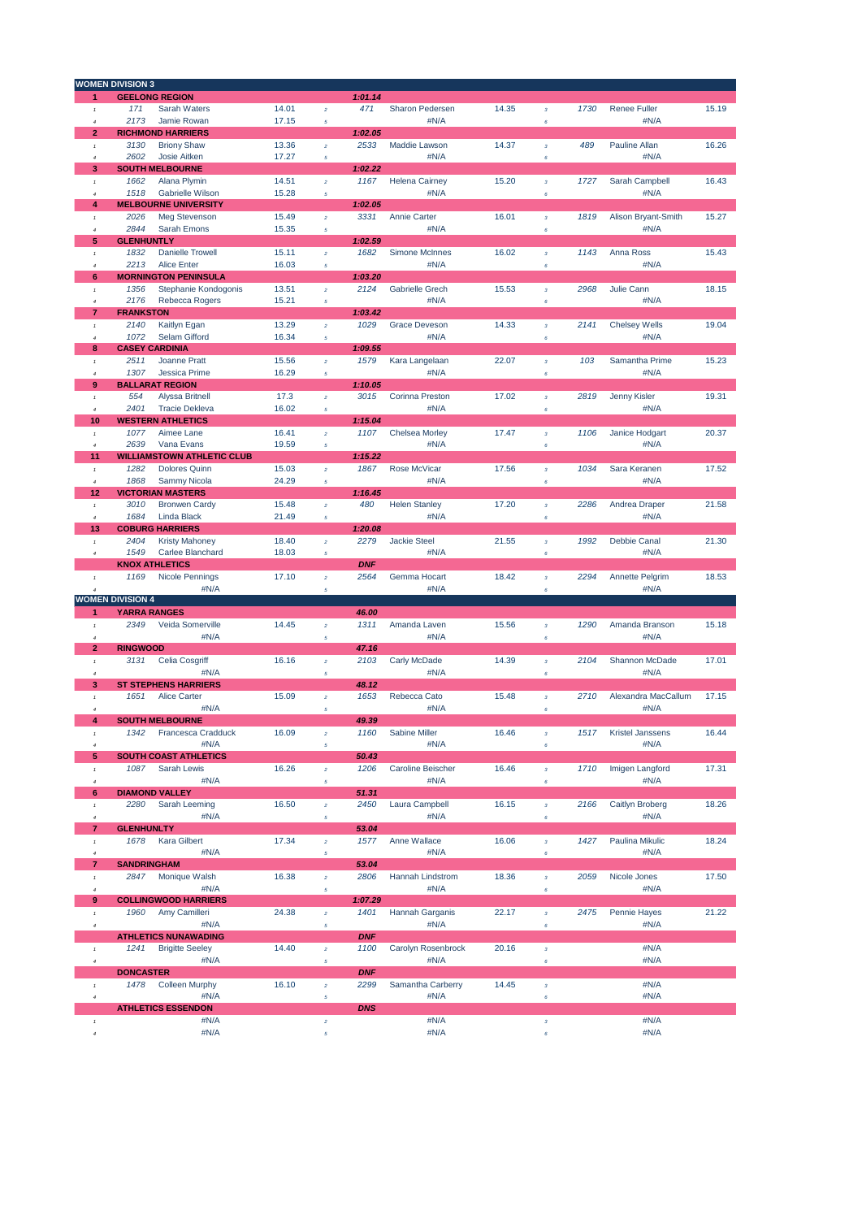|                                 | <b>WOMEN DIVISION 3</b> |                                          |                |                  |                 |                            |       |                           |      |                             |       |
|---------------------------------|-------------------------|------------------------------------------|----------------|------------------|-----------------|----------------------------|-------|---------------------------|------|-----------------------------|-------|
| 1                               |                         | <b>GEELONG REGION</b>                    |                |                  | 1:01.14         |                            |       |                           |      |                             |       |
| $\mathbf{1}$                    | 171                     | Sarah Waters                             | 14.01          | $\bar{z}$        | 471             | Sharon Pedersen            | 14.35 | $\mathbf 3$               | 1730 | Renee Fuller                | 15.19 |
| $\ddot{a}$                      | 2173                    | Jamie Rowan                              | 17.15          | 5                |                 | #N/A                       |       | 6                         |      | #N/A                        |       |
| $\overline{2}$                  |                         | <b>RICHMOND HARRIERS</b>                 |                |                  | 1:02.05         |                            |       |                           |      |                             |       |
| $\mathbf{1}$                    | 3130                    | <b>Briony Shaw</b>                       | 13.36          | $\bar{z}$        | 2533            | Maddie Lawson              | 14.37 | $\boldsymbol{\mathsf{3}}$ | 489  | Pauline Allan               | 16.26 |
| 4                               | 2602                    | Josie Aitken                             | 17.27          | 5                |                 | #N/A                       |       | 6                         |      | #N/A                        |       |
| 3                               |                         | <b>SOUTH MELBOURNE</b>                   |                |                  | 1:02.22         |                            |       |                           |      |                             |       |
| $^\mathrm{f}$                   | 1662                    | Alana Plymin                             | 14.51          | $\bar{z}$        | 1167            | <b>Helena Cairney</b>      | 15.20 | $\mathbf 3$               | 1727 | Sarah Campbell              | 16.43 |
| $\boldsymbol{d}$                | 1518                    | Gabrielle Wilson                         | 15.28          | 5                |                 | #N/A                       |       | $\epsilon$                |      | #N/A                        |       |
| 4                               |                         | <b>MELBOURNE UNIVERSITY</b>              |                |                  | 1:02.05<br>3331 | Annie Carter               | 16.01 |                           |      |                             | 15.27 |
| $\mathbf{1}$<br>$\ddot{a}$      | 2026<br>2844            | <b>Meg Stevenson</b><br>Sarah Emons      | 15.49<br>15.35 | $\overline{a}$   |                 | #N/A                       |       | $\overline{\mathbf{3}}$   | 1819 | Alison Bryant-Smith<br>#N/A |       |
| 5                               | <b>GLENHUNTLY</b>       |                                          |                | 5                | 1:02.59         |                            |       | 6                         |      |                             |       |
| $^\mathrm{f}$                   | 1832                    | <b>Danielle Trowell</b>                  | 15.11          | $\bar{z}$        | 1682            | <b>Simone McInnes</b>      | 16.02 | $\bar{\bf 3}$             | 1143 | Anna Ross                   | 15.43 |
| $\overline{4}$                  | 2213                    | <b>Alice Enter</b>                       | 16.03          | 5                |                 | #N/A                       |       | $\epsilon$                |      | #N/A                        |       |
| 6                               |                         | <b>MORNINGTON PENINSULA</b>              |                |                  | 1:03.20         |                            |       |                           |      |                             |       |
| $^\mathrm{f}$                   | 1356                    | Stephanie Kondogonis                     | 13.51          | $\bar{z}$        | 2124            | <b>Gabrielle Grech</b>     | 15.53 | $\mathbf{3}$              | 2968 | Julie Cann                  | 18.15 |
| 4                               | 2176                    | Rebecca Rogers                           | 15.21          | 5                |                 | #N/A                       |       | $\epsilon$                |      | #N/A                        |       |
| 7                               | <b>FRANKSTON</b>        |                                          |                |                  | 1:03.42         |                            |       |                           |      |                             |       |
| $^\mathrm{f}$                   | 2140                    | Kaitlyn Egan                             | 13.29          | $\bar{z}$        | 1029            | <b>Grace Deveson</b>       | 14.33 | $\mathbf 3$               | 2141 | <b>Chelsey Wells</b>        | 19.04 |
| $\overline{a}$                  | 1072                    | Selam Gifford                            | 16.34          | 5                |                 | #N/A                       |       | 6                         |      | #N/A                        |       |
| 8                               | <b>CASEY CARDINIA</b>   |                                          |                |                  | 1:09.55         |                            |       |                           |      |                             |       |
| $\mathbf{r}$                    | 2511                    | Joanne Pratt                             | 15.56          | $\bar{z}$        | 1579            | Kara Langelaan             | 22.07 | $\mathbf{3}$              | 103  | Samantha Prime              | 15.23 |
| 4                               | 1307                    | <b>Jessica Prime</b>                     | 16.29          | 5                |                 | #N/A                       |       | 6                         |      | #N/A                        |       |
| $\bf{9}$                        | 554                     | <b>BALLARAT REGION</b>                   | 17.3           |                  | 1:10.05<br>3015 | Corinna Preston            | 17.02 |                           | 2819 |                             | 19.31 |
| $\mathbf{1}$                    | 2401                    | Alyssa Britnell<br><b>Tracie Dekleva</b> | 16.02          | $\bar{z}$        |                 | #N/A                       |       | $\mathbf 3$               |      | Jenny Kisler<br>#N/A        |       |
| $\overline{4}$<br>10            |                         | <b>WESTERN ATHLETICS</b>                 |                | 5                | 1:15.04         |                            |       | 6                         |      |                             |       |
| $^\mathrm{f}$                   | 1077                    | Aimee Lane                               | 16.41          | $\bar{z}$        | 1107            | Chelsea Morley             | 17.47 | $\boldsymbol{\mathsf{3}}$ | 1106 | Janice Hodgart              | 20.37 |
| $\boldsymbol{d}$                | 2639                    | Vana Evans                               | 19.59          | 5                |                 | #N/A                       |       | 6                         |      | #N/A                        |       |
| 11                              |                         | <b>WILLIAMSTOWN ATHLETIC CLUB</b>        |                |                  | 1:15.22         |                            |       |                           |      |                             |       |
| $\mathbf{f}$                    | 1282                    | <b>Dolores Quinn</b>                     | 15.03          | $\overline{a}$   | 1867            | Rose McVicar               | 17.56 | $\overline{\mathbf{3}}$   | 1034 | Sara Keranen                | 17.52 |
| $\overline{4}$                  | 1868                    | <b>Sammy Nicola</b>                      | 24.29          | 5                |                 | #N/A                       |       | 6                         |      | #N/A                        |       |
| 12                              |                         | <b>VICTORIAN MASTERS</b>                 |                |                  | 1:16.45         |                            |       |                           |      |                             |       |
| $^\mathrm{f}$                   | 3010                    | <b>Bronwen Cardy</b>                     | 15.48          | $\bar{z}$        | 480             | <b>Helen Stanley</b>       | 17.20 | $\mathbf 3$               | 2286 | Andrea Draper               | 21.58 |
| $\boldsymbol{4}$                | 1684                    | Linda Black                              | 21.49          | $\sqrt{5}$       |                 | #N/A                       |       | $\epsilon$                |      | #N/A                        |       |
| 13                              |                         | <b>COBURG HARRIERS</b>                   |                |                  | 1:20.08         |                            |       |                           |      |                             |       |
| $\mathbf{1}$                    | 2404                    | <b>Kristy Mahoney</b>                    | 18.40          | $\bar{z}$        | 2279            | <b>Jackie Steel</b>        | 21.55 | $\boldsymbol{\mathsf{3}}$ | 1992 | Debbie Canal                | 21.30 |
| $\ddot{a}$                      | 1549                    | Carlee Blanchard                         | 18.03          | 5                |                 | #N/A                       |       | 6                         |      | #N/A                        |       |
|                                 |                         | <b>KNOX ATHLETICS</b>                    |                |                  | <b>DNF</b>      |                            |       |                           |      |                             |       |
| $^\mathrm{f}$<br>$\overline{4}$ | 1169                    | <b>Nicole Pennings</b><br>#N/A           | 17.10          | $\bar{z}$        | 2564            | Gemma Hocart<br>#N/A       | 18.42 | $\mathbf 3$               | 2294 | Annette Pelgrim<br>#N/A     | 18.53 |
|                                 | <b>WOMEN DIVISION 4</b> |                                          |                | 5                |                 |                            |       | 6                         |      |                             |       |
| 1                               | <b>YARRA RANGES</b>     |                                          |                |                  | 46.00           |                            |       |                           |      |                             |       |
| $\mathbf{1}$                    | 2349                    | Veida Somerville                         | 14.45          | $\bar{z}$        | 1311            | Amanda Laven               | 15.56 | $\overline{\mathbf{3}}$   | 1290 | Amanda Branson              | 15.18 |
| $\overline{a}$                  |                         | #N/A                                     |                | 5                |                 | #N/A                       |       | 6                         |      | #N/A                        |       |
| $\overline{2}$                  | <b>RINGWOOD</b>         |                                          |                |                  | 47.16           |                            |       |                           |      |                             |       |
| $\mathbf{r}$                    | 3131                    | Celia Cosgriff                           | 16.16          | $\bar{z}$        | 2103            | Carly McDade               | 14.39 | $\mathbf 3$               | 2104 | Shannon McDade              | 17.01 |
| $\ddot{a}$                      |                         | #N/A                                     |                | 5                |                 | #N/A                       |       | 6                         |      | #N/A                        |       |
| 3                               |                         | <b>ST STEPHENS HARRIERS</b>              |                |                  | 48.12           |                            |       |                           |      |                             |       |
| $\mathbf{1}$                    | 1651                    | Alice Carter                             | 15.09          | $\bar{z}$        | 1653            | Rebecca Cato               | 15.48 | $\mathbf 3$               | 2710 | Alexandra MacCallum         | 17.15 |
| 4                               |                         | #N/A                                     |                | 5                |                 | #N/A                       |       | 6                         |      | #N/A                        |       |
| 4                               |                         | <b>SOUTH MELBOURNE</b>                   |                |                  | 49.39           |                            |       |                           |      |                             |       |
| $^\mathrm{f}$                   | 1342                    | Francesca Cradduck                       | 16.09          | $\boldsymbol{2}$ | 1160            | Sabine Miller              | 16.46 | $\mathbf 3$               | 1517 | Kristel Janssens            | 16.44 |
| $\boldsymbol{4}$<br>5           |                         | #N/A<br><b>SOUTH COAST ATHLETICS</b>     |                | $\sqrt{5}$       | 50.43           | #N/A                       |       | 6                         |      | #N/A                        |       |
| $\bar{t}$                       | 1087                    | Sarah Lewis                              | 16.26          | $\bar{z}$        | 1206            | <b>Caroline Beischer</b>   | 16.46 | $\mathbf 3$               | 1710 | Imigen Langford             | 17.31 |
| $\ddot{\phantom{a}}$            |                         | #N/A                                     |                | $\mathfrak s$    |                 | #N/A                       |       | 6                         |      | #N/A                        |       |
| 6                               |                         | <b>DIAMOND VALLEY</b>                    |                |                  | 51.31           |                            |       |                           |      |                             |       |
| $^\mathrm{f}$                   | 2280                    | Sarah Leeming                            | 16.50          | $\bar{z}$        | 2450            | Laura Campbell             | 16.15 | $\mathbf{3}$              | 2166 | Caitlyn Broberg             | 18.26 |
| $\overline{4}$                  |                         | #N/A                                     |                | $\mathfrak s$    |                 | #N/A                       |       | $\epsilon$                |      | #N/A                        |       |
| $\overline{7}$                  | <b>GLENHUNLTY</b>       |                                          |                |                  | 53.04           |                            |       |                           |      |                             |       |
| $^\mathrm{f}$                   | 1678                    | <b>Kara Gilbert</b>                      | 17.34          | $\bar{z}$        | 1577            | Anne Wallace               | 16.06 | $\mathbf 3$               | 1427 | Paulina Mikulic             | 18.24 |
| $\ddot{a}$                      |                         | #N/A                                     |                | $\mathfrak s$    |                 | #N/A                       |       | 6                         |      | #N/A                        |       |
| 7                               | <b>SANDRINGHAM</b>      |                                          |                |                  | 53.04           |                            |       |                           |      |                             |       |
| $^\mathrm{f}$                   | 2847                    | Monique Walsh                            | 16.38          | $\bar{z}$        | 2806            | Hannah Lindstrom           | 18.36 | $\mathbf 3$               | 2059 | Nicole Jones                | 17.50 |
| $\overline{a}$                  |                         | #N/A                                     |                | $\mathfrak s$    |                 | #N/A                       |       | 6                         |      | #N/A                        |       |
| 9                               |                         | <b>COLLINGWOOD HARRIERS</b>              |                |                  | 1:07.29         |                            |       |                           |      |                             |       |
| $^\mathrm{f}$                   | 1960                    | Amy Camilleri                            | 24.38          | $\bar{z}$        | 1401            | Hannah Garganis            | 22.17 | $\overline{\mathbf{3}}$   | 2475 | Pennie Hayes                | 21.22 |
| $\boldsymbol{4}$                |                         | #N/A                                     |                | $\mathfrak s$    |                 | #N/A                       |       | 6                         |      | #N/A                        |       |
|                                 |                         | <b>ATHLETICS NUNAWADING</b>              |                |                  | <b>DNF</b>      |                            |       |                           |      |                             |       |
| $\pmb{\tau}$                    | 1241                    | <b>Brigitte Seeley</b>                   | 14.40          | $\bar{z}$        | 1100            | Carolyn Rosenbrock<br>#N/A | 20.16 | $\mathbf 3$               |      | #N/A<br>#N/A                |       |
| $\boldsymbol{4}$                | <b>DONCASTER</b>        | #N/A                                     |                | $\sqrt{5}$       | <b>DNF</b>      |                            |       | 6                         |      |                             |       |
| $^\mathrm{f}$                   | 1478                    | <b>Colleen Murphy</b>                    | 16.10          | $\bar{z}$        | 2299            | Samantha Carberry          | 14.45 | $\mathbf 3$               |      | #N/A                        |       |
| $\boldsymbol{4}$                |                         | #N/A                                     |                | 5                |                 | #N/A                       |       | 6                         |      | #N/A                        |       |
|                                 |                         | <b>ATHLETICS ESSENDON</b>                |                |                  | <b>DNS</b>      |                            |       |                           |      |                             |       |
| $^\mathrm{f}$                   |                         | #N/A                                     |                | $\bar{z}$        |                 | #N/A                       |       | $\mathbf 3$               |      | #N/A                        |       |
| $\boldsymbol{4}$                |                         | #N/A                                     |                | 5                |                 | #N/A                       |       | 6                         |      | #N/A                        |       |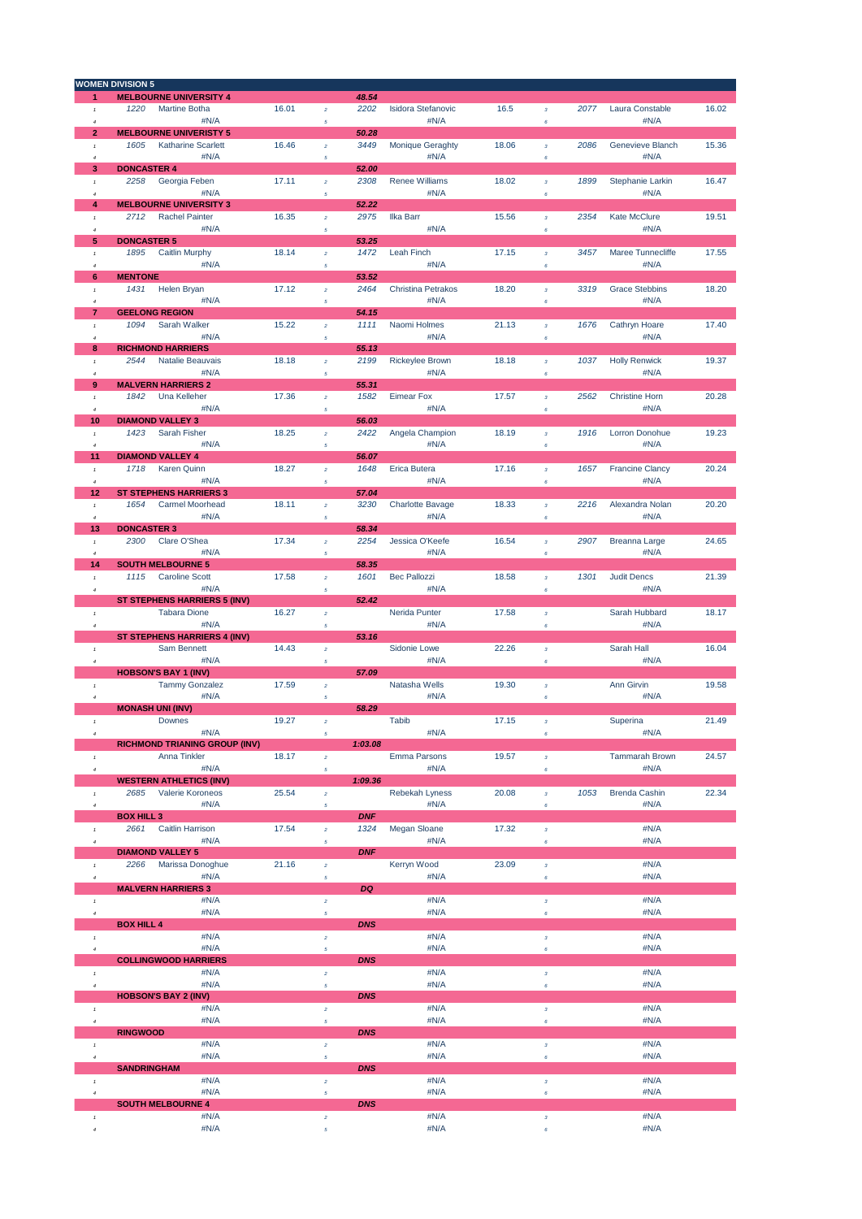|                                   | <b>WOMEN DIVISION 5</b>              |       |                                   |            |                           |       |                           |      |                        |       |
|-----------------------------------|--------------------------------------|-------|-----------------------------------|------------|---------------------------|-------|---------------------------|------|------------------------|-------|
| 1                                 | <b>MELBOURNE UNIVERSITY 4</b>        |       |                                   | 48.54      |                           |       |                           |      |                        |       |
| $^\mathrm{f}$                     | 1220<br>Martine Botha                | 16.01 | $\bar{z}$                         | 2202       | <b>Isidora Stefanovic</b> | 16.5  | $\overline{\mathbf{3}}$   | 2077 | Laura Constable        | 16.02 |
| $\overline{4}$                    | #N/A                                 |       | 5                                 |            | #N/A                      |       | 6                         |      | #N/A                   |       |
| $\overline{2}$                    | <b>MELBOURNE UNIVERISTY 5</b>        |       |                                   | 50.28      |                           |       |                           |      |                        |       |
| $\mathbf{1}$                      | 1605<br><b>Katharine Scarlett</b>    | 16.46 | $\bar{z}$                         | 3449       | <b>Monique Geraghty</b>   | 18.06 | $\mathbf 3$               | 2086 | Genevieve Blanch       | 15.36 |
| $\ddot{a}$                        | #N/A                                 |       | 5                                 |            | #N/A                      |       | 6                         |      | #N/A                   |       |
| 3                                 | <b>DONCASTER 4</b>                   |       |                                   | 52.00      |                           |       |                           |      |                        |       |
| $^\mathrm{f}$                     | 2258<br>Georgia Feben                | 17.11 | $\bar{z}$                         | 2308       | <b>Renee Williams</b>     | 18.02 | $\boldsymbol{\mathsf{3}}$ | 1899 | Stephanie Larkin       | 16.47 |
| $\overline{4}$                    | #N/A                                 |       | $\sqrt{5}$                        |            | #N/A                      |       | $\epsilon$                |      | #N/A                   |       |
| 4                                 | <b>MELBOURNE UNIVERSITY 3</b>        |       |                                   | 52.22      |                           |       |                           |      |                        |       |
| $\mathbf{1}$                      | 2712<br><b>Rachel Painter</b>        | 16.35 | $\bar{z}$                         | 2975       | Ilka Barr                 | 15.56 | $\mathbf 3$               | 2354 | <b>Kate McClure</b>    | 19.51 |
| 4                                 | #N/A                                 |       | $\sqrt{5}$                        |            | #N/A                      |       | 6                         |      | #N/A                   |       |
| 5                                 | <b>DONCASTER 5</b>                   |       |                                   | 53.25      |                           |       |                           |      |                        |       |
| $^\mathrm{f}$                     | 1895<br>Caitlin Murphy               | 18.14 | $\bar{z}$                         | 1472       | Leah Finch                | 17.15 | $\mathbf 3$               | 3457 | Maree Tunnecliffe      | 17.55 |
| $\overline{4}$                    | #N/A                                 |       | 5                                 |            | #N/A                      |       | $\epsilon$                |      | #N/A                   |       |
| 6                                 | <b>MENTONE</b>                       |       |                                   | 53.52      |                           |       |                           |      |                        |       |
| $\mathbf{r}$                      | 1431<br>Helen Bryan                  | 17.12 | $\bar{z}$                         | 2464       | Christina Petrakos        | 18.20 | $\overline{\mathbf{3}}$   | 3319 | <b>Grace Stebbins</b>  | 18.20 |
| 4                                 | #N/A                                 |       | 5                                 |            | #N/A                      |       | 6                         |      | #N/A                   |       |
| 7                                 | <b>GEELONG REGION</b>                |       |                                   | 54.15      |                           |       |                           |      |                        |       |
| $\mathbf{1}$                      | 1094<br>Sarah Walker                 | 15.22 | $\bar{z}$                         | 1111       | Naomi Holmes              | 21.13 | $\bar{\bf 3}$             | 1676 | Cathryn Hoare          | 17.40 |
| $\boldsymbol{d}$                  | #N/A                                 |       | 5                                 |            | #N/A                      |       | 6                         |      | #N/A                   |       |
| 8                                 | <b>RICHMOND HARRIERS</b>             |       |                                   | 55.13      |                           |       |                           |      |                        |       |
| $\mathbf{1}$                      | 2544<br>Natalie Beauvais             | 18.18 | $\bar{z}$                         | 2199       | <b>Rickeylee Brown</b>    | 18.18 | $\mathbf{3}$              | 1037 | <b>Holly Renwick</b>   | 19.37 |
| 4                                 | #N/A                                 |       | 5                                 |            | #N/A                      |       | $\epsilon$                |      | #N/A                   |       |
| 9                                 | <b>MALVERN HARRIERS 2</b>            |       |                                   | 55.31      |                           |       |                           |      |                        |       |
| $\mathbf{1}$                      | 1842<br>Una Kelleher                 | 17.36 | $\bar{z}$                         | 1582       | <b>Eimear Fox</b>         | 17.57 | $\mathbf 3$               | 2562 | <b>Christine Horn</b>  | 20.28 |
| $\boldsymbol{d}$                  | #N/A                                 |       | 5                                 |            | #N/A                      |       | 6                         |      | #N/A                   |       |
| 10                                | <b>DIAMOND VALLEY 3</b>              |       |                                   | 56.03      |                           |       |                           |      |                        |       |
| $^\mathrm{f}$                     | 1423<br>Sarah Fisher                 | 18.25 | $\bar{z}$                         | 2422       | Angela Champion           | 18.19 | $\mathbf{3}$              | 1916 | Lorron Donohue         | 19.23 |
| $\overline{4}$                    | #N/A                                 |       | $\sqrt{5}$                        |            | #N/A                      |       | 6                         |      | #N/A                   |       |
| 11                                | <b>DIAMOND VALLEY 4</b>              |       |                                   | 56.07      |                           |       |                           |      |                        |       |
| $\mathbf{1}$                      | 1718<br><b>Karen Quinn</b>           | 18.27 | $\bar{z}$                         | 1648       | Erica Butera              | 17.16 | $\mathbf 3$               | 1657 | <b>Francine Clancy</b> | 20.24 |
| 4                                 | #N/A                                 |       | $\sqrt{5}$                        |            | #N/A                      |       | 6                         |      | #N/A                   |       |
| 12                                | <b>ST STEPHENS HARRIERS 3</b>        |       |                                   | 57.04      |                           |       |                           |      |                        |       |
| $^\mathrm{f}$                     | 1654<br><b>Carmel Moorhead</b>       | 18.11 | $\bar{z}$                         | 3230       | <b>Charlotte Bavage</b>   | 18.33 | $\mathbf 3$               | 2216 | Alexandra Nolan        | 20.20 |
| $\boldsymbol{d}$                  | #N/A                                 |       | 5                                 |            | #N/A                      |       | 6                         |      | #N/A                   |       |
| 13                                | <b>DONCASTER 3</b>                   |       |                                   | 58.34      |                           |       |                           |      |                        |       |
| $\mathbf{r}$                      | 2300<br>Clare O'Shea                 | 17.34 | $\bar{z}$                         | 2254       | Jessica O'Keefe           | 16.54 | $\overline{\mathbf{3}}$   | 2907 | Breanna Large          | 24.65 |
| $\ddot{\phantom{a}}$              | #N/A                                 |       | 5                                 |            | #N/A                      |       | 6                         |      | #N/A                   |       |
| 14                                | <b>SOUTH MELBOURNE 5</b>             |       |                                   | 58.35      |                           |       |                           |      |                        |       |
| $\mathbf{1}$                      | 1115<br><b>Caroline Scott</b>        | 17.58 | $\bar{z}$                         | 1601       | <b>Bec Pallozzi</b>       | 18.58 | $\overline{\mathbf{3}}$   | 1301 | <b>Judit Dencs</b>     | 21.39 |
| $\boldsymbol{4}$                  | #N/A                                 |       | $\sqrt{5}$                        |            | #N/A                      |       | 6                         |      | #N/A                   |       |
|                                   | ST STEPHENS HARRIERS 5 (INV)         |       |                                   | 52.42      |                           |       |                           |      |                        |       |
| $^\mathrm{f}$                     | <b>Tabara Dione</b>                  | 16.27 | $\bar{z}$                         |            | Nerida Punter             | 17.58 | $\mathbf 3$               |      | Sarah Hubbard          | 18.17 |
| $\boldsymbol{4}$                  | #N/A                                 |       | 5                                 |            | #N/A                      |       | $\epsilon$                |      | #N/A                   |       |
|                                   | ST STEPHENS HARRIERS 4 (INV)         |       |                                   | 53.16      |                           |       |                           |      |                        |       |
| $\mathbf{1}$                      | Sam Bennett                          | 14.43 | $\bar{z}$                         |            | Sidonie Lowe              | 22.26 | $\mathbf 3$               |      | Sarah Hall             | 16.04 |
| $\boldsymbol{4}$                  | #N/A                                 |       | 5                                 |            | #N/A                      |       | 6                         |      | #N/A                   |       |
|                                   | <b>HOBSON'S BAY 1 (INV)</b>          |       |                                   | 57.09      |                           |       |                           |      |                        |       |
| $^\mathrm{f}$                     | <b>Tammy Gonzalez</b>                | 17.59 | $\overline{a}$                    |            | Natasha Wells             | 19.30 | $\mathbf 3$               |      | Ann Girvin             | 19.58 |
| $\ddot{a}$                        | #N/A                                 |       | $\mathfrak s$                     |            | #N/A                      |       | 6                         |      | #N/A                   |       |
|                                   | <b>MONASH UNI (INV)</b>              |       |                                   | 58.29      |                           |       |                           |      |                        |       |
| $\tau$                            | <b>Downes</b>                        | 19.27 | $\bar{z}$                         |            | <b>Tabib</b>              | 17.15 | $\mathbf 3$               |      | Superina               | 21.49 |
| $\boldsymbol{4}$                  | #N/A                                 |       | $\sqrt{5}$                        |            | #N/A                      |       | $\epsilon$                |      | #N/A                   |       |
|                                   | <b>RICHMOND TRIANING GROUP (INV)</b> |       |                                   | 1:03.08    |                           |       |                           |      |                        |       |
| $^\mathrm{f}$                     | Anna Tinkler                         | 18.17 | $\boldsymbol{2}$                  |            | <b>Emma Parsons</b>       | 19.57 | $\mathbf 3$               |      | Tammarah Brown         | 24.57 |
| $\boldsymbol{4}$                  | #N/A                                 |       | $\sqrt{5}$                        |            | #N/A                      |       | $\epsilon$                |      | #N/A                   |       |
|                                   | <b>WESTERN ATHLETICS (INV)</b>       |       |                                   | 1:09.36    |                           |       |                           |      |                        |       |
| $^\mathrm{f}$                     | 2685<br>Valerie Koroneos             | 25.54 | $\bar{z}$                         |            | Rebekah Lyness            | 20.08 | $\mathbf 3$               | 1053 | <b>Brenda Cashin</b>   | 22.34 |
| $\boldsymbol{4}$                  | #N/A                                 |       | $\sqrt{5}$                        |            | #N/A                      |       | 6                         |      | #N/A                   |       |
|                                   | <b>BOX HILL 3</b>                    |       |                                   | <b>DNF</b> |                           |       |                           |      |                        |       |
| $^\mathrm{f}$                     | 2661<br><b>Caitlin Harrison</b>      | 17.54 | $\bar{z}$                         | 1324       | Megan Sloane              | 17.32 | $\mathbf 3$               |      | #N/A                   |       |
| $\boldsymbol{4}$                  | #N/A                                 |       | $\sqrt{5}$                        |            | #N/A                      |       | 6                         |      | #N/A                   |       |
|                                   | <b>DIAMOND VALLEY 5</b>              |       |                                   | <b>DNF</b> |                           |       |                           |      |                        |       |
| $^\mathrm{f}$                     | Marissa Donoghue<br>2266             | 21.16 | $\bar{z}$                         |            | Kerryn Wood               | 23.09 | $\mathbf{3}$              |      | #N/A                   |       |
| $\boldsymbol{4}$                  | #N/A                                 |       | $\sqrt{5}$                        |            | #N/A                      |       | 6                         |      | #N/A                   |       |
|                                   | <b>MALVERN HARRIERS 3</b>            |       |                                   | DQ         |                           |       |                           |      |                        |       |
| $^\mathrm{f}$                     | #N/A                                 |       | $\bar{z}$                         |            | #N/A                      |       | $\mathbf 3$               |      | #N/A                   |       |
| $\bar{4}$                         | #N/A                                 |       | 5                                 |            | #N/A                      |       | 6                         |      | #N/A                   |       |
|                                   | <b>BOX HILL 4</b>                    |       |                                   | <b>DNS</b> |                           |       |                           |      |                        |       |
| $^\mathrm{f}$                     | #N/A                                 |       | $\bar{z}$                         |            | #N/A                      |       | $\mathbf 3$               |      | #N/A                   |       |
| $\overline{4}$                    | #N/A                                 |       | 5                                 |            | #N/A                      |       | 6                         |      | #N/A                   |       |
|                                   | <b>COLLINGWOOD HARRIERS</b>          |       |                                   | <b>DNS</b> |                           |       |                           |      |                        |       |
| $^\mathrm{f}$                     | #N/A                                 |       | $\bar{z}$                         |            | #N/A                      |       | $\boldsymbol{\mathsf{3}}$ |      | #N/A                   |       |
| $\boldsymbol{4}$                  | #N/A                                 |       | $\sqrt{5}$                        |            | #N/A                      |       | 6                         |      | #N/A                   |       |
|                                   | <b>HOBSON'S BAY 2 (INV)</b>          |       |                                   | <b>DNS</b> |                           |       |                           |      |                        |       |
|                                   | #N/A                                 |       |                                   |            | #N/A                      |       |                           |      | #N/A                   |       |
| $^\mathrm{f}$<br>$\boldsymbol{4}$ | #N/A                                 |       | $\boldsymbol{2}$<br>$\mathfrak s$ |            | #N/A                      |       | $\mathbf 3$<br>$\epsilon$ |      | #N/A                   |       |
|                                   | <b>RINGWOOD</b>                      |       |                                   | <b>DNS</b> |                           |       |                           |      |                        |       |
| $^\mathrm{f}$                     | #N/A                                 |       | $\bar{z}$                         |            | #N/A                      |       | $\mathbf 3$               |      | #N/A                   |       |
| $\ddot{a}$                        | #N/A                                 |       | 5                                 |            | #N/A                      |       | 6                         |      | #N/A                   |       |
|                                   | <b>SANDRINGHAM</b>                   |       |                                   | <b>DNS</b> |                           |       |                           |      |                        |       |
| $^\mathrm{f}$                     | #N/A                                 |       | $\bar{z}$                         |            | #N/A                      |       | $\mathbf 3$               |      | #N/A                   |       |
| $\ddot{a}$                        | #N/A                                 |       | $\mathfrak s$                     |            | #N/A                      |       | $\epsilon$                |      | #N/A                   |       |
|                                   | <b>SOUTH MELBOURNE 4</b>             |       |                                   | <b>DNS</b> |                           |       |                           |      |                        |       |
| $^\mathrm{f}$                     | #N/A                                 |       | $\bar{z}$                         |            | #N/A                      |       | $\mathbf{3}^-$            |      | #N/A                   |       |
| $\boldsymbol{4}$                  | #N/A                                 |       | 5                                 |            | #N/A                      |       | 6                         |      | #N/A                   |       |
|                                   |                                      |       |                                   |            |                           |       |                           |      |                        |       |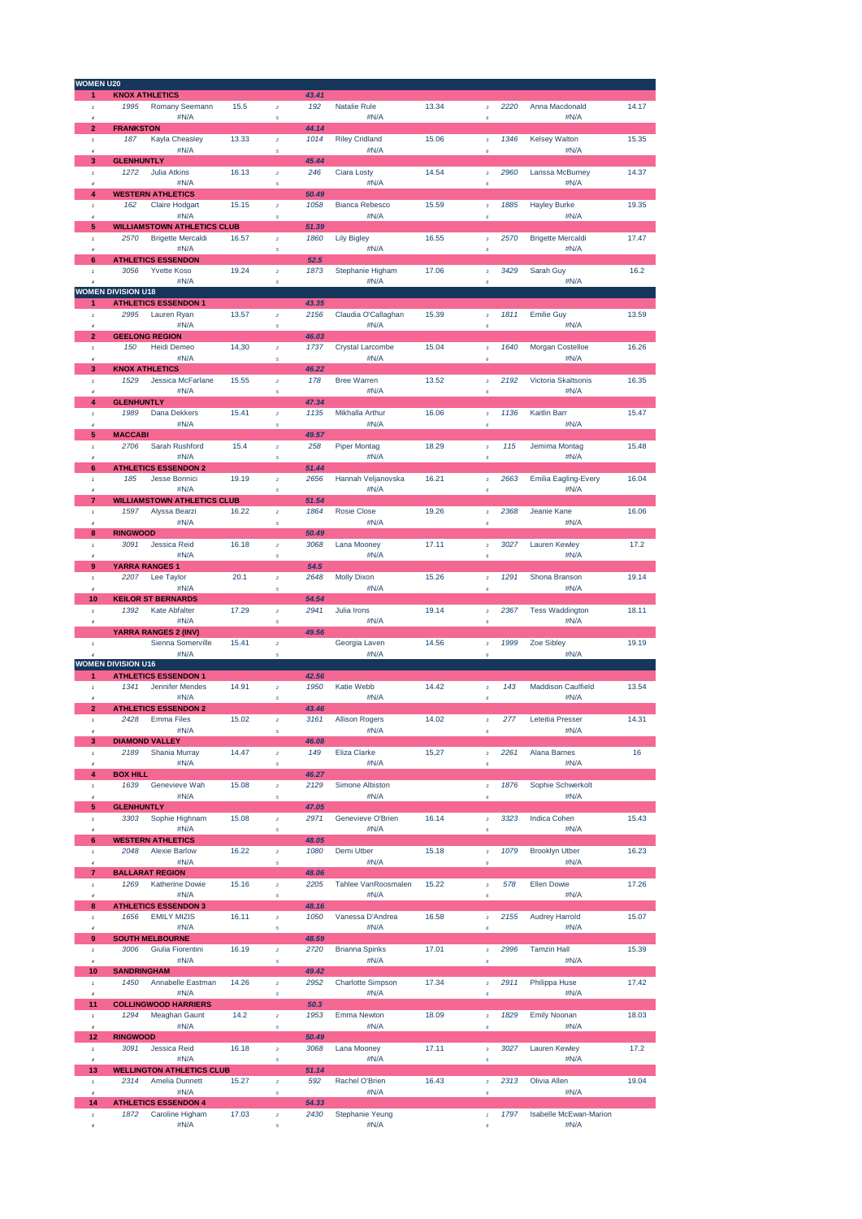| <b>WOMEN U20</b>               |                                          |       |                  |       |                            |       |                           |      |                                  |       |
|--------------------------------|------------------------------------------|-------|------------------|-------|----------------------------|-------|---------------------------|------|----------------------------------|-------|
| 1                              | <b>KNOX ATHLETICS</b>                    |       |                  | 43.41 |                            |       |                           |      |                                  |       |
| $\pmb{\tau}$                   | 1995<br>Romany Seemann                   | 15.5  | $\bar{z}$        | 192   | <b>Natalie Rule</b>        | 13.34 | $\bf{3}$                  | 2220 | Anna Macdonald                   | 14.17 |
| 4                              | #N/A                                     |       | 5                |       | #N/A                       |       | 6                         |      | #N/A                             |       |
| $\overline{2}$                 | <b>FRANKSTON</b>                         |       |                  | 44.14 |                            |       |                           |      |                                  |       |
| $\mathbf{I}$                   | Kayla Cheasley<br>187                    | 13.33 | $\overline{2}$   | 1014  | <b>Riley Cridland</b>      | 15.06 | $\bf{3}$                  | 1346 | <b>Kelsey Walton</b>             | 15.35 |
| $\overline{4}$                 | #N/A                                     |       | $\overline{5}$   |       | #N/A                       |       | $\epsilon$                |      | #N/A                             |       |
| 3                              | <b>GLENHUNTLY</b>                        |       |                  | 45.44 |                            |       |                           |      |                                  |       |
| $\mathbf{r}$                   | 1272<br><b>Julia Atkins</b>              | 16.13 | $\bar{2}$        | 246   | Ciara Losty                | 14.54 | $\mathbf 3$               | 2960 | Larissa McBurney                 | 14.37 |
| $\overline{4}$                 | #N/A                                     |       | 5                |       | #N/A                       |       | $\pmb{s}$                 |      | #N/A                             |       |
| 4                              | <b>WESTERN ATHLETICS</b>                 |       |                  | 50.49 |                            |       |                           |      |                                  |       |
| $\mathbf{r}$                   | 162<br><b>Claire Hodgart</b>             | 15.15 | $\bar{z}$        | 1058  | <b>Bianca Rebesco</b>      | 15.59 | $\overline{3}$            | 1885 | <b>Hayley Burke</b>              | 19.35 |
| $\overline{a}$                 | #N/A                                     |       | $\overline{5}$   |       | #N/A                       |       | $\pmb{s}$                 |      | #N/A                             |       |
| 5                              | <b>WILLIAMSTOWN ATHLETICS CLUB</b>       | 16.57 |                  | 51.39 |                            |       |                           |      |                                  |       |
| $\mathbf{r}$                   | 2570<br><b>Brigette Mercaldi</b><br>#N/A |       | $\bar{z}$        | 1860  | <b>Lily Bigley</b><br>#N/A | 16.55 | $\overline{\mathbf{3}}$   | 2570 | <b>Brigette Mercaldi</b><br>#N/A | 17.47 |
| $\overline{4}$<br>6            | <b>ATHLETICS ESSENDON</b>                |       | $\overline{5}$   | 52.5  |                            |       | $\epsilon$                |      |                                  |       |
|                                | 3056<br><b>Yvette Koso</b>               | 19.24 |                  | 1873  |                            | 17.06 |                           | 3429 | Sarah Guy                        | 16.2  |
| $\mathbf{I}$                   | #N/A                                     |       | $\bar{2}$        |       | Stephanie Higham<br>#N/A   |       | $\mathbf 3$<br>$\epsilon$ |      | #N/A                             |       |
|                                | <b>WOMEN DIVISION U18</b>                |       | 5                |       |                            |       |                           |      |                                  |       |
| 1                              | <b>ATHLETICS ESSENDON 1</b>              |       |                  | 43.35 |                            |       |                           |      |                                  |       |
| $\pmb{\tau}$                   | 2995<br>Lauren Ryan                      | 13.57 | $\bar{z}$        | 2156  | Claudia O'Callaghan        | 15.39 | $\bf{3}$                  | 1811 | <b>Emilie Guy</b>                | 13.59 |
| $\overline{a}$                 | #N/A                                     |       | 5                |       | #N/A                       |       | $\pmb{s}$                 |      | #N/A                             |       |
| $\overline{2}$                 | <b>GEELONG REGION</b>                    |       |                  | 46.03 |                            |       |                           |      |                                  |       |
| $\mathbf{1}$                   | Heidi Demeo<br>150                       | 14,30 | $\bar{z}$        | 1737  | Crystal Larcombe           | 15.04 | $\boldsymbol{3}$          | 1640 | <b>Morgan Costelloe</b>          | 16.26 |
| 4                              | #N/A                                     |       | 5                |       | #N/A                       |       | $\pmb{s}$                 |      | #N/A                             |       |
| 3                              | <b>KNOX ATHLETICS</b>                    |       |                  | 46.22 |                            |       |                           |      |                                  |       |
| $\pmb{\tau}$                   | 1529<br>Jessica McFarlane                | 15.55 | $\bar{z}$        | 178   | <b>Bree Warren</b>         | 13.52 | $\bar{\bf 3}$             | 2192 | Victoria Skaltsonis              | 16.35 |
| 4                              | #N/A                                     |       | 5                |       | #N/A                       |       | $\pmb{s}$                 |      | #N/A                             |       |
| 4                              | <b>GLENHUNTLY</b>                        |       |                  | 47.34 |                            |       |                           |      |                                  |       |
| $\mathbf{I}$                   | Dana Dekkers<br>1989                     | 15.41 | $\bar{z}$        | 1135  | Mikhalla Arthur            | 16.06 | $\mathbf 3$               | 1136 | <b>Kaitlin Barr</b>              | 15.47 |
| 4                              | #N/A                                     |       | 5                |       | #N/A                       |       | $\epsilon$                |      | #N/A                             |       |
| 5                              | <b>MACCABI</b>                           |       |                  | 49.57 |                            |       |                           |      |                                  |       |
| $\mathbf{r}$                   | Sarah Rushford<br>2706                   | 15.4  | $\bar{z}$        | 258   | <b>Piper Montag</b>        | 18.29 | $\bar{\bf 3}$             | 115  | Jemima Montag                    | 15.48 |
| $\overline{4}$                 | #N/A                                     |       | $\sqrt{s}$       |       | #N/A                       |       | $\epsilon$                |      | #N/A                             |       |
| 6                              | <b>ATHLETICS ESSENDON 2</b>              |       |                  | 51.44 |                            |       |                           |      |                                  |       |
| $\mathbf{I}$                   | 185<br><b>Jesse Bonnici</b>              | 19.19 | $\overline{2}$   | 2656  | Hannah Veljanovska         | 16.21 | $\mathbf 3$               | 2663 | <b>Emilia Eagling-Every</b>      | 16.04 |
| $\overline{a}$                 | #N/A                                     |       | $\overline{5}$   |       | #N/A                       |       | $\pmb{s}$                 |      | #N/A                             |       |
| $\overline{7}$                 | <b>WILLIAMSTOWN ATHLETICS CLUB</b>       |       |                  | 51.54 |                            |       |                           |      |                                  |       |
| $\mathbf{I}$                   | 1597<br>Alyssa Bearzi                    | 16.22 | $\bar{z}$        | 1864  | <b>Rosie Close</b>         | 19.26 | $\overline{\mathbf{3}}$   | 2368 | Jeanie Kane                      | 16.06 |
| $\overline{4}$                 | #N/A                                     |       | 5                |       | #N/A                       |       | $\epsilon$                |      | #N/A                             |       |
| 8                              | <b>RINGWOOD</b>                          |       |                  | 50.49 |                            |       |                           |      |                                  |       |
| $\mathbf{1}$                   | 3091<br>Jessica Reid                     | 16.18 | $\bar{z}$        | 3068  | Lana Mooney                | 17.11 | $\mathbf 3$               | 3027 | Lauren Kewley                    | 17.2  |
| $\overline{a}$                 | #N/A                                     |       | 5                |       | #N/A                       |       | $\pmb{s}$                 |      | #N/A                             |       |
| 9                              | YARRA RANGES 1                           |       |                  | 54.5  |                            |       |                           |      |                                  |       |
| $\pmb{\tau}$                   | 2207<br>Lee Taylor                       | 20.1  | $\boldsymbol{2}$ | 2648  | <b>Molly Dixon</b>         | 15.26 | $\boldsymbol{3}$          | 1291 | Shona Branson                    | 19.14 |
| $\overline{4}$                 | #N/A                                     |       | 5                |       | #N/A                       |       | $\pmb{s}$                 |      | #N/A                             |       |
| 10                             | <b>KEILOR ST BERNARDS</b>                |       |                  | 54.54 |                            |       |                           |      |                                  |       |
| $\pmb{\tau}$                   | 1392<br><b>Kate Abfalter</b>             | 17.29 | $\bar{z}$        | 2941  | <b>Julia Irons</b>         | 19.14 | $\boldsymbol{3}$          | 2367 | <b>Tess Waddington</b>           | 18.11 |
| $\boldsymbol{4}$               | #N/A                                     |       | 5                |       | #N/A                       |       | $\pmb{s}$                 |      | #N/A                             |       |
|                                | YARRA RANGES 2 (INV)                     |       |                  | 49.56 |                            |       |                           |      |                                  |       |
| $\pmb{\tau}$                   | Sienna Somerville<br>#N/A                | 15.41 | $\boldsymbol{2}$ |       | Georgia Laven<br>#N/A      | 14.56 | $\mathbf 3$               | 1999 | Zoe Sibley<br>#N/A               | 19.19 |
| $\overline{4}$                 | <b>WOMEN DIVISION U16</b>                |       | $\sqrt{s}$       |       |                            |       | $\pmb{s}$                 |      |                                  |       |
| 1                              | <b>ATHLETICS ESSENDON 1</b>              |       |                  | 42.56 |                            |       |                           |      |                                  |       |
| $\mathbf{I}$                   | 1341<br>Jennifer Mendes                  | 14.91 | $\overline{a}$   | 1950  | Katie Webb                 | 14.42 | $\mathbf 3$               | 143  | <b>Maddison Caulfield</b>        | 13.54 |
| $\overline{4}$                 | #N/A                                     |       | 5                |       | #N/A                       |       | $\epsilon$                |      | #N/A                             |       |
| $\overline{2}$                 | <b>ATHLETICS ESSENDON 2</b>              |       |                  | 43.46 |                            |       |                           |      |                                  |       |
| $\mathbf{r}$                   | 2428<br><b>Emma Files</b>                | 15.02 | $\overline{a}$   | 3161  | <b>Allison Rogers</b>      | 14.02 | $\overline{\mathbf{3}}$   | 277  | Leteitia Presser                 | 14.31 |
| $\overline{4}$                 | #N/A                                     |       | $\sqrt{s}$       |       | #N/A                       |       | 6                         |      | #N/A                             |       |
| 3                              | <b>DIAMOND VALLEY</b>                    |       |                  | 46.08 |                            |       |                           |      |                                  |       |
| $\mathbf{r}$                   | 2189<br>Shania Murray                    | 14.47 | $\bar{z}$        | 149   | Eliza Clarke               | 15,27 | $\overline{3}$            | 2261 | <b>Alana Barnes</b>              | 16    |
| $\overline{4}$                 | #N/A                                     |       | $\mathfrak{s}$   |       | #N/A                       |       | $\pmb{s}$                 |      | #N/A                             |       |
| 4                              | <b>BOX HILL</b>                          |       |                  | 46.27 |                            |       |                           |      |                                  |       |
| $\pmb{\tau}$                   | 1639<br>Genevieve Wah                    | 15.08 | $\bar{z}$        | 2129  | <b>Simone Albiston</b>     |       | $\overline{\mathbf{3}}$   | 1876 | Sophie Schwerkolt                |       |
| $\overline{4}$                 | #N/A                                     |       | 5                |       | #N/A                       |       | $\pmb{s}$                 |      | #N/A                             |       |
| 5                              | <b>GLENHUNTLY</b>                        |       |                  | 47.05 |                            |       |                           |      |                                  |       |
| $\pmb{\tau}$                   | 3303<br>Sophie Highnam                   | 15.08 | $\bar{\bf 2}$    | 2971  | Genevieve O'Brien          | 16.14 | $\bar{\textbf{3}}$        | 3323 | <b>Indica Cohen</b>              | 15.43 |
| $\overline{4}$                 | #N/A                                     |       | 5                |       | #N/A                       |       | $\pmb{s}$                 |      | #N/A                             |       |
| 6                              | <b>WESTERN ATHLETICS</b>                 |       |                  | 48.05 |                            |       |                           |      |                                  |       |
| $\pmb{\tau}$                   | 2048<br><b>Alexie Barlow</b>             | 16.22 | $\boldsymbol{2}$ | 1080  | Demi Utber                 | 15.18 | $\mathbf 3$               | 1079 | <b>Brooklyn Utber</b>            | 16.23 |
| $\overline{4}$                 | #N/A                                     |       | 5                |       | #N/A                       |       | $\pmb{s}$                 |      | #N/A                             |       |
| 7                              | <b>BALLARAT REGION</b>                   |       |                  | 48.06 |                            |       |                           |      |                                  |       |
| $\pmb{\tau}$                   | Katherine Dowie<br>1269                  | 15.16 | $\bar{z}$        | 2205  | Tahlee VanRoosmalen        | 15.22 | $\bf{3}$                  | 578  | <b>Ellen Dowie</b>               | 17.26 |
| $\boldsymbol{4}$               | #N/A                                     |       | 5                |       | #N/A                       |       | $\pmb{s}$                 |      | #N/A                             |       |
| 8                              | <b>ATHLETICS ESSENDON 3</b>              |       |                  | 48.16 |                            |       |                           |      |                                  |       |
| $\pmb{\tau}$                   | 1656<br><b>EMILY MIZIS</b>               | 16.11 | $\bar{z}$        | 1050  | Vanessa D'Andrea           | 16.58 | $\mathbf 3$               | 2155 | <b>Audrey Harrold</b>            | 15.07 |
| $\overline{4}$                 | #N/A                                     |       | 5                |       | #N/A                       |       | $\pmb{s}$                 |      | #N/A                             |       |
| 9                              | <b>SOUTH MELBOURNE</b>                   |       |                  | 48.59 |                            |       |                           |      |                                  |       |
| $\pmb{\tau}$                   | 3006<br>Giulia Fiorentini                | 16.19 | $\bar{z}$        | 2720  | <b>Brianna Spinks</b>      | 17.01 | $\bar{\bf 3}$             | 2996 | <b>Tamzin Hall</b>               | 15.39 |
| $\it 4$                        | #N/A                                     |       | $\sqrt{s}$       |       | #N/A                       |       | $\pmb{6}$                 |      | #N/A                             |       |
| 10                             | <b>SANDRINGHAM</b>                       |       |                  | 49.42 |                            |       |                           |      |                                  |       |
| $\pmb{\tau}$                   | 1450<br>Annabelle Eastman                | 14.26 | $\bar{z}$        | 2952  | <b>Charlotte Simpson</b>   | 17.34 | $\mathbf 3$               | 2911 | Philippa Huse                    | 17.42 |
| $\overline{4}$<br>11           | #N/A                                     |       | $\sqrt{s}$       | 50.3  | #N/A                       |       | $\pmb{s}$                 |      | #N/A                             |       |
|                                | <b>COLLINGWOOD HARRIERS</b><br>1294      |       |                  | 1953  |                            | 18.09 |                           | 1829 |                                  |       |
| $\pmb{\tau}$<br>$\overline{4}$ | Meaghan Gaunt<br>#N/A                    | 14.2  | $\bar{z}$        |       | Emma Newton<br>#N/A        |       | $\bar{\bf 3}$             |      | <b>Emily Noonan</b><br>#N/A      | 18.03 |
| 12                             | <b>RINGWOOD</b>                          |       | $\sqrt{s}$       | 50.49 |                            |       | $\pmb{s}$                 |      |                                  |       |
| $\pmb{\tau}$                   | Jessica Reid<br>3091                     | 16.18 | $\bar{z}$        | 3068  | Lana Mooney                | 17.11 | $\overline{\mathbf{3}}$   | 3027 | Lauren Kewley                    | 17.2  |
| $\overline{a}$                 | #N/A                                     |       | 5                |       | #N/A                       |       | $\pmb{s}$                 |      | #N/A                             |       |
| 13                             | <b>WELLINGTON ATHLETICS CLUB</b>         |       |                  | 51.14 |                            |       |                           |      |                                  |       |
| $\pmb{\tau}$                   | 2314<br><b>Amelia Dunnett</b>            | 15.27 | $\boldsymbol{2}$ | 592   | Rachel O'Brien             | 16.43 | $\bar{\bf 3}$             | 2313 | Olivia Allen                     | 19.04 |
| $\it 4$                        | #N/A                                     |       | 5                |       | #N/A                       |       | $\pmb{s}$                 |      | #N/A                             |       |
| 14                             | <b>ATHLETICS ESSENDON 4</b>              |       |                  | 54.33 |                            |       |                           |      |                                  |       |
| $\pmb{\tau}$                   | 1872<br>Caroline Higham                  | 17.03 | $\bar{z}$        | 2430  | Stephanie Yeung            |       | $\bar{t}$                 | 1797 | <b>Isabelle McEwan-Marion</b>    |       |
| $\boldsymbol{4}$               | #N/A                                     |       | 5                |       | #N/A                       |       | $\pmb{6}$                 |      | #N/A                             |       |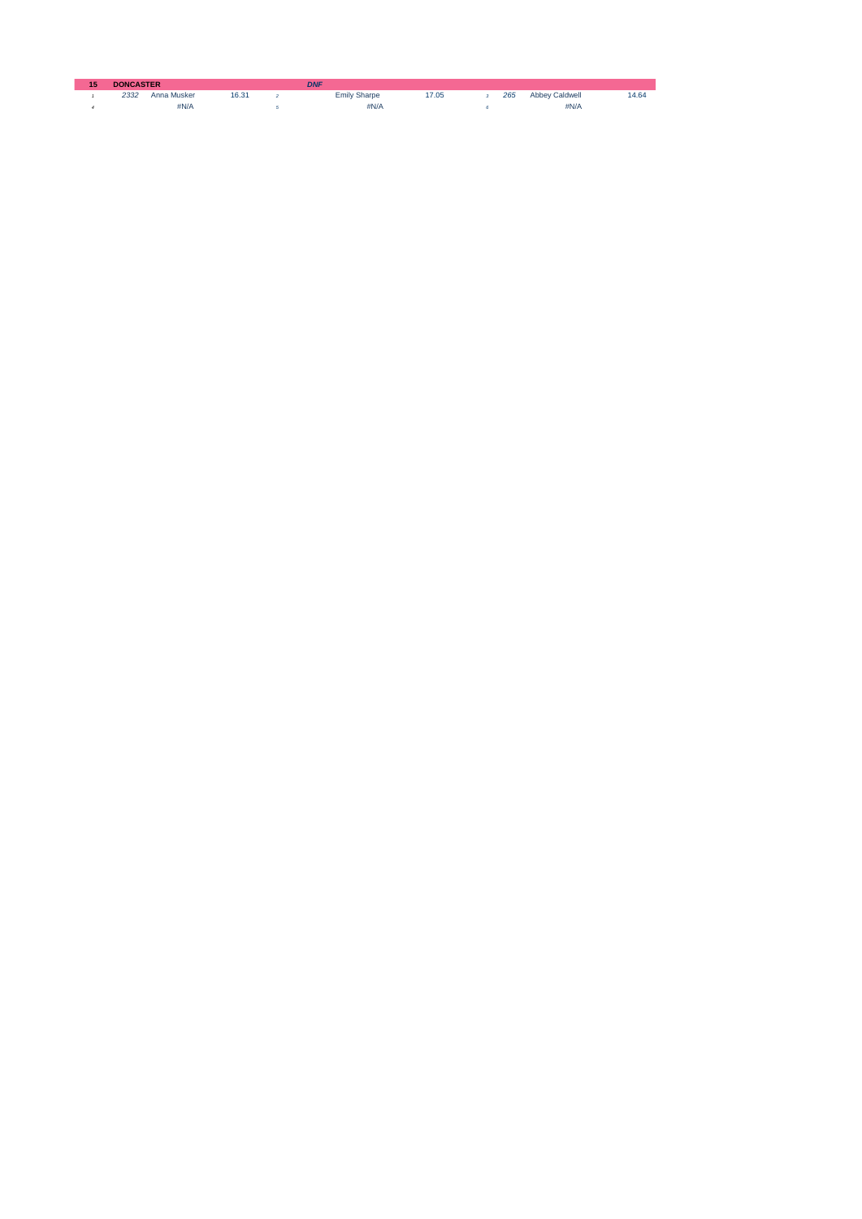| 15 | <b>DONCASTER</b> |             |      |  | <b>DNF</b>          |      |  |     |                       |      |
|----|------------------|-------------|------|--|---------------------|------|--|-----|-----------------------|------|
|    | 2332             | Anna Musker | 6.31 |  | <b>Emily Sharpe</b> | 7.05 |  | 265 | <b>Abbey Caldwell</b> | 4.64 |
|    |                  | #N/A        |      |  | #N/A                |      |  |     | #N/A                  |      |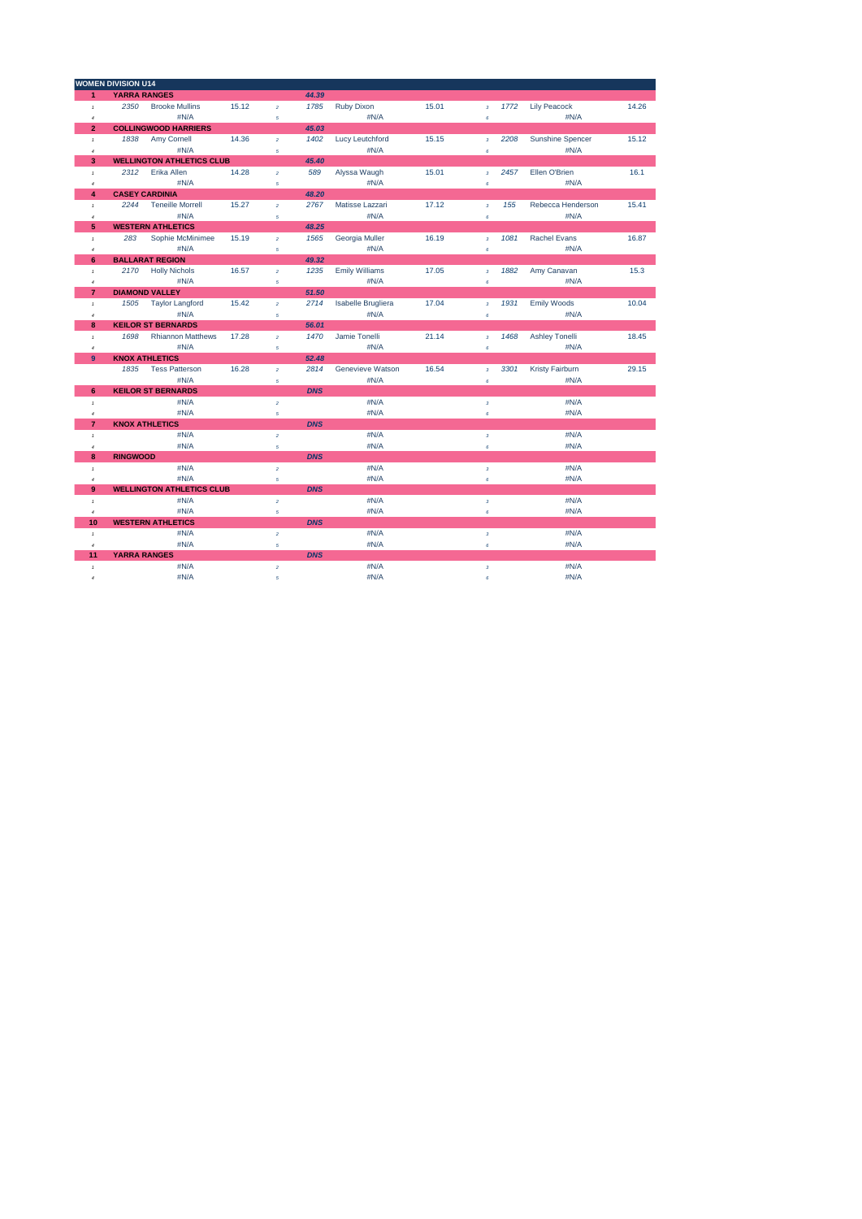|                         | <b>WOMEN DIVISION U14</b> |                                  |       |                |            |                       |       |                  |      |                         |       |
|-------------------------|---------------------------|----------------------------------|-------|----------------|------------|-----------------------|-------|------------------|------|-------------------------|-------|
| $\overline{1}$          | <b>YARRA RANGES</b>       |                                  |       |                | 44.39      |                       |       |                  |      |                         |       |
| $\mathbf{I}$            | 2350                      | <b>Brooke Mullins</b>            | 15.12 | $\overline{2}$ | 1785       | <b>Ruby Dixon</b>     | 15.01 | $\overline{3}$   | 1772 | <b>Lily Peacock</b>     | 14.26 |
| $\overline{4}$          |                           | #N/A                             |       | $\sqrt{5}$     |            | #N/A                  |       | 6                |      | #N/A                    |       |
| $\overline{2}$          |                           | <b>COLLINGWOOD HARRIERS</b>      |       |                | 45.03      |                       |       |                  |      |                         |       |
| $\mathbf{I}$            | 1838                      | Amy Cornell                      | 14.36 | $\overline{a}$ | 1402       | Lucy Leutchford       | 15.15 | $\overline{3}$   | 2208 | <b>Sunshine Spencer</b> | 15.12 |
| $\overline{4}$          |                           | #N/A                             |       | 5              |            | #N/A                  |       | $\pmb{s}$        |      | #N/A                    |       |
| 3                       |                           | <b>WELLINGTON ATHLETICS CLUB</b> |       |                | 45.40      |                       |       |                  |      |                         |       |
| $\overline{1}$          | 2312                      | Erika Allen                      | 14.28 | $\overline{2}$ | 589        | Alyssa Waugh          | 15.01 | $\overline{3}$   | 2457 | Ellen O'Brien           | 16.1  |
| $\boldsymbol{4}$        |                           | #N/A                             |       | $\sqrt{5}$     |            | #N/A                  |       | 6                |      | #N/A                    |       |
| $\overline{\mathbf{4}}$ |                           | <b>CASEY CARDINIA</b>            |       |                | 48.20      |                       |       |                  |      |                         |       |
| $\mathbf{I}$            | 2244                      | <b>Teneille Morrell</b>          | 15.27 | $\overline{2}$ | 2767       | Matisse Lazzari       | 17.12 | $\overline{3}$   | 155  | Rebecca Henderson       | 15.41 |
| $\overline{4}$          |                           | #N/A                             |       | $\overline{5}$ |            | #N/A                  |       | $\epsilon$       |      | #N/A                    |       |
| 5                       |                           | <b>WESTERN ATHLETICS</b>         |       |                | 48.25      |                       |       |                  |      |                         |       |
| $\mathcal{I}$           | 283                       | Sophie McMinimee                 | 15.19 | $\overline{2}$ | 1565       | Georgia Muller        | 16.19 | $\overline{3}$   | 1081 | <b>Rachel Evans</b>     | 16.87 |
| $\overline{4}$          |                           | #N/A                             |       | $\sqrt{5}$     |            | #N/A                  |       | $\epsilon$       |      | #N/A                    |       |
| 6                       |                           | <b>BALLARAT REGION</b>           |       |                | 49.32      |                       |       |                  |      |                         |       |
| $\mathbf{I}$            |                           | 2170 Holly Nichols               | 16.57 | $\overline{a}$ | 1235       | <b>Emily Williams</b> | 17.05 | $\overline{3}$   | 1882 | Amy Canavan             | 15.3  |
| 4                       |                           | #N/A                             |       | 5              |            | #N/A                  |       | $\pmb{s}$        |      | #N/A                    |       |
| $\overline{7}$          | <b>DIAMOND VALLEY</b>     |                                  |       |                | 51.50      |                       |       |                  |      |                         |       |
| $\overline{1}$          | 1505                      | <b>Taylor Langford</b>           | 15.42 | $\overline{a}$ | 2714       | Isabelle Brugliera    | 17.04 | $\mathbf 3$      | 1931 | Emily Woods             | 10.04 |
| $\overline{4}$          |                           | #N/A                             |       | 5              |            | #N/A                  |       | $\epsilon$       |      | #N/A                    |       |
| 8                       |                           | <b>KEILOR ST BERNARDS</b>        |       |                | 56.01      |                       |       |                  |      |                         |       |
| $\overline{1}$          | 1698                      | <b>Rhiannon Matthews</b>         | 17.28 | $\overline{a}$ | 1470       | Jamie Tonelli         | 21.14 | $\overline{3}$   | 1468 | <b>Ashley Tonelli</b>   | 18.45 |
| $\overline{4}$          |                           | #N/A                             |       | $\overline{5}$ |            | #N/A                  |       | $\epsilon$       |      | #N/A                    |       |
| 9                       |                           | <b>KNOX ATHLETICS</b>            |       |                | 52.48      |                       |       |                  |      |                         |       |
|                         | 1835                      | <b>Tess Patterson</b>            | 16.28 | $\overline{2}$ | 2814       | Genevieve Watson      | 16.54 | $\overline{3}$   | 3301 | Kristy Fairburn         | 29.15 |
|                         |                           | #N/A                             |       | 5              |            | #N/A                  |       | $\pmb{s}$        |      | #N/A                    |       |
| 6                       |                           | <b>KEILOR ST BERNARDS</b>        |       |                | <b>DNS</b> |                       |       |                  |      |                         |       |
| $\mathcal{I}$           |                           | #N/A                             |       | $\bar{z}$      |            | #N/A                  |       | $\mathbf 3$      |      | #N/A                    |       |
| $\overline{4}$          |                           | #N/A                             |       | $\sqrt{5}$     |            | #N/A                  |       | $\epsilon$       |      | #N/A                    |       |
| $\overline{7}$          |                           | <b>KNOX ATHLETICS</b>            |       |                | <b>DNS</b> |                       |       |                  |      |                         |       |
| $\mathcal{I}$           |                           | #N/A                             |       | $\bar{2}$      |            | #N/A                  |       | $\mathbf 3$      |      | #N/A                    |       |
| $\overline{4}$          |                           | #N/A                             |       | $\mathfrak{s}$ |            | #N/A                  |       | $\epsilon$       |      | #N/A                    |       |
| 8                       | <b>RINGWOOD</b>           |                                  |       |                | <b>DNS</b> |                       |       |                  |      |                         |       |
| $\overline{1}$          |                           | #N/A                             |       | $\overline{2}$ |            | #N/A                  |       | $\overline{3}$   |      | #N/A                    |       |
| $\overline{4}$          |                           | #N/A                             |       | $\sqrt{5}$     |            | #N/A                  |       | 6                |      | #N/A                    |       |
| 9                       |                           | <b>WELLINGTON ATHLETICS CLUB</b> |       |                | <b>DNS</b> |                       |       |                  |      |                         |       |
| $\mathbf{I}$            |                           | #N/A                             |       | $\overline{a}$ |            | #N/A                  |       | $\overline{3}$   |      | #N/A                    |       |
| $\sqrt{4}$              |                           | #N/A                             |       | $\sqrt{5}$     |            | #N/A                  |       | $\pmb{\epsilon}$ |      | #N/A                    |       |
| 10                      |                           | <b>WESTERN ATHLETICS</b>         |       |                | <b>DNS</b> |                       |       |                  |      |                         |       |
| $\overline{1}$          |                           | #N/A                             |       | $\bar{z}$      |            | #N/A                  |       | $\mathbf 3$      |      | #N/A                    |       |
| $\overline{4}$          |                           | #N/A                             |       | $\overline{5}$ |            | #N/A                  |       | $\epsilon$       |      | #N/A                    |       |
| 11                      | <b>YARRA RANGES</b>       |                                  |       |                | <b>DNS</b> |                       |       |                  |      |                         |       |
| $\bar{t}$               |                           | #N/A                             |       | $\overline{2}$ |            | #N/A                  |       | $\mathbf 3$      |      | #N/A                    |       |
| $\overline{4}$          |                           | #N/A                             |       | $\overline{5}$ |            | #N/A                  |       | 6                |      | #N/A                    |       |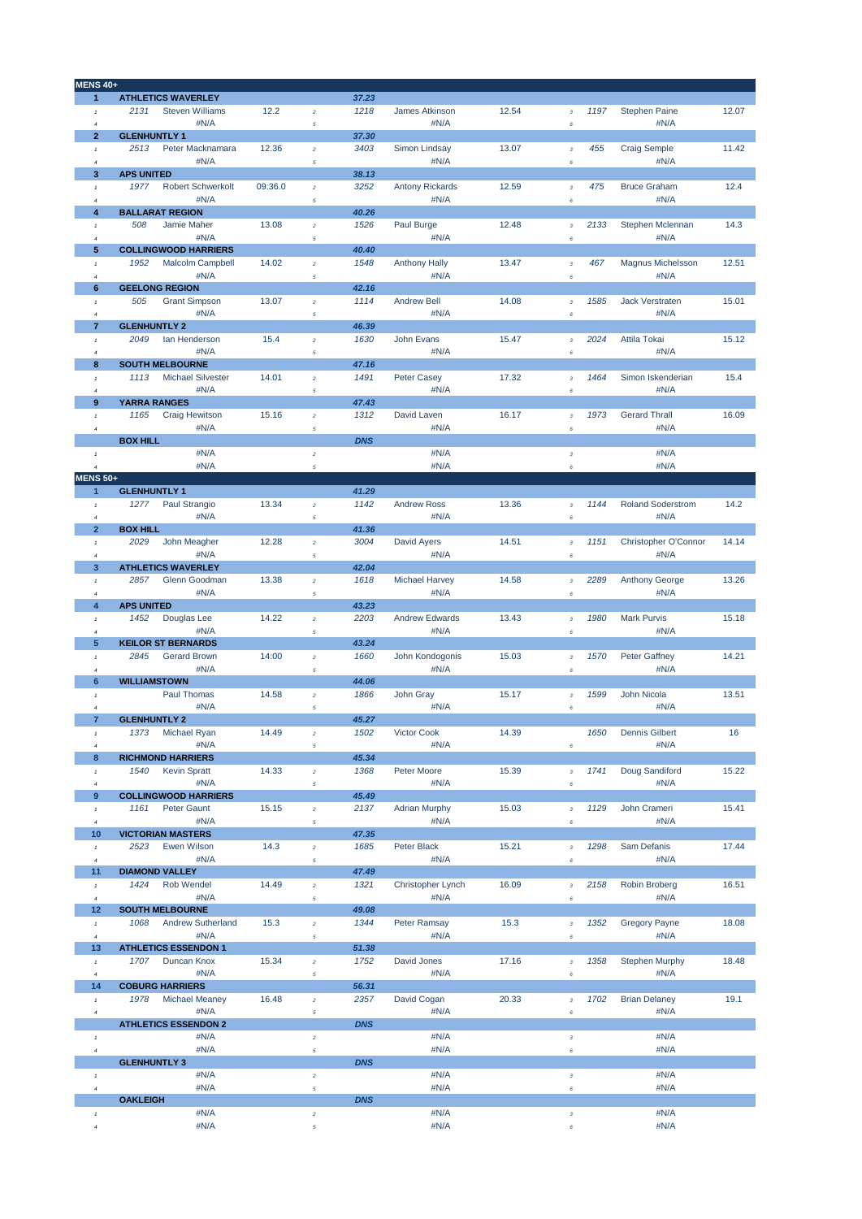| <b>MENS 40+</b>     |                                  |         |                  |            |                        |       |                         |      |                          |       |
|---------------------|----------------------------------|---------|------------------|------------|------------------------|-------|-------------------------|------|--------------------------|-------|
| $\mathbf{1}$        | <b>ATHLETICS WAVERLEY</b>        |         |                  | 37.23      |                        |       |                         |      |                          |       |
| $\,$ $\,$           | 2131<br><b>Steven Williams</b>   | 12.2    | $\overline{a}$   | 1218       | James Atkinson         | 12.54 | $\overline{\mathbf{3}}$ | 1197 | <b>Stephen Paine</b>     | 12.07 |
| $\overline{4}$      | #N/A                             |         | 5                |            | #N/A                   |       | 6                       |      | #N/A                     |       |
| $\mathbf{2}$        | <b>GLENHUNTLY 1</b>              |         |                  | 37.30      |                        |       |                         |      |                          |       |
| $\mathbf{1}$        | 2513<br>Peter Macknamara         | 12.36   | $\bar{2}$        | 3403       | Simon Lindsay          | 13.07 | $\mathbf 3$             | 455  | <b>Craig Semple</b>      | 11.42 |
| $\overline{4}$      | #N/A                             |         | 5                |            | #N/A                   |       | $\boldsymbol{6}$        |      | #N/A                     |       |
| 3                   | <b>APS UNITED</b>                |         |                  | 38.13      |                        |       |                         |      |                          |       |
| $\,$ $\,$           | <b>Robert Schwerkolt</b><br>1977 | 09:36.0 | $\overline{2}$   | 3252       | <b>Antony Rickards</b> | 12.59 | $\overline{\mathbf{3}}$ | 475  | <b>Bruce Graham</b>      | 12.4  |
| $\overline{a}$      | #N/A                             |         | 5                |            | #N/A                   |       | $\boldsymbol{6}$        |      | #N/A                     |       |
| 4                   | <b>BALLARAT REGION</b>           |         |                  | 40.26      |                        |       |                         |      |                          |       |
| $\mathbf{1}$        | 508<br>Jamie Maher               | 13.08   | $\overline{a}$   | 1526       | Paul Burge             | 12.48 | $\mathbf 3$             | 2133 | Stephen Mclennan         | 14.3  |
| $\overline{4}$      | #N/A                             |         |                  |            | #N/A                   |       |                         |      | #N/A                     |       |
| 5                   | <b>COLLINGWOOD HARRIERS</b>      |         | $\sqrt{5}$       | 40.40      |                        |       | 6                       |      |                          |       |
|                     |                                  | 14.02   |                  |            |                        | 13.47 |                         |      |                          |       |
| $\pmb{\tau}$        | Malcolm Campbell<br>1952         |         | $\overline{a}$   | 1548       | <b>Anthony Hally</b>   |       | $\overline{3}$          | 467  | Magnus Michelsson        | 12.51 |
| $\boldsymbol{4}$    | #N/A                             |         | 5                |            | #N/A                   |       | 6                       |      | #N/A                     |       |
| $6\phantom{1}$      | <b>GEELONG REGION</b>            |         |                  | 42.16      |                        |       |                         |      |                          |       |
| $\,$ $\,$           | <b>Grant Simpson</b><br>505      | 13.07   | $\bar{z}$        | 1114       | <b>Andrew Bell</b>     | 14.08 | $\mathbf 3$             | 1585 | <b>Jack Verstraten</b>   | 15.01 |
| $\overline{4}$      | #N/A                             |         | 5                |            | #N/A                   |       | 6                       |      | #N/A                     |       |
| $\overline{7}$      | <b>GLENHUNTLY 2</b>              |         |                  | 46.39      |                        |       |                         |      |                          |       |
| $\mathbf{1}$        | 2049<br>lan Henderson            | 15.4    | $\bar{2}$        | 1630       | John Evans             | 15.47 | $\overline{3}$          | 2024 | Attila Tokai             | 15.12 |
| $\boldsymbol{4}$    | #N/A                             |         | 5                |            | #N/A                   |       | $\boldsymbol{6}$        |      | #N/A                     |       |
| 8                   | <b>SOUTH MELBOURNE</b>           |         |                  | 47.16      |                        |       |                         |      |                          |       |
| $\mathbf{1}$        | <b>Michael Silvester</b><br>1113 | 14.01   | $\overline{a}$   | 1491       | <b>Peter Casey</b>     | 17.32 | $\overline{\mathbf{3}}$ | 1464 | Simon Iskenderian        | 15.4  |
| $\overline{4}$      | #N/A                             |         | 5                |            | #N/A                   |       | 6                       |      | #N/A                     |       |
| 9                   | <b>YARRA RANGES</b>              |         |                  | 47.43      |                        |       |                         |      |                          |       |
| $\pmb{\mathcal{I}}$ | <b>Craig Hewitson</b><br>1165    | 15.16   | $\bar{z}$        | 1312       | David Laven            | 16.17 | $\mathbf 3$             | 1973 | <b>Gerard Thrall</b>     | 16.09 |
| $\overline{4}$      | #N/A                             |         | $\sqrt{5}$       |            | #N/A                   |       | 6                       |      | #N/A                     |       |
|                     | <b>BOX HILL</b>                  |         |                  | <b>DNS</b> |                        |       |                         |      |                          |       |
| $\pmb{\tau}$        | #N/A                             |         | $\bar{2}$        |            | #N/A                   |       | $\overline{\mathbf{3}}$ |      | #N/A                     |       |
| $\boldsymbol{4}$    | #N/A                             |         | $\sqrt{5}$       |            | #N/A                   |       | 6                       |      | #N/A                     |       |
| <b>MENS 50+</b>     |                                  |         |                  |            |                        |       |                         |      |                          |       |
| $\mathbf{1}$        | <b>GLENHUNTLY 1</b>              |         |                  | 41.29      |                        |       |                         |      |                          |       |
| $\,$ $\,$           | Paul Strangio<br>1277            | 13.34   | $\bar{2}$        | 1142       | <b>Andrew Ross</b>     | 13.36 | $\overline{\mathbf{3}}$ | 1144 | <b>Roland Soderstrom</b> | 14.2  |
| $\overline{a}$      | #N/A                             |         | $\sqrt{5}$       |            | #N/A                   |       | $\boldsymbol{6}$        |      | #N/A                     |       |
| $\overline{2}$      | <b>BOX HILL</b>                  |         |                  | 41.36      |                        |       |                         |      |                          |       |
|                     | 2029<br>John Meagher             | 12.28   |                  | 3004       | David Ayers            | 14.51 |                         | 1151 | Christopher O'Connor     | 14.14 |
| $\pmb{\tau}$        |                                  |         | $\overline{a}$   |            |                        |       | $\overline{\mathbf{3}}$ |      |                          |       |
| $\overline{4}$      | #N/A                             |         | 5                |            | #N/A                   |       | 6                       |      | #N/A                     |       |
| 3                   | <b>ATHLETICS WAVERLEY</b>        |         |                  | 42.04      |                        |       |                         |      |                          |       |
| $\mathbf{1}$        | Glenn Goodman<br>2857            | 13.38   | $\overline{2}$   | 1618       | <b>Michael Harvey</b>  | 14.58 | $\overline{3}$          | 2289 | <b>Anthony George</b>    | 13.26 |
| $\boldsymbol{4}$    | #N/A                             |         | $\sqrt{5}$       |            | #N/A                   |       | 6                       |      | #N/A                     |       |
| $\overline{4}$      | <b>APS UNITED</b>                |         |                  | 43.23      |                        |       |                         |      |                          |       |
| $\,$ $\,$           | 1452<br>Douglas Lee              | 14.22   | $\sqrt{2}$       | 2203       | <b>Andrew Edwards</b>  | 13.43 | $\mathbf 3$             | 1980 | <b>Mark Purvis</b>       | 15.18 |
| $\overline{4}$      | #N/A                             |         | $\sqrt{5}$       |            | #N/A                   |       | $\boldsymbol{6}$        |      | #N/A                     |       |
| 5                   | <b>KEILOR ST BERNARDS</b>        |         |                  | 43.24      |                        |       |                         |      |                          |       |
| $\pmb{\mathcal{I}}$ | 2845<br><b>Gerard Brown</b>      | 14:00   | $\bar{2}$        | 1660       | John Kondogonis        | 15.03 | 3                       | 1570 | Peter Gaffney            | 14.21 |
| $\boldsymbol{4}$    | #N/A                             |         | 5                |            | #N/A                   |       | $\boldsymbol{6}$        |      | #N/A                     |       |
| 6                   | <b>WILLIAMSTOWN</b>              |         |                  | 44.06      |                        |       |                         |      |                          |       |
| $\mathbf{1}$        | Paul Thomas                      | 14.58   | $\bar{2}$        | 1866       | John Gray              | 15.17 | $\overline{\mathbf{3}}$ | 1599 | John Nicola              | 13.51 |
| $\overline{4}$      | #N/A                             |         | 5                |            | #N/A                   |       | 6                       |      | #N/A                     |       |
| $\overline{7}$      | <b>GLENHUNTLY 2</b>              |         |                  | 45.27      |                        |       |                         |      |                          |       |
| $\,$ $\,$           | Michael Ryan<br>1373             | 14.49   | $\boldsymbol{2}$ | 1502       | <b>Victor Cook</b>     | 14.39 |                         | 1650 | <b>Dennis Gilbert</b>    | 16    |
| $\overline{4}$      | #N/A                             |         | $\sqrt{5}$       |            | #N/A                   |       | 6                       |      | #N/A                     |       |
| 8                   | <b>RICHMOND HARRIERS</b>         |         |                  | 45.34      |                        |       |                         |      |                          |       |
| $\pmb{\tau}$        | 1540<br><b>Kevin Spratt</b>      | 14.33   | $\overline{a}$   | 1368       | Peter Moore            | 15.39 | $\mathbf 3$             | 1741 | Doug Sandiford           | 15.22 |
| $\overline{4}$      | #N/A                             |         | $\sqrt{5}$       |            | #N/A                   |       | 6                       |      | #N/A                     |       |
| 9                   | <b>COLLINGWOOD HARRIERS</b>      |         |                  | 45.49      |                        |       |                         |      |                          |       |
| $\,$ $\,$           | 1161<br>Peter Gaunt              | 15.15   | $\bar{z}$        | 2137       | <b>Adrian Murphy</b>   | 15.03 | $\mathbf 3$             | 1129 | John Crameri             | 15.41 |
| $\boldsymbol{4}$    | #N/A                             |         | $\sqrt{5}$       |            | #N/A                   |       | $\pmb{6}$               |      | #N/A                     |       |
| 10                  | <b>VICTORIAN MASTERS</b>         |         |                  | 47.35      |                        |       |                         |      |                          |       |
| $\,$ $\,$           | 2523<br>Ewen Wilson              | 14.3    | $\overline{a}$   | 1685       | Peter Black            | 15.21 | $\overline{3}$          | 1298 | Sam Defanis              | 17.44 |
| $\boldsymbol{4}$    | #N/A                             |         | 5                |            | #N/A                   |       | 6                       |      | #N/A                     |       |
| 11                  | <b>DIAMOND VALLEY</b>            |         |                  | 47.49      |                        |       |                         |      |                          |       |
|                     |                                  |         |                  |            | Christopher Lynch      |       |                         |      | Robin Broberg            |       |
| $\,$ 1 $\,$         | Rob Wendel<br>1424               | 14.49   | $\bar{z}$        | 1321       |                        | 16.09 | $\mathbf 3$             | 2158 |                          | 16.51 |
| $\boldsymbol{4}$    | #N/A                             |         | $\sqrt{5}$       |            | #N/A                   |       | 6                       |      | #N/A                     |       |
| 12                  | <b>SOUTH MELBOURNE</b>           |         |                  | 49.08      |                        |       |                         |      |                          |       |
| $\,$ $\,$           | <b>Andrew Sutherland</b><br>1068 | 15.3    | $\bar{z}$        | 1344       | Peter Ramsay           | 15.3  | $\mathbf 3$             | 1352 | <b>Gregory Payne</b>     | 18.08 |
| $\boldsymbol{4}$    | #N/A                             |         | $\sqrt{5}$       |            | #N/A                   |       | $\boldsymbol{6}$        |      | #N/A                     |       |
| 13                  | <b>ATHLETICS ESSENDON 1</b>      |         |                  | 51.38      |                        |       |                         |      |                          |       |
| $\,$ 1 $\,$         | 1707<br>Duncan Knox              | 15.34   | $\bar{2}$        | 1752       | David Jones            | 17.16 | 3                       | 1358 | <b>Stephen Murphy</b>    | 18.48 |
| $\overline{4}$      | #N/A                             |         | 5                |            | #N/A                   |       | 6                       |      | #N/A                     |       |
| 14                  | <b>COBURG HARRIERS</b>           |         |                  | 56.31      |                        |       |                         |      |                          |       |
| $\it 1$             | 1978<br><b>Michael Meaney</b>    | 16.48   | $\bar{z}$        | 2357       | David Cogan            | 20.33 | $\mathbf 3$             | 1702 | <b>Brian Delaney</b>     | 19.1  |
| $\boldsymbol{4}$    | #N/A                             |         | $\sqrt{5}$       |            | #N/A                   |       | $\boldsymbol{6}$        |      | #N/A                     |       |
|                     | <b>ATHLETICS ESSENDON 2</b>      |         |                  | <b>DNS</b> |                        |       |                         |      |                          |       |
| $\,$ $\,$           | #N/A                             |         | $\bar{z}$        |            | #N/A                   |       | $\mathbf 3$             |      | #N/A                     |       |
| $\it 4$             | #N/A                             |         | $\sqrt{5}$       |            | #N/A                   |       | $\pmb{6}$               |      | #N/A                     |       |
|                     | <b>GLENHUNTLY 3</b>              |         |                  | <b>DNS</b> |                        |       |                         |      |                          |       |
| $\pmb{\mathcal{I}}$ | #N/A                             |         | $\bar{z}$        |            | #N/A                   |       | $\mathbf 3$             |      | #N/A                     |       |
| $\boldsymbol{4}$    | #N/A                             |         | $\sqrt{5}$       |            | #N/A                   |       | $\pmb{6}$               |      | #N/A                     |       |
|                     | <b>OAKLEIGH</b>                  |         |                  | <b>DNS</b> |                        |       |                         |      |                          |       |
| $\,$ 1 $\,$         | #N/A                             |         | $\mathbf{2}$     |            | #N/A                   |       | $\mathbf 3$             |      | #N/A                     |       |
| $\boldsymbol{4}$    | #N/A                             |         | 5                |            | #N/A                   |       | $\pmb{6}$               |      | #N/A                     |       |
|                     |                                  |         |                  |            |                        |       |                         |      |                          |       |